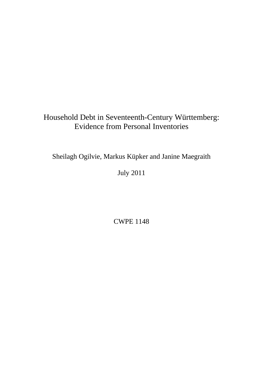# Household Debt in Seventeenth-Century Württemberg: Evidence from Personal Inventories

Sheilagh Ogilvie, Markus Küpker and Janine Maegraith

July 2011

CWPE 1148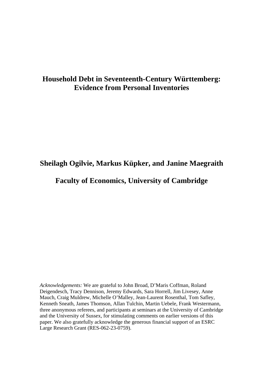## **Household Debt in Seventeenth-Century Württemberg: Evidence from Personal Inventories**

## **Sheilagh Ogilvie, Markus Küpker, and Janine Maegraith**

## **Faculty of Economics, University of Cambridge**

*Acknowledgements:* We are grateful to John Broad, D'Maris Coffman, Roland Deigendesch, Tracy Dennison, Jeremy Edwards, Sara Horrell, Jim Livesey, Anne Mauch, Craig Muldrew, Michelle O'Malley, Jean-Laurent Rosenthal, Tom Safley, Kenneth Sneath, James Thomson, Allan Tulchin, Martin Uebele, Frank Westermann, three anonymous referees, and participants at seminars at the University of Cambridge and the University of Sussex, for stimulating comments on earlier versions of this paper. We also gratefully acknowledge the generous financial support of an ESRC Large Research Grant (RES-062-23-0759).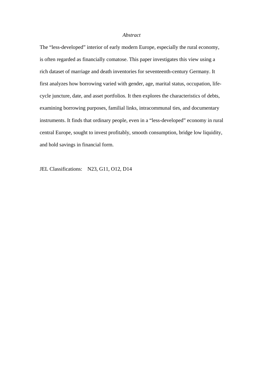#### *Abstract*

The "less-developed" interior of early modern Europe, especially the rural economy, is often regarded as financially comatose. This paper investigates this view using a rich dataset of marriage and death inventories for seventeenth-century Germany. It first analyzes how borrowing varied with gender, age, marital status, occupation, lifecycle juncture, date, and asset portfolios. It then explores the characteristics of debts, examining borrowing purposes, familial links, intracommunal ties, and documentary instruments. It finds that ordinary people, even in a "less-developed" economy in rural central Europe, sought to invest profitably, smooth consumption, bridge low liquidity, and hold savings in financial form.

JEL Classifications: N23, G11, O12, D14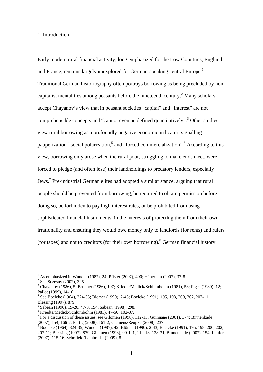#### 1. Introduction

Early modern rural financial activity, long emphasized for the Low Countries, England and France, remains largely unexplored for German-speaking central Europe.<sup>1</sup> Traditional German historiography often portrays borrowing as being precluded by noncapitalist mentalities among peasants before the nineteenth century.<sup>2</sup> Many scholars accept Chayanov's view that in peasant societies "capital" and "interest" are not comprehensible concepts and "cannot even be defined quantitatively".<sup>3</sup> Other studies view rural borrowing as a profoundly negative economic indicator, signalling pauperization,<sup>4</sup> social polarization,<sup>5</sup> and "forced commercialization".<sup>6</sup> According to this view, borrowing only arose when the rural poor, struggling to make ends meet, were forced to pledge (and often lose) their landholdings to predatory lenders, especially Jews.<sup>7</sup> Pre-industrial German elites had adopted a similar stance, arguing that rural people should be prevented from borrowing, be required to obtain permission before doing so, be forbidden to pay high interest rates, or be prohibited from using sophisticated financial instruments, in the interests of protecting them from their own irrationality and ensuring they would owe money only to landlords (for rents) and rulers (for taxes) and not to creditors (for their own borrowing). <sup>8</sup> German financial history

<sup>&</sup>lt;sup>1</sup> As emphasized in Wunder (1987), 24; Pfister (2007), 490; Häberlein (2007), 37-8.

<sup>&</sup>lt;sup>2</sup> See Sczesny (2002), 325.

 $3$  Chayanov (1986), 5; Brunner (1986), 107; Kriedte/Medick/Schlumbohm (1981), 53; Figes (1989), 12; Pallot (1999), 14-16.

<sup>4</sup> See Boelcke (1964), 324-35; Blömer (1990), 2-43; Boelcke (1991), 195, 198, 200, 202, 207-11; Blessing (1997), 879.

<sup>5</sup> Sabean (1990), 19-20, 47-8, 194; Sabean (1998), 298.

<sup>6</sup> Kriedte/Medick/Schlumbohm (1981), 47-50, 102-07.

<sup>&</sup>lt;sup>7</sup> For a discussion of these issues, see Gilomen (1998), 112-13; Guinnane (2001), 374; Binnenkade

<sup>(2007), 154, 166-7;</sup> Fertig (2008), 161-2; Clemens/Reupke (2008), 237. 8 Boelcke (1964), 324-35; Wunder (1987), 42; Blömer (1990), 2-43; Boelcke (1991), 195, 198, 200, 202, 207-11; Blessing (1997), 879; Gilomen (1998), 99-101, 112-13, 128-31; Binnenkade (2007), 154; Laufer (2007), 115-16; Schofield/Lambrecht (2009), 8.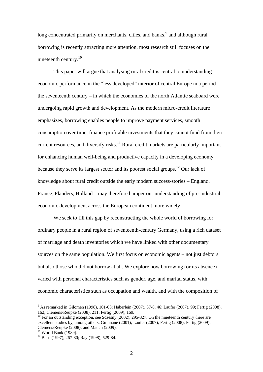long concentrated primarily on merchants, cities, and banks,  $9$  and although rural borrowing is recently attracting more attention, most research still focuses on the nineteenth century. $10$ 

 This paper will argue that analysing rural credit is central to understanding economic performance in the "less developed" interior of central Europe in a period – the seventeenth century – in which the economies of the north Atlantic seaboard were undergoing rapid growth and development. As the modern micro-credit literature emphasizes, borrowing enables people to improve payment services, smooth consumption over time, finance profitable investments that they cannot fund from their current resources, and diversify risks.<sup>11</sup> Rural credit markets are particularly important for enhancing human well-being and productive capacity in a developing economy because they serve its largest sector and its poorest social groups.<sup>12</sup> Our lack of knowledge about rural credit outside the early modern success-stories – England, France, Flanders, Holland – may therefore hamper our understanding of pre-industrial economic development across the European continent more widely.

 We seek to fill this gap by reconstructing the whole world of borrowing for ordinary people in a rural region of seventeenth-century Germany, using a rich dataset of marriage and death inventories which we have linked with other documentary sources on the same population. We first focus on economic agents – not just debtors but also those who did not borrow at all. We explore how borrowing (or its absence) varied with personal characteristics such as gender, age, and marital status, with economic characteristics such as occupation and wealth, and with the composition of

<sup>&</sup>lt;sup>9</sup> As remarked in Gilomen (1998), 101-03; Häberlein (2007), 37-8, 46; Laufer (2007), 99; Fertig (2008), 162; Clemens/Reupke (2008), 211; Fertig (2009), 169.

<sup>&</sup>lt;sup>10</sup> For an outstanding exception, see Sczesny (2002), 295-327. On the nineteenth century there are excellent studies by, among others, Guinnane (2001); Laufer (2007); Fertig (2008); Fertig (2009); Clemens/Reupke (2008); and Mauch (2009).

 $11$  World Bank (1989).

 $12$  Basu (1997), 267-80; Ray (1998), 529-84.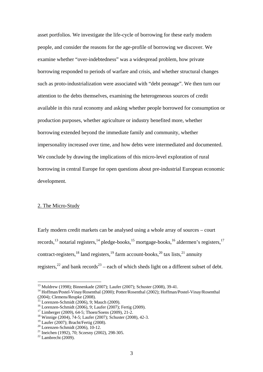asset portfolios. We investigate the life-cycle of borrowing for these early modern people, and consider the reasons for the age-profile of borrowing we discover. We examine whether "over-indebtedness" was a widespread problem, how private borrowing responded to periods of warfare and crisis, and whether structural changes such as proto-industrialization were associated with "debt peonage". We then turn our attention to the debts themselves, examining the heterogeneous sources of credit available in this rural economy and asking whether people borrowed for consumption or production purposes, whether agriculture or industry benefited more, whether borrowing extended beyond the immediate family and community, whether impersonality increased over time, and how debts were intermediated and documented. We conclude by drawing the implications of this micro-level exploration of rural borrowing in central Europe for open questions about pre-industrial European economic development.

#### 2. The Micro-Study

Early modern credit markets can be analysed using a whole array of sources – court records,  $^{13}$  notarial registers,  $^{14}$  pledge-books,  $^{15}$  mortgage-books,  $^{16}$  aldermen's registers,  $^{17}$ contract-registers,  $^{18}$  land registers,  $^{19}$  farm account-books,  $^{20}$  tax lists,  $^{21}$  annuity registers,<sup>22</sup> and bank records<sup>23</sup> – each of which sheds light on a different subset of debt.

<sup>13</sup> Muldrew (1998); Binnenkade (2007); Laufer (2007); Schuster (2008), 39-41.

<sup>14</sup> Hoffman/Postel-Vinay/Rosenthal (2000); Potter/Rosenthal (2002); Hoffman/Postel-Vinay/Rosenthal (2004); Clemens/Reupke (2008).

<sup>15</sup> Lorenzen-Schmidt (2006), 9; Mauch (2009).

<sup>16</sup> Lorenzen-Schmidt (2006), 9; Laufer (2007); Fertig (2009).

 $17$  Limberger (2009), 64-5; Thoen/Soens (2009), 21-2.

<sup>18</sup> Winnige (2004), 74-5; Laufer (2007); Schuster (2008), 42-3.

 $19$  Laufer (2007); Bracht/Fertig (2008).

<sup>20</sup> Lorenzen-Schmidt (2006), 10-12.

<sup>&</sup>lt;sup>21</sup> Ineichen (1992), 70; Sczesny (2002), 298-305.<br><sup>22</sup> Lambrecht (2009).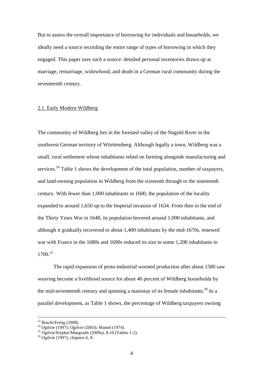But to assess the overall importance of borrowing for individuals and households, we ideally need a source recording the entire range of types of borrowing in which they engaged. This paper uses such a source: detailed personal inventories drawn up at marriage, remarriage, widowhood, and death in a German rural community during the seventeenth century.

#### 2.1. Early Modern Wildberg

The community of Wildberg lies in the forested valley of the Nagold River in the southwest German territory of Württemberg. Although legally a town, Wildberg was a small, rural settlement whose inhabitants relied on farming alongside manufacturing and services.<sup>24</sup> Table 1 shows the development of the total population, number of taxpayers, and land-owning population in Wildberg from the sixteenth through to the nineteenth century. With fewer than 1,000 inhabitants in 1600, the population of the locality expanded to around 1,650 up to the Imperial invasion of 1634. From then to the end of the Thirty Years War in 1648, its population hovered around 1,000 inhabitants, and although it gradually recovered to about 1,400 inhabitants by the mid-1670s, renewed war with France in the 1680s and 1690s reduced its size to some 1,200 inhabitants in 1700.25

 The rapid expansion of proto-industrial worsted production after about 1580 saw weaving become a livelihood source for about 40 percent of Wildberg households by the mid-seventeenth century and spinning a mainstay of its female inhabitants.<sup>26</sup> In a parallel development, as Table 1 shows, the percentage of Wildberg taxpayers owning

 $23$  Bracht/Fertig (2008).

 $^{24}$  Ogilvie (1997); Ogilvie (2003); Mantel (1974).

 $^{25}$  Ogilvie/Küpker/Maegraith (2009a), 8-10 (Tables 1-2).

 $26$  Ogilvie (1997), chapters 6, 8.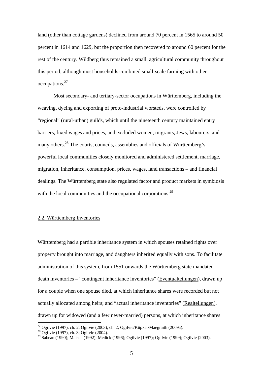land (other than cottage gardens) declined from around 70 percent in 1565 to around 50 percent in 1614 and 1629, but the proportion then recovered to around 60 percent for the rest of the century. Wildberg thus remained a small, agricultural community throughout this period, although most households combined small-scale farming with other occupations.27

Most secondary- and tertiary-sector occupations in Württemberg, including the weaving, dyeing and exporting of proto-industrial worsteds, were controlled by "regional" (rural-urban) guilds, which until the nineteenth century maintained entry barriers, fixed wages and prices, and excluded women, migrants, Jews, labourers, and many others.<sup>28</sup> The courts, councils, assemblies and officials of Württemberg's powerful local communities closely monitored and administered settlement, marriage, migration, inheritance, consumption, prices, wages, land transactions – and financial dealings. The Württemberg state also regulated factor and product markets in symbiosis with the local communities and the occupational corporations. $^{29}$ 

### 2.2. Württemberg Inventories

Württemberg had a partible inheritance system in which spouses retained rights over property brought into marriage, and daughters inherited equally with sons. To facilitate administration of this system, from 1551 onwards the Württemberg state mandated death inventories – "contingent inheritance inventories" (Eventualteilungen), drawn up for a couple when one spouse died, at which inheritance shares were recorded but not actually allocated among heirs; and "actual inheritance inventories" (Realteilungen), drawn up for widowed (and a few never-married) persons, at which inheritance shares

<sup>&</sup>lt;sup>27</sup> Ogilvie (1997), ch. 2; Ogilvie (2003), ch. 2; Ogilvie/Küpker/Maegraith (2009a).

<sup>28</sup> Ogilvie (1997), ch. 3; Ogilvie (2004).

<sup>&</sup>lt;sup>29</sup> Sabean (1990); Maisch (1992); Medick (1996); Ogilvie (1997); Ogilvie (1999); Ogilvie (2003).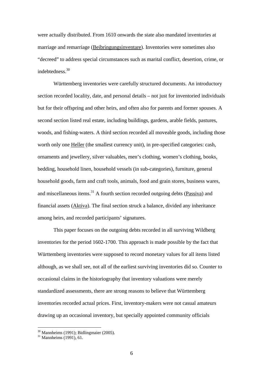were actually distributed. From 1610 onwards the state also mandated inventories at marriage and remarriage (Beibringungsinventare). Inventories were sometimes also "decreed" to address special circumstances such as marital conflict, desertion, crime, or indebtedness.30

 Württemberg inventories were carefully structured documents. An introductory section recorded locality, date, and personal details – not just for inventoried individuals but for their offspring and other heirs, and often also for parents and former spouses. A second section listed real estate, including buildings, gardens, arable fields, pastures, woods, and fishing-waters. A third section recorded all moveable goods, including those worth only one Heller (the smallest currency unit), in pre-specified categories: cash, ornaments and jewellery, silver valuables, men's clothing, women's clothing, books, bedding, household linen, household vessels (in sub-categories), furniture, general household goods, farm and craft tools, animals, food and grain stores, business wares, and miscellaneous items.<sup>31</sup> A fourth section recorded outgoing debts (Passiva) and financial assets (Aktiva). The final section struck a balance, divided any inheritance among heirs, and recorded participants' signatures.

 This paper focuses on the outgoing debts recorded in all surviving Wildberg inventories for the period 1602-1700. This approach is made possible by the fact that Württemberg inventories were supposed to record monetary values for all items listed although, as we shall see, not all of the earliest surviving inventories did so. Counter to occasional claims in the historiography that inventory valuations were merely standardized assessments, there are strong reasons to believe that Württemberg inventories recorded actual prices. First, inventory-makers were not casual amateurs drawing up an occasional inventory, but specially appointed community officials

 $30$  Mannheims (1991); Bidlingmaier (2005).

 $31$  Mannheims (1991), 61.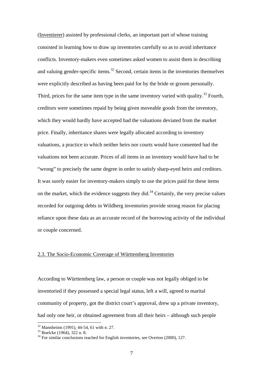(Inventierer) assisted by professional clerks, an important part of whose training consisted in learning how to draw up inventories carefully so as to avoid inheritance conflicts. Inventory-makers even sometimes asked women to assist them in describing and valuing gender-specific items.<sup>32</sup> Second, certain items in the inventories themselves were explicitly described as having been paid for by the bride or groom personally. Third, prices for the same item type in the same inventory varied with quality.<sup>33</sup> Fourth, creditors were sometimes repaid by being given moveable goods from the inventory, which they would hardly have accepted had the valuations deviated from the market price. Finally, inheritance shares were legally allocated according to inventory valuations, a practice to which neither heirs nor courts would have consented had the valuations not been accurate. Prices of all items in an inventory would have had to be "wrong" to precisely the same degree in order to satisfy sharp-eyed heirs and creditors. It was surely easier for inventory-makers simply to use the prices paid for these items on the market, which the evidence suggests they did.<sup>34</sup> Certainly, the very precise values recorded for outgoing debts in Wildberg inventories provide strong reason for placing reliance upon these data as an accurate record of the borrowing activity of the individual or couple concerned.

### 2.3. The Socio-Economic Coverage of Württemberg Inventories

According to Württemberg law, a person or couple was not legally obliged to be inventoried if they possessed a special legal status, left a will, agreed to marital community of property, got the district court's approval, drew up a private inventory, had only one heir, or obtained agreement from all their heirs – although such people

<sup>32</sup> Mannheims (1991), 44-54, 61 with n. 27.

<sup>33</sup> Boelcke (1964), 322 n. 8.

 $34$  For similar conclusions reached for English inventories, see Overton (2000), 127.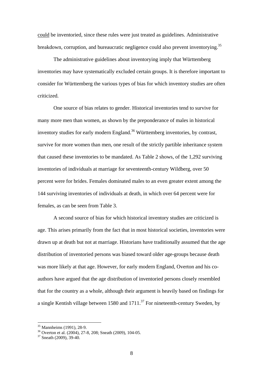could be inventoried, since these rules were just treated as guidelines. Administrative breakdown, corruption, and bureaucratic negligence could also prevent inventorying.<sup>35</sup>

The administrative guidelines about inventorying imply that Württemberg inventories may have systematically excluded certain groups. It is therefore important to consider for Württemberg the various types of bias for which inventory studies are often criticized.

One source of bias relates to gender. Historical inventories tend to survive for many more men than women, as shown by the preponderance of males in historical inventory studies for early modern England.<sup>36</sup> Württemberg inventories, by contrast, survive for more women than men, one result of the strictly partible inheritance system that caused these inventories to be mandated. As Table 2 shows, of the 1,292 surviving inventories of individuals at marriage for seventeenth-century Wildberg, over 50 percent were for brides. Females dominated males to an even greater extent among the 144 surviving inventories of individuals at death, in which over 64 percent were for females, as can be seen from Table 3.

A second source of bias for which historical inventory studies are criticized is age. This arises primarily from the fact that in most historical societies, inventories were drawn up at death but not at marriage. Historians have traditionally assumed that the age distribution of inventoried persons was biased toward older age-groups because death was more likely at that age. However, for early modern England, Overton and his coauthors have argued that the age distribution of inventoried persons closely resembled that for the country as a whole, although their argument is heavily based on findings for a single Kentish village between 1580 and  $1711$ <sup>37</sup> For nineteenth-century Sweden, by

<sup>35</sup> Mannheims (1991), 28-9.

<sup>&</sup>lt;sup>36</sup> Overton et al. (2004), 27-8, 208; Sneath (2009), 104-05.

<sup>37</sup> Sneath (2009), 39-40.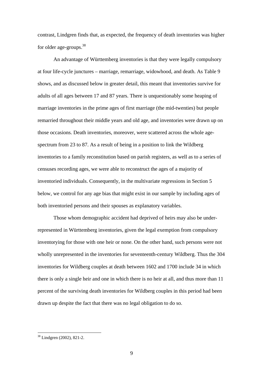contrast, Lindgren finds that, as expected, the frequency of death inventories was higher for older age-groups.<sup>38</sup>

An advantage of Württemberg inventories is that they were legally compulsory at four life-cycle junctures – marriage, remarriage, widowhood, and death. As Table 9 shows, and as discussed below in greater detail, this meant that inventories survive for adults of all ages between 17 and 87 years. There is unquestionably some heaping of marriage inventories in the prime ages of first marriage (the mid-twenties) but people remarried throughout their middle years and old age, and inventories were drawn up on those occasions. Death inventories, moreover, were scattered across the whole agespectrum from 23 to 87. As a result of being in a position to link the Wildberg inventories to a family reconstitution based on parish registers, as well as to a series of censuses recording ages, we were able to reconstruct the ages of a majority of inventoried individuals. Consequently, in the multivariate regressions in Section 5 below, we control for any age bias that might exist in our sample by including ages of both inventoried persons and their spouses as explanatory variables.

Those whom demographic accident had deprived of heirs may also be underrepresented in Württemberg inventories, given the legal exemption from compulsory inventorying for those with one heir or none. On the other hand, such persons were not wholly unrepresented in the inventories for seventeenth-century Wildberg. Thus the 304 inventories for Wildberg couples at death between 1602 and 1700 include 34 in which there is only a single heir and one in which there is no heir at all, and thus more than 11 percent of the surviving death inventories for Wildberg couples in this period had been drawn up despite the fact that there was no legal obligation to do so.

<sup>38</sup> Lindgren (2002), 821-2.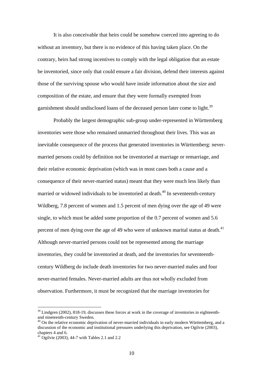It is also conceivable that heirs could be somehow coerced into agreeing to do without an inventory, but there is no evidence of this having taken place. On the contrary, heirs had strong incentives to comply with the legal obligation that an estate be inventoried, since only that could ensure a fair division, defend their interests against those of the surviving spouse who would have inside information about the size and composition of the estate, and ensure that they were formally exempted from garnishment should undisclosed loans of the deceased person later come to light.<sup>39</sup>

Probably the largest demographic sub-group under-represented in Württemberg inventories were those who remained unmarried throughout their lives. This was an inevitable consequence of the process that generated inventories in Württemberg: nevermarried persons could by definition not be inventoried at marriage or remarriage, and their relative economic deprivation (which was in most cases both a cause and a consequence of their never-married status) meant that they were much less likely than married or widowed individuals to be inventoried at death.<sup>40</sup> In seventeenth-century Wildberg, 7.8 percent of women and 1.5 percent of men dying over the age of 49 were single, to which must be added some proportion of the 0.7 percent of women and 5.6 percent of men dying over the age of 49 who were of unknown marital status at death. $41$ Although never-married persons could not be represented among the marriage inventories, they could be inventoried at death, and the inventories for seventeenthcentury Wildberg do include death inventories for two never-married males and four never-married females. Never-married adults are thus not wholly excluded from observation. Furthermore, it must be recognized that the marriage inventories for

 $39$  Lindgren (2002), 818-19, discusses these forces at work in the coverage of inventories in eighteenthand nineteenth-century Sweden.

 $40$  On the relative economic deprivation of never-married individuals in early modern Württemberg, and a discussion of the economic and institutional pressures underlying this deprivation, see Ogilvie (2003), chapters 4 and 6.

 $41$  Ogilvie (2003), 44-7 with Tables 2.1 and 2.2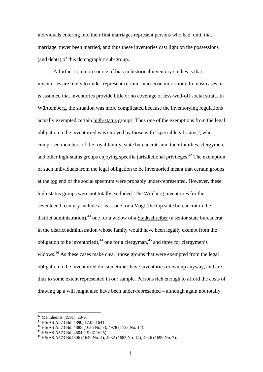individuals entering into their first marriages represent persons who had, until that marriage, never been married, and thus these inventories cast light on the possessions (and debts) of this demographic sub-group.

A further common source of bias in historical inventory studies is that inventories are likely to under-represent certain socio-economic strata. In most cases, it is assumed that inventories provide little or no coverage of less-well-off social strata. In Württemberg, the situation was more complicated because the inventorying regulations actually exempted certain high-status groups. Thus one of the exemptions from the legal obligation to be inventoried was enjoyed by those with "special legal status", who comprised members of the royal family, state bureaucrats and their families, clergymen, and other high-status groups enjoying specific jurisdictional privileges.<sup>42</sup> The exemption of such individuals from the legal obligation to be inventoried meant that certain groups at the top end of the social spectrum were probably under-represented. However, these high-status groups were not totally excluded. The Wildberg inventories for the seventeenth century include at least one for a Vogt (the top state bureaucrat in the district administration),<sup>43</sup> one for a widow of a Stadtschreiber (a senior state bureaucrat in the district administration whose family would have been legally exempt from the obligation to be inventoried),  $44$  one for a clergyman,  $45$  and three for clergymen's widows.<sup>46</sup> As these cases make clear, those groups that were exempted from the legal obligation to be inventoried did sometimes have inventories drawn up anyway, and are thus to some extent represented in our sample. Persons rich enough to afford the costs of drawing up a will might also have been under-represented – although again not totally

 $42$  Mannheims (1991), 28-9.

<sup>43</sup> HStAS A573 Bd. 4890, 17.05.1641.

<sup>44</sup> HStAS A573 Bd. 4885 (1636 No. 7), 4978 (1733 No. 14).

<sup>45</sup> HStAS A573 Bd. 4804 (19.07.1625).

<sup>46</sup> HStAS A573 Bd4806 (1649 No. 4), 4932 (1685 No. 14), 4946 (1699 No. 7).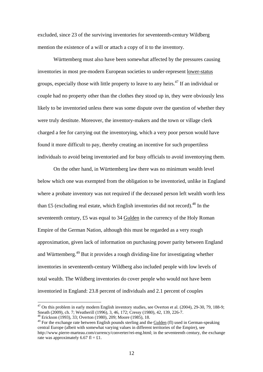excluded, since 23 of the surviving inventories for seventeenth-century Wildberg mention the existence of a will or attach a copy of it to the inventory.

Württemberg must also have been somewhat affected by the pressures causing inventories in most pre-modern European societies to under-represent lower-status groups, especially those with little property to leave to any heirs.<sup>47</sup> If an individual or couple had no property other than the clothes they stood up in, they were obviously less likely to be inventoried unless there was some dispute over the question of whether they were truly destitute. Moreover, the inventory-makers and the town or village clerk charged a fee for carrying out the inventorying, which a very poor person would have found it more difficult to pay, thereby creating an incentive for such propertiless individuals to avoid being inventoried and for busy officials to avoid inventorying them.

On the other hand, in Württemberg law there was no minimum wealth level below which one was exempted from the obligation to be inventoried, unlike in England where a probate inventory was not required if the deceased person left wealth worth less than £5 (excluding real estate, which English inventories did not record).<sup>48</sup> In the seventeenth century, £5 was equal to 34 Gulden in the currency of the Holy Roman Empire of the German Nation, although this must be regarded as a very rough approximation, given lack of information on purchasing power parity between England and Württemberg.<sup>49</sup> But it provides a rough dividing-line for investigating whether inventories in seventeenth-century Wildberg also included people with low levels of total wealth. The Wildberg inventories do cover people who would not have been inventoried in England: 23.8 percent of individuals and 2.1 percent of couples

 $47$  On this problem in early modern English inventory studies, see Overton et al. (2004), 29-30, 79, 188-9; Sneath (2009), ch. 7; Weatherill (1996), 3, 46, 172; Cressy (1980), 42, 139, 226-7.

<sup>48</sup> Erickson (1993), 33; Overton (1980), 209; Moore (1985), 18.

<sup>&</sup>lt;sup>49</sup> For the exchange rate between English pounds sterling and the Gulden (fl) used in German-speaking central Europe (albeit with somewhat varying values in different territories of the Empire), see http://www.pierre-marteau.com/currency/converter/rei-eng.html; in the seventeenth century, the exchange rate was approximately 6.67 fl = £1.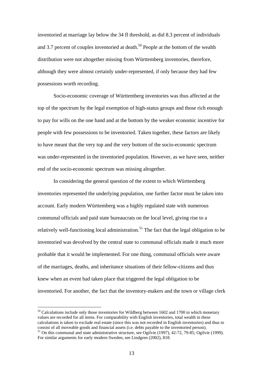inventoried at marriage lay below the 34 fl threshold, as did 8.3 percent of individuals and 3.7 percent of couples inventoried at death.<sup>50</sup> People at the bottom of the wealth distribution were not altogether missing from Württemberg inventories, therefore, although they were almost certainly under-represented, if only because they had few possessions worth recording.

Socio-economic coverage of Württemberg inventories was thus affected at the top of the spectrum by the legal exemption of high-status groups and those rich enough to pay for wills on the one hand and at the bottom by the weaker economic incentive for people with few possessions to be inventoried. Taken together, these factors are likely to have meant that the very top and the very bottom of the socio-economic spectrum was under-represented in the inventoried population. However, as we have seen, neither end of the socio-economic spectrum was missing altogether.

In considering the general question of the extent to which Württemberg inventories represented the underlying population, one further factor must be taken into account. Early modern Württemberg was a highly regulated state with numerous communal officials and paid state bureaucrats on the local level, giving rise to a relatively well-functioning local administration.<sup>51</sup> The fact that the legal obligation to be inventoried was devolved by the central state to communal officials made it much more probable that it would be implemented. For one thing, communal officials were aware of the marriages, deaths, and inheritance situations of their fellow-citizens and thus knew when an event had taken place that triggered the legal obligation to be inventoried. For another, the fact that the inventory-makers and the town or village clerk

 $50$  Calculations include only those inventories for Wildberg between 1602 and 1700 in which monetary values are recorded for all items. For comparability with English inventories, total wealth in these calculations is taken to exclude real estate (since this was not recorded in English inventories) and thus to consist of all moveable goods and financial assets (i.e. debts payable to the inventoried person). <sup>51</sup> On this communal and state administrative structure, see Ogilvie (1997), 42-72, 79-85; Ogilvie (1999).

For similar arguments for early modern Sweden, see Lindgren (2002), 818.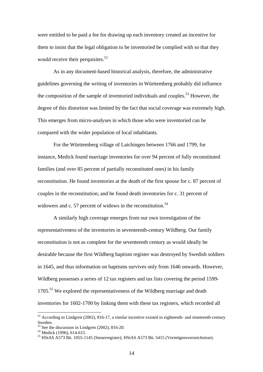were entitled to be paid a fee for drawing up each inventory created an incentive for them to insist that the legal obligation to be inventoried be complied with so that they would receive their perquisites. $52$ 

As in any document-based historical analysis, therefore, the administrative guidelines governing the writing of inventories in Württemberg probably did influence the composition of the sample of inventoried individuals and couples.<sup>53</sup> However, the degree of this distortion was limited by the fact that social coverage was extremely high. This emerges from micro-analyses in which those who were inventoried can be compared with the wider population of local inhabitants.

For the Württemberg village of Laichingen between 1766 and 1799, for instance, Medick found marriage inventories for over 94 percent of fully reconstituted families (and over 85 percent of partially reconstituted ones) in his family reconstitution. He found inventories at the death of the first spouse for c. 87 percent of couples in the reconstitution; and he found death inventories for c. 31 percent of widowers and c. 57 percent of widows in the reconstitution.<sup>54</sup>

 A similarly high coverage emerges from our own investigation of the representativeness of the inventories in seventeenth-century Wildberg. Our family reconstitution is not as complete for the seventeenth century as would ideally be desirable because the first Wildberg baptism register was destroyed by Swedish soldiers in 1645, and thus information on baptisms survives only from 1646 onwards. However, Wildberg possesses a series of 12 tax registers and tax lists covering the period 1599- 1705.<sup>55</sup> We explored the representativeness of the Wildberg marriage and death inventories for 1602-1700 by linking them with these tax registers, which recorded all

 $52$  According to Lindgren (2002), 816-17, a similar incentive existed in eighteenth- and nineteenth-century Sweden.

See the discussion in Lindgren (2002), 816-20.

<sup>54</sup> Medick (1996), 614-615.

<sup>55</sup> HStAS A573 Bü. 1055-1145 (Steuerregister); HStAS A573 Bü. 5415 (Vermögensverzeichnisse).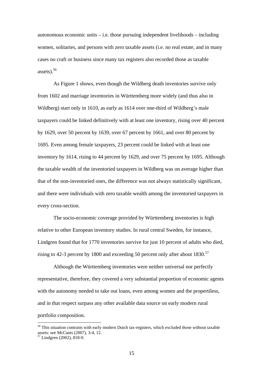autonomous economic units  $-$  i.e. those pursuing independent livelihoods  $-$  including women, solitaries, and persons with zero taxable assets (i.e. no real estate, and in many cases no craft or business since many tax registers also recorded those as taxable assets). $56$ 

As Figure 1 shows, even though the Wildberg death inventories survive only from 1602 and marriage inventories in Württemberg more widely (and thus also in Wildberg) start only in 1610, as early as 1614 over one-third of Wildberg's male taxpayers could be linked definitively with at least one inventory, rising over 40 percent by 1629, over 50 percent by 1639, over 67 percent by 1661, and over 80 percent by 1695. Even among female taxpayers, 23 percent could be linked with at least one inventory by 1614, rising to 44 percent by 1629, and over 75 percent by 1695. Although the taxable wealth of the inventoried taxpayers in Wildberg was on average higher than that of the non-inventoried ones, the difference was not always statistically significant, and there were individuals with zero taxable wealth among the inventoried taxpayers in every cross-section.

The socio-economic coverage provided by Württemberg inventories is high relative to other European inventory studies. In rural central Sweden, for instance, Lindgren found that for 1770 inventories survive for just 10 percent of adults who died, rising to 42-3 percent by 1800 and exceeding 50 percent only after about  $1830$ .<sup>57</sup>

Although the Württemberg inventories were neither universal nor perfectly representative, therefore, they covered a very substantial proportion of economic agents with the autonomy needed to take out loans, even among women and the propertiless, and in that respect surpass any other available data source on early modern rural portfolio composition.

<sup>&</sup>lt;sup>56</sup> This situation contrasts with early modern Dutch tax-registers, which excluded those without taxable assets: see McCants (2007), 3-4, 12.

<sup>57</sup> Lindgren (2002), 818-9.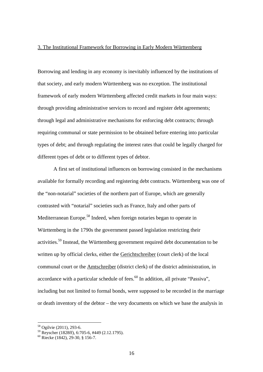#### 3. The Institutional Framework for Borrowing in Early Modern Württemberg

Borrowing and lending in any economy is inevitably influenced by the institutions of that society, and early modern Württemberg was no exception. The institutional framework of early modern Württemberg affected credit markets in four main ways: through providing administrative services to record and register debt agreements; through legal and administrative mechanisms for enforcing debt contracts; through requiring communal or state permission to be obtained before entering into particular types of debt; and through regulating the interest rates that could be legally charged for different types of debt or to different types of debtor.

A first set of institutional influences on borrowing consisted in the mechanisms available for formally recording and registering debt contracts. Württemberg was one of the "non-notarial" societies of the northern part of Europe, which are generally contrasted with "notarial" societies such as France, Italy and other parts of Mediterranean Europe.<sup>58</sup> Indeed, when foreign notaries began to operate in Württemberg in the 1790s the government passed legislation restricting their activities.59 Instead, the Württemberg government required debt documentation to be written up by official clerks, either the Gerichtschreiber (court clerk) of the local communal court or the Amtschreiber (district clerk) of the district administration, in accordance with a particular schedule of fees.<sup>60</sup> In addition, all private "Passiva", including but not limited to formal bonds, were supposed to be recorded in the marriage or death inventory of the debtor – the very documents on which we base the analysis in

<sup>58</sup> Ogilvie (2011), 293-6.

<sup>59</sup> Reyscher (1828ff), 6:705-6, #449 (2.12.1795).

<sup>60</sup> Riecke (1842), 29-30, § 156-7.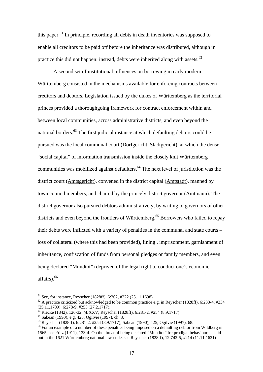this paper.<sup>61</sup> In principle, recording all debts in death inventories was supposed to enable all creditors to be paid off before the inheritance was distributed, although in practice this did not happen: instead, debts were inherited along with assets. $62$ 

A second set of institutional influences on borrowing in early modern Württemberg consisted in the mechanisms available for enforcing contracts between creditors and debtors. Legislation issued by the dukes of Württemberg as the territorial princes provided a thoroughgoing framework for contract enforcement within and between local communities, across administrative districts, and even beyond the national borders.<sup>63</sup> The first judicial instance at which defaulting debtors could be pursued was the local communal court (Dorfgericht, Stadtgericht), at which the dense "social capital" of information transmission inside the closely knit Württemberg communities was mobilized against defaulters.<sup>64</sup> The next level of jurisdiction was the district court (Amtsgericht), convened in the district capital (Amtstadt), manned by town council members, and chaired by the princely district governor (Amtmann). The district governor also pursued debtors administratively, by writing to governors of other districts and even beyond the frontiers of Württemberg.<sup>65</sup> Borrowers who failed to repay their debts were inflicted with a variety of penalties in the communal and state courts – loss of collateral (where this had been provided), fining , imprisonment, garnishment of inheritance, confiscation of funds from personal pledges or family members, and even being declared "Mundtot" (deprived of the legal right to conduct one's economic affairs).66

<sup>&</sup>lt;sup>61</sup> See, for instance, Reyscher (1828ff), 6:202, #222 (25.11.1698).<br><sup>62</sup> A practice criticized but acknowledged to be common practice e.g. in Reyscher (1828ff), 6:233-4, #234  $(25.11.1709)$ ; 6:278-9, #253 (27.2.1717).

<sup>63</sup> Riecke (1842), 126-32, §LXXV; Reyscher (1828ff), 6:281-2, #254 (8.9.1717).

 $64$  Sabean (1990), e.g. 425; Ogilvie (1997), ch. 3.

<sup>65</sup> Reyscher (1828ff), 6:281-2, #254 (8.9.1717); Sabean (1990), 425; Ogilvie (1997), 68.

<sup>&</sup>lt;sup>66</sup> For an example of a number of these penalties being imposed on a defaulting debtor from Wildberg in 1565, see Fritz (1911), 133-4. On the threat of being declared "Mundtot" for prodigal behaviour, as laid out in the 1621 Württemberg national law-code, see Reyscher (1828ff), 12:742-5, #214 (11.11.1621)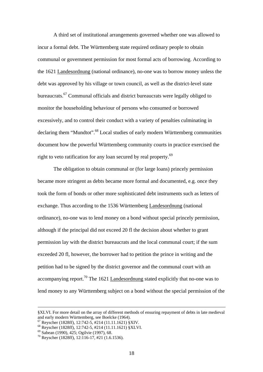A third set of institutional arrangements governed whether one was allowed to incur a formal debt. The Württemberg state required ordinary people to obtain communal or government permission for most formal acts of borrowing. According to the 1621 Landesordnung (national ordinance), no-one was to borrow money unless the debt was approved by his village or town council, as well as the district-level state bureaucrats.67 Communal officials and district bureaucrats were legally obliged to monitor the householding behaviour of persons who consumed or borrowed excessively, and to control their conduct with a variety of penalties culminating in declaring them "Mundtot".<sup>68</sup> Local studies of early modern Württemberg communities document how the powerful Württemberg community courts in practice exercised the right to veto ratification for any loan secured by real property.<sup>69</sup>

The obligation to obtain communal or (for large loans) princely permission became more stringent as debts became more formal and documented, e.g. once they took the form of bonds or other more sophisticated debt instruments such as letters of exchange. Thus according to the 1536 Württemberg Landesordnung (national ordinance), no-one was to lend money on a bond without special princely permission, although if the principal did not exceed 20 fl the decision about whether to grant permission lay with the district bureaucrats and the local communal court; if the sum exceeded 20 fl, however, the borrower had to petition the prince in writing and the petition had to be signed by the district governor and the communal court with an accompanying report.<sup>70</sup> The 1621 Landesordnung stated explicitly that no-one was to lend money to any Württemberg subject on a bond without the special permission of the

 <sup>§</sup>XLVI. For more detail on the array of different methods of ensuring repayment of debts in late medieval and early modern Württemberg, see Boelcke (1964).<br><sup>67</sup> Reyscher (1828ff), 12:742-5, #214 (11.11.1621) §XIV.

<sup>68</sup> Reyscher (1828ff), 12:742-5, #214 (11.11.1621) §XLVI.

<sup>69</sup> Sabean (1990), 425; Ogilvie (1997), 68.

<sup>70</sup> Reyscher (1828ff), 12:116-17, #21 (1.6.1536).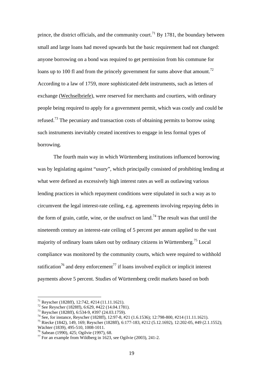prince, the district officials, and the community court.<sup>71</sup> By 1781, the boundary between small and large loans had moved upwards but the basic requirement had not changed: anyone borrowing on a bond was required to get permission from his commune for loans up to 100 fl and from the princely government for sums above that amount.<sup>72</sup> According to a law of 1759, more sophisticated debt instruments, such as letters of exchange (Wechselbriefe), were reserved for merchants and courtiers, with ordinary people being required to apply for a government permit, which was costly and could be refused.<sup>73</sup> The pecuniary and transaction costs of obtaining permits to borrow using such instruments inevitably created incentives to engage in less formal types of borrowing.

The fourth main way in which Württemberg institutions influenced borrowing was by legislating against "usury", which principally consisted of prohibiting lending at what were defined as excessively high interest rates as well as outlawing various lending practices in which repayment conditions were stipulated in such a way as to circumvent the legal interest-rate ceiling, e.g. agreements involving repaying debts in the form of grain, cattle, wine, or the usufruct on land.<sup>74</sup> The result was that until the nineteenth century an interest-rate ceiling of 5 percent per annum applied to the vast majority of ordinary loans taken out by ordinary citizens in Württemberg.75 Local compliance was monitored by the community courts, which were required to withhold ratification<sup>76</sup> and deny enforcement<sup>77</sup> if loans involved explicit or implicit interest payments above 5 percent. Studies of Württemberg credit markets based on both

<sup>71</sup> Reyscher (1828ff), 12:742, #214 (11.11.1621).

 $72$  See Reyscher (1828ff), 6:629, #422 (14.04.1781).

<sup>&</sup>lt;sup>73</sup> Reyscher (1828ff), 6:534-9, #397 (24.03.1759).<br><sup>74</sup> See, for instance, Reyscher (1828ff), 12:97-8, #21 (1.6.1536); 12:798-800, #214 (11.11.1621).

<sup>&</sup>lt;sup>75</sup> Riecke (1842), 149, 169; Reyscher (1828ff), 6:177-183, #212 (5.12.1692), 12:202-05, #49 (2.1.1552); Wächter (1839), 495-510, 1008-1011.

<sup>76</sup> Sabean (1990), 425; Ogilvie (1997), 68.

 $^{77}$  For an example from Wildberg in 1623, see Ogilvie (2003), 241-2.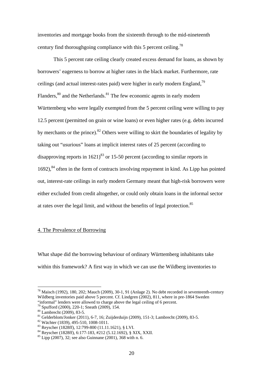inventories and mortgage books from the sixteenth through to the mid-nineteenth century find thoroughgoing compliance with this 5 percent ceiling.<sup>78</sup>

This 5 percent rate ceiling clearly created excess demand for loans, as shown by borrowers' eagerness to borrow at higher rates in the black market. Furthermore, rate ceilings (and actual interest-rates paid) were higher in early modern England.<sup>79</sup> Flanders, $80$  and the Netherlands. $81$  The few economic agents in early modern Württemberg who were legally exempted from the 5 percent ceiling were willing to pay 12.5 percent (permitted on grain or wine loans) or even higher rates (e.g. debts incurred by merchants or the prince).<sup>82</sup> Others were willing to skirt the boundaries of legality by taking out "usurious" loans at implicit interest rates of 25 percent (according to disapproving reports in  $1621$ <sup>83</sup> or 15-50 percent (according to similar reports in  $1692$ ),  $84$  often in the form of contracts involving repayment in kind. As Lipp has pointed out, interest-rate ceilings in early modern Germany meant that high-risk borrowers were either excluded from credit altogether, or could only obtain loans in the informal sector at rates over the legal limit, and without the benefits of legal protection.<sup>85</sup>

### 4. The Prevalence of Borrowing

What shape did the borrowing behaviour of ordinary Württemberg inhabitants take within this framework? A first way in which we can use the Wildberg inventories to

<sup>78</sup> Maisch (1992), 180, 202; Mauch (2009), 30-1, 91 (Anlage 2). No debt recorded in seventeenth-century Wildberg inventories paid above 5 percent. Cf. Lindgren (2002), 811, where in pre-1864 Sweden "informal" lenders were allowed to charge above the legal ceiling of 6 percent.

<sup>79</sup> Spufford (2000), 220-1; Sneath (2009), 154.

<sup>&</sup>lt;sup>80</sup> Lambrecht (2009), 83-5.

<sup>81</sup> Gelderblom/Jonker (2011), 6-7, 16; Zuijderduijn (2009), 151-3; Lambrecht (2009), 83-5.

<sup>82</sup> Wächter (1839), 495-510, 1008-1011.

<sup>83</sup> Reyscher (1828ff), 12:799-800 (11.11.1621), § LVI.

<sup>84</sup> Reyscher (1828ff), 6:177-183, #212 (5.12.1692), § XIX, XXII.

 $85$  Lipp (2007), 32; see also Guinnane (2001), 368 with n. 6.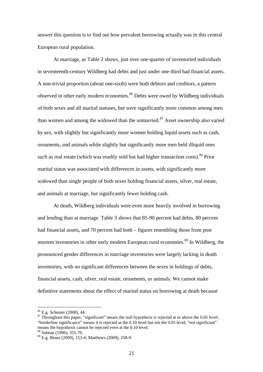answer this question is to find out how prevalent borrowing actually was in this central European rural population.

At marriage, as Table 2 shows, just over one-quarter of inventoried individuals in seventeenth-century Wildberg had debts and just under one-third had financial assets. A non-trivial proportion (about one-sixth) were both debtors and creditors, a pattern observed in other early modern economies.<sup>86</sup> Debts were owed by Wildberg individuals of both sexes and all marital statuses, but were significantly more common among men than women and among the widowed than the unmarried.<sup>87</sup> Asset ownership also varied by sex, with slightly but significantly more women holding liquid assets such as cash, ornaments, and animals while slightly but significantly more men held illiquid ones such as real estate (which was readily sold but had higher transaction costs).<sup>88</sup> Prior marital status was associated with differences in assets, with significantly more widowed than single people of both sexes holding financial assets, silver, real estate, and animals at marriage, but significantly fewer holding cash.

At death, Wildberg individuals were even more heavily involved in borrowing and lending than at marriage. Table 3 shows that 85-90 percent had debts, 80 percent had financial assets, and 70 percent had both – figures resembling those from post mortem inventories in other early modern European rural economies.<sup>89</sup> In Wildberg, the pronounced gender differences in marriage inventories were largely lacking in death inventories, with no significant differences between the sexes in holdings of debts, financial assets, cash, silver, real estate, ornaments, or animals. We cannot make definitive statements about the effect of marital status on borrowing at death because

<sup>86</sup> E.g. Schuster (2008), 44.

 $87$  Throughout this paper, "significant" means the null hypothesis is rejected at or above the 0.05 level; "borderline significance" means it is rejected at the 0.10 level but not the 0.05 level; "not significant" means the hypothesis cannot be rejected even at the 0.10 level.<br><sup>88</sup> Sabean (1990), 355-70.

<sup>89</sup> E.g. Béaur (2009), 153-4; Matthews (2009), 258-9.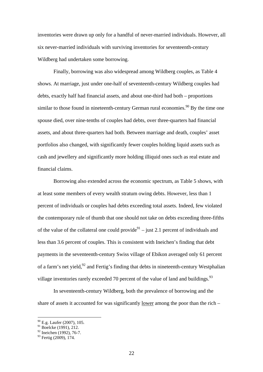inventories were drawn up only for a handful of never-married individuals. However, all six never-married individuals with surviving inventories for seventeenth-century Wildberg had undertaken some borrowing.

 Finally, borrowing was also widespread among Wildberg couples, as Table 4 shows. At marriage, just under one-half of seventeenth-century Wildberg couples had debts, exactly half had financial assets, and about one-third had both – proportions similar to those found in nineteenth-century German rural economies.<sup>90</sup> By the time one spouse died, over nine-tenths of couples had debts, over three-quarters had financial assets, and about three-quarters had both. Between marriage and death, couples' asset portfolios also changed, with significantly fewer couples holding liquid assets such as cash and jewellery and significantly more holding illiquid ones such as real estate and financial claims.

 Borrowing also extended across the economic spectrum, as Table 5 shows, with at least some members of every wealth stratum owing debts. However, less than 1 percent of individuals or couples had debts exceeding total assets. Indeed, few violated the contemporary rule of thumb that one should not take on debts exceeding three-fifths of the value of the collateral one could provide<sup>91</sup> – just 2.1 percent of individuals and less than 3.6 percent of couples. This is consistent with Ineichen's finding that debt payments in the seventeenth-century Swiss village of Ebikon averaged only 61 percent of a farm's net yield,  $92$  and Fertig's finding that debts in nineteenth-century Westphalian village inventories rarely exceeded 70 percent of the value of land and buildings.  $93$ 

 In seventeenth-century Wildberg, both the prevalence of borrowing and the share of assets it accounted for was significantly lower among the poor than the rich –

 $90$  E.g. Laufer (2007), 105.

 $91$  Boelcke (1991), 212.

 $92$  Ineichen (1992), 76-7.

<sup>&</sup>lt;sup>93</sup> Fertig (2009), 174.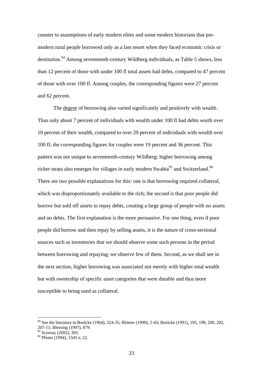counter to assumptions of early modern elites and some modern historians that premodern rural people borrowed only as a last resort when they faced economic crisis or destitution.<sup>94</sup> Among seventeenth-century Wildberg individuals, as Table 5 shows, less than 12 percent of those with under 100 fl total assets had debts, compared to 47 percent of those with over 100 fl. Among couples, the corresponding figures were 27 percent and 62 percent.

The degree of borrowing also varied significantly and positively with wealth. Thus only about 7 percent of individuals with wealth under 100 fl had debts worth over 10 percent of their wealth, compared to over 29 percent of individuals with wealth over 100 fl; the corresponding figures for couples were 19 percent and 36 percent. This pattern was not unique to seventeenth-century Wildberg: higher borrowing among richer strata also emerges for villages in early modern Swabia<sup>95</sup> and Switzerland.<sup>96</sup> There are two possible explanations for this: one is that borrowing required collateral, which was disproportionately available to the rich; the second is that poor people did borrow but sold off assets to repay debts, creating a large group of people with no assets and no debts. The first explanation is the more persuasive. For one thing, even if poor people did borrow and then repay by selling assets, it is the nature of cross-sectional sources such as inventories that we should observe some such persons in the period between borrowing and repaying; we observe few of them. Second, as we shall see in the next section, higher borrowing was associated not merely with higher total wealth but with ownership of specific asset categories that were durable and thus more susceptible to being used as collateral.

<sup>&</sup>lt;sup>94</sup> See the literature in Boelcke (1964), 324-35; Blömer (1990), 2-43; Boelcke (1991), 195, 198, 200, 202, 207-11; Blessing (1997), 879.

<sup>&</sup>lt;sup>95</sup> Sczesny (2002), 303.

<sup>96</sup> Pfister (1994), 1345 n. 22.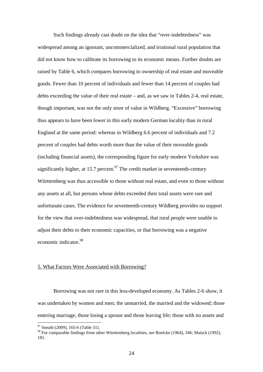Such findings already cast doubt on the idea that "over-indebtedness" was widespread among an ignorant, uncommercialized, and irrational rural population that did not know how to calibrate its borrowing to its economic means. Further doubts are raised by Table 6, which compares borrowing to ownership of real estate and moveable goods. Fewer than 10 percent of individuals and fewer than 14 percent of couples had debts exceeding the value of their real estate – and, as we saw in Tables 2-4, real estate, though important, was not the only store of value in Wildberg. "Excessive" borrowing thus appears to have been lower in this early modern German locality than in rural England at the same period: whereas in Wildberg 6.6 percent of individuals and 7.2 percent of couples had debts worth more than the value of their moveable goods (including financial assets), the corresponding figure for early modern Yorkshire was significantly higher, at 15.7 percent.<sup>97</sup> The credit market in seventeenth-century Württemberg was thus accessible to those without real estate, and even to those without any assets at all, but persons whose debts exceeded their total assets were rare and unfortunate cases. The evidence for seventeenth-century Wildberg provides no support for the view that over-indebtedness was widespread, that rural people were unable to adjust their debts to their economic capacities, or that borrowing was a negative economic indicator.98

#### 5. What Factors Were Associated with Borrowing?

Borrowing was not rare in this less-developed economy. As Tables 2-6 show, it was undertaken by women and men; the unmarried, the married and the widowed; those entering marriage, those losing a spouse and those leaving life; those with no assets and

 $97$  Sneath (2009), 165-6 (Table 31).

<sup>98</sup> For comparable findings from other Württemberg localities, see Boelcke (1964), 346; Maisch (1992), 181.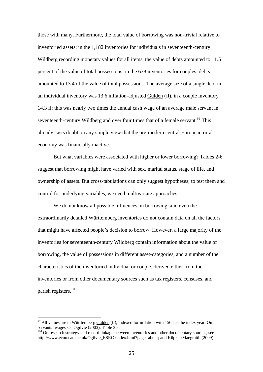those with many. Furthermore, the total value of borrowing was non-trivial relative to inventoried assets: in the 1,182 inventories for individuals in seventeenth-century Wildberg recording monetary values for all items, the value of debts amounted to 11.5 percent of the value of total possessions; in the 638 inventories for couples, debts amounted to 13.4 of the value of total possessions. The average size of a single debt in an individual inventory was 13.6 inflation-adjusted Gulden (fl), in a couple inventory 14.3 fl; this was nearly two times the annual cash wage of an average male servant in seventeenth-century Wildberg and over four times that of a female servant.<sup>99</sup> This already casts doubt on any simple view that the pre-modern central European rural economy was financially inactive.

But what variables were associated with higher or lower borrowing? Tables 2-6 suggest that borrowing might have varied with sex, marital status, stage of life, and ownership of assets. But cross-tabulations can only suggest hypotheses; to test them and control for underlying variables, we need multivariate approaches.

We do not know all possible influences on borrowing, and even the extraordinarily detailed Württemberg inventories do not contain data on all the factors that might have affected people's decision to borrow. However, a large majority of the inventories for seventeenth-century Wildberg contain information about the value of borrowing, the value of possessions in different asset-categories, and a number of the characteristics of the inventoried individual or couple, derived either from the inventories or from other documentary sources such as tax registers, censuses, and parish registers.100

 $99$  All values are in Württemberg Gulden (fl), indexed for inflation with 1565 as the index year. On servants' wages see Ogilvie (2003), Table 3.8.

<sup>&</sup>lt;sup>100</sup> On research strategy and record linkage between inventories and other documentary sources, see http://www.econ.cam.ac.uk/Ogilvie\_ESRC /index.html?page=about; and Küpker/Maegraith (2009).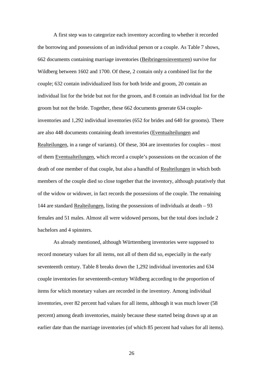A first step was to categorize each inventory according to whether it recorded the borrowing and possessions of an individual person or a couple. As Table 7 shows, 662 documents containing marriage inventories (Beibringensinventuren) survive for Wildberg between 1602 and 1700. Of these, 2 contain only a combined list for the couple; 632 contain individualized lists for both bride and groom, 20 contain an individual list for the bride but not for the groom, and 8 contain an individual list for the groom but not the bride. Together, these 662 documents generate 634 coupleinventories and 1,292 individual inventories (652 for brides and 640 for grooms). There are also 448 documents containing death inventories (Eventualteilungen and Realteilungen, in a range of variants). Of these, 304 are inventories for couples – most of them Eventualteilungen, which record a couple's possessions on the occasion of the death of one member of that couple, but also a handful of Realteilungen in which both members of the couple died so close together that the inventory, although putatively that of the widow or widower, in fact records the possessions of the couple. The remaining 144 are standard Realteilungen, listing the possessions of individuals at death – 93 females and 51 males. Almost all were widowed persons, but the total does include 2 bachelors and 4 spinsters.

As already mentioned, although Württemberg inventories were supposed to record monetary values for all items, not all of them did so, especially in the early seventeenth century. Table 8 breaks down the 1,292 individual inventories and 634 couple inventories for seventeenth-century Wildberg according to the proportion of items for which monetary values are recorded in the inventory. Among individual inventories, over 82 percent had values for all items, although it was much lower (58 percent) among death inventories, mainly because these started being drawn up at an earlier date than the marriage inventories (of which 85 percent had values for all items).

26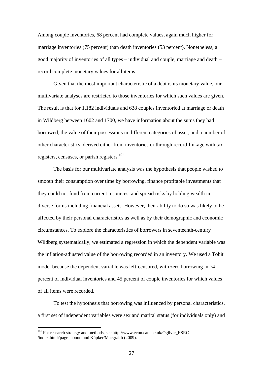Among couple inventories, 68 percent had complete values, again much higher for marriage inventories (75 percent) than death inventories (53 percent). Nonetheless, a good majority of inventories of all types – individual and couple, marriage and death – record complete monetary values for all items.

Given that the most important characteristic of a debt is its monetary value, our multivariate analyses are restricted to those inventories for which such values are given. The result is that for 1,182 individuals and 638 couples inventoried at marriage or death in Wildberg between 1602 and 1700, we have information about the sums they had borrowed, the value of their possessions in different categories of asset, and a number of other characteristics, derived either from inventories or through record-linkage with tax registers, censuses, or parish registers.<sup>101</sup>

The basis for our multivariate analysis was the hypothesis that people wished to smooth their consumption over time by borrowing, finance profitable investments that they could not fund from current resources, and spread risks by holding wealth in diverse forms including financial assets. However, their ability to do so was likely to be affected by their personal characteristics as well as by their demographic and economic circumstances. To explore the characteristics of borrowers in seventeenth-century Wildberg systematically, we estimated a regression in which the dependent variable was the inflation-adjusted value of the borrowing recorded in an inventory. We used a Tobit model because the dependent variable was left-censored, with zero borrowing in 74 percent of individual inventories and 45 percent of couple inventories for which values of all items were recorded.

To test the hypothesis that borrowing was influenced by personal characteristics, a first set of independent variables were sex and marital status (for individuals only) and

<sup>&</sup>lt;sup>101</sup> For research strategy and methods, see http://www.econ.cam.ac.uk/Ogilvie\_ESRC /index.html?page=about; and Küpker/Maegraith (2009).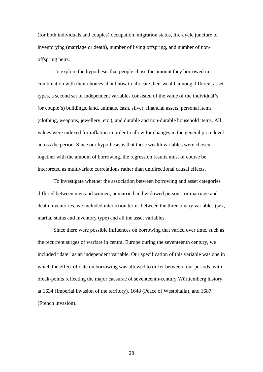(for both individuals and couples) occupation, migration status, life-cycle juncture of inventorying (marriage or death), number of living offspring, and number of nonoffspring heirs.

To explore the hypothesis that people chose the amount they borrowed in combination with their choices about how to allocate their wealth among different asset types, a second set of independent variables consisted of the value of the individual's (or couple's) buildings, land, animals, cash, silver, financial assets, personal items (clothing, weapons, jewellery, etc.), and durable and non-durable household items. All values were indexed for inflation in order to allow for changes in the general price level across the period. Since our hypothesis is that these wealth variables were chosen together with the amount of borrowing, the regression results must of course be interpreted as multivariate correlations rather than unidirectional causal effects.

To investigate whether the association between borrowing and asset categories differed between men and women, unmarried and widowed persons, or marriage and death inventories, we included interaction terms between the three binary variables (sex, marital status and inventory type) and all the asset variables.

Since there were possible influences on borrowing that varied over time, such as the recurrent surges of warfare in central Europe during the seventeenth century, we included "date" as an independent variable. Our specification of this variable was one in which the effect of date on borrowing was allowed to differ between four periods, with break-points reflecting the major caesurae of seventeenth-century Württemberg history, at 1634 (Imperial invasion of the territory), 1648 (Peace of Westphalia), and 1687 (French invasion).

28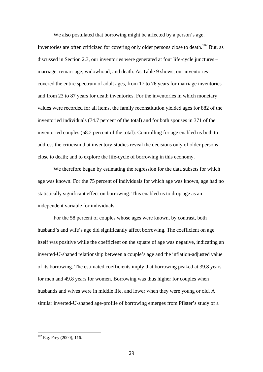We also postulated that borrowing might be affected by a person's age. Inventories are often criticized for covering only older persons close to death.<sup>102</sup> But, as discussed in Section 2.3, our inventories were generated at four life-cycle junctures – marriage, remarriage, widowhood, and death. As Table 9 shows, our inventories covered the entire spectrum of adult ages, from 17 to 76 years for marriage inventories and from 23 to 87 years for death inventories. For the inventories in which monetary values were recorded for all items, the family reconstitution yielded ages for 882 of the inventoried individuals (74.7 percent of the total) and for both spouses in 371 of the inventoried couples (58.2 percent of the total). Controlling for age enabled us both to address the criticism that inventory-studies reveal the decisions only of older persons close to death; and to explore the life-cycle of borrowing in this economy.

We therefore began by estimating the regression for the data subsets for which age was known. For the 75 percent of individuals for which age was known, age had no statistically significant effect on borrowing. This enabled us to drop age as an independent variable for individuals.

For the 58 percent of couples whose ages were known, by contrast, both husband's and wife's age did significantly affect borrowing. The coefficient on age itself was positive while the coefficient on the square of age was negative, indicating an inverted-U-shaped relationship between a couple's age and the inflation-adjusted value of its borrowing. The estimated coefficients imply that borrowing peaked at 39.8 years for men and 49.8 years for women. Borrowing was thus higher for couples when husbands and wives were in middle life, and lower when they were young or old. A similar inverted-U-shaped age-profile of borrowing emerges from Pfister's study of a

 $102$  E.g. Frey (2000), 116.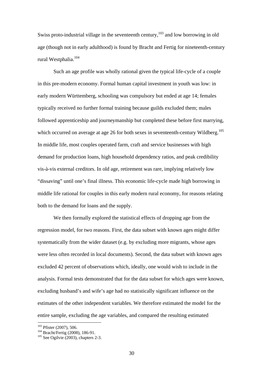Swiss proto-industrial village in the seventeenth century,  $^{103}$  and low borrowing in old age (though not in early adulthood) is found by Bracht and Fertig for nineteenth-century rural Westphalia.<sup>104</sup>

Such an age profile was wholly rational given the typical life-cycle of a couple in this pre-modern economy. Formal human capital investment in youth was low: in early modern Württemberg, schooling was compulsory but ended at age 14; females typically received no further formal training because guilds excluded them; males followed apprenticeship and journeymanship but completed these before first marrying, which occurred on average at age 26 for both sexes in seventeenth-century Wildberg.<sup>105</sup> In middle life, most couples operated farm, craft and service businesses with high demand for production loans, high household dependency ratios, and peak credibility vis-à-vis external creditors. In old age, retirement was rare, implying relatively low "dissaving" until one's final illness. This economic life-cycle made high borrowing in middle life rational for couples in this early modern rural economy, for reasons relating both to the demand for loans and the supply.

We then formally explored the statistical effects of dropping age from the regression model, for two reasons. First, the data subset with known ages might differ systematically from the wider dataset (e.g. by excluding more migrants, whose ages were less often recorded in local documents). Second, the data subset with known ages excluded 42 percent of observations which, ideally, one would wish to include in the analysis. Formal tests demonstrated that for the data subset for which ages were known, excluding husband's and wife's age had no statistically significant influence on the estimates of the other independent variables. We therefore estimated the model for the entire sample, excluding the age variables, and compared the resulting estimated

<sup>&</sup>lt;sup>103</sup> Pfister (2007), 506.<br><sup>104</sup> Bracht/Fertig (2008), 186-91.<br><sup>105</sup> See Ogilvie (2003), chapters 2-3.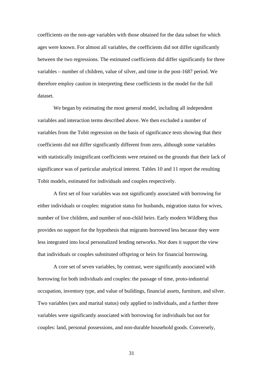coefficients on the non-age variables with those obtained for the data subset for which ages were known. For almost all variables, the coefficients did not differ significantly between the two regressions. The estimated coefficients did differ significantly for three variables – number of children, value of silver, and time in the post-1687 period. We therefore employ caution in interpreting these coefficients in the model for the full dataset.

We began by estimating the most general model, including all independent variables and interaction terms described above. We then excluded a number of variables from the Tobit regression on the basis of significance tests showing that their coefficients did not differ significantly different from zero, although some variables with statistically insignificant coefficients were retained on the grounds that their lack of significance was of particular analytical interest. Tables 10 and 11 report the resulting Tobit models, estimated for individuals and couples respectively.

A first set of four variables was not significantly associated with borrowing for either individuals or couples: migration status for husbands, migration status for wives, number of live children, and number of non-child heirs. Early modern Wildberg thus provides no support for the hypothesis that migrants borrowed less because they were less integrated into local personalized lending networks. Nor does it support the view that individuals or couples substituted offspring or heirs for financial borrowing.

A core set of seven variables, by contrast, were significantly associated with borrowing for both individuals and couples: the passage of time, proto-industrial occupation, inventory type, and value of buildings, financial assets, furniture, and silver. Two variables (sex and marital status) only applied to individuals, and a further three variables were significantly associated with borrowing for individuals but not for couples: land, personal possessions, and non-durable household goods. Conversely,

31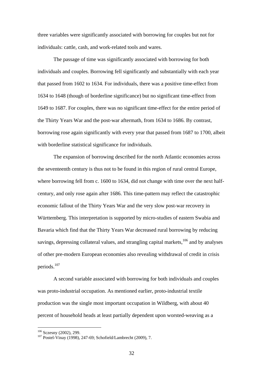three variables were significantly associated with borrowing for couples but not for individuals: cattle, cash, and work-related tools and wares.

The passage of time was significantly associated with borrowing for both individuals and couples. Borrowing fell significantly and substantially with each year that passed from 1602 to 1634. For individuals, there was a positive time-effect from 1634 to 1648 (though of borderline significance) but no significant time-effect from 1649 to 1687. For couples, there was no significant time-effect for the entire period of the Thirty Years War and the post-war aftermath, from 1634 to 1686. By contrast, borrowing rose again significantly with every year that passed from 1687 to 1700, albeit with borderline statistical significance for individuals.

The expansion of borrowing described for the north Atlantic economies across the seventeenth century is thus not to be found in this region of rural central Europe, where borrowing fell from c. 1600 to 1634, did not change with time over the next halfcentury, and only rose again after 1686. This time-pattern may reflect the catastrophic economic fallout of the Thirty Years War and the very slow post-war recovery in Württemberg. This interpretation is supported by micro-studies of eastern Swabia and Bavaria which find that the Thirty Years War decreased rural borrowing by reducing savings, depressing collateral values, and strangling capital markets,  $106$  and by analyses of other pre-modern European economies also revealing withdrawal of credit in crisis periods.107

A second variable associated with borrowing for both individuals and couples was proto-industrial occupation. As mentioned earlier, proto-industrial textile production was the single most important occupation in Wildberg, with about 40 percent of household heads at least partially dependent upon worsted-weaving as a

<sup>&</sup>lt;sup>106</sup> Sczesny (2002), 299.<br><sup>107</sup> Postel-Vinay (1998), 247-69; Schofield/Lambrecht (2009), 7.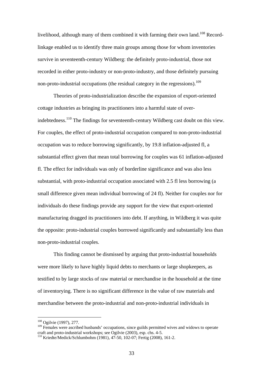livelihood, although many of them combined it with farming their own land.<sup>108</sup> Recordlinkage enabled us to identify three main groups among those for whom inventories survive in seventeenth-century Wildberg: the definitely proto-industrial, those not recorded in either proto-industry or non-proto-industry, and those definitely pursuing non-proto-industrial occupations (the residual category in the regressions).<sup>109</sup>

Theories of proto-industrialization describe the expansion of export-oriented cottage industries as bringing its practitioners into a harmful state of overindebtedness.<sup>110</sup> The findings for seventeenth-century Wildberg cast doubt on this view. For couples, the effect of proto-industrial occupation compared to non-proto-industrial occupation was to reduce borrowing significantly, by 19.8 inflation-adjusted fl, a substantial effect given that mean total borrowing for couples was 61 inflation-adjusted fl. The effect for individuals was only of borderline significance and was also less substantial, with proto-industrial occupation associated with 2.5 fl less borrowing (a small difference given mean individual borrowing of 24 fl). Neither for couples nor for individuals do these findings provide any support for the view that export-oriented manufacturing dragged its practitioners into debt. If anything, in Wildberg it was quite the opposite: proto-industrial couples borrowed significantly and substantially less than non-proto-industrial couples.

This finding cannot be dismissed by arguing that proto-industrial households were more likely to have highly liquid debts to merchants or large shopkeepers, as testified to by large stocks of raw material or merchandise in the household at the time of inventorying. There is no significant difference in the value of raw materials and merchandise between the proto-industrial and non-proto-industrial individuals in

<sup>108</sup> Ogilvie (1997), 277.

<sup>&</sup>lt;sup>109</sup> Females were ascribed husbands' occupations, since guilds permitted wives and widows to operate craft and proto-industrial workshops; see Ogilvie (2003), esp. chs. 4-5.

<sup>110</sup> Kriedte/Medick/Schlumbohm (1981), 47-50, 102-07; Fertig (2008), 161-2.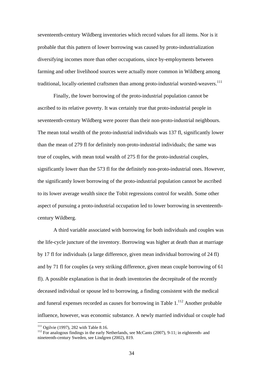seventeenth-century Wildberg inventories which record values for all items. Nor is it probable that this pattern of lower borrowing was caused by proto-industrialization diversifying incomes more than other occupations, since by-employments between farming and other livelihood sources were actually more common in Wildberg among traditional, locally-oriented craftsmen than among proto-industrial worsted-weavers.<sup>111</sup>

Finally, the lower borrowing of the proto-industrial population cannot be ascribed to its relative poverty. It was certainly true that proto-industrial people in seventeenth-century Wildberg were poorer than their non-proto-industrial neighbours. The mean total wealth of the proto-industrial individuals was 137 fl, significantly lower than the mean of 279 fl for definitely non-proto-industrial individuals; the same was true of couples, with mean total wealth of 275 fl for the proto-industrial couples, significantly lower than the 573 fl for the definitely non-proto-industrial ones. However, the significantly lower borrowing of the proto-industrial population cannot be ascribed to its lower average wealth since the Tobit regressions control for wealth. Some other aspect of pursuing a proto-industrial occupation led to lower borrowing in seventeenthcentury Wildberg.

A third variable associated with borrowing for both individuals and couples was the life-cycle juncture of the inventory. Borrowing was higher at death than at marriage by 17 fl for individuals (a large difference, given mean individual borrowing of 24 fl) and by 71 fl for couples (a very striking difference, given mean couple borrowing of 61 fl). A possible explanation is that in death inventories the decrepitude of the recently deceased individual or spouse led to borrowing, a finding consistent with the medical and funeral expenses recorded as causes for borrowing in Table  $1<sup>112</sup>$  Another probable influence, however, was economic substance. A newly married individual or couple had

<sup>&</sup>lt;sup>111</sup> Ogilvie (1997), 282 with Table 8.16.<br><sup>112</sup> For analogous findings in the early Netherlands, see McCants (2007), 9-11; in eighteenth- and nineteenth-century Sweden, see Lindgren (2002), 819.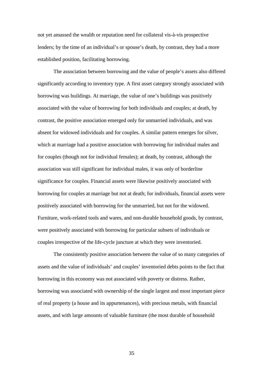not yet amassed the wealth or reputation need for collateral vis-à-vis prospective lenders; by the time of an individual's or spouse's death, by contrast, they had a more established position, facilitating borrowing.

The association between borrowing and the value of people's assets also differed significantly according to inventory type. A first asset category strongly associated with borrowing was buildings. At marriage, the value of one's buildings was positively associated with the value of borrowing for both individuals and couples; at death, by contrast, the positive association emerged only for unmarried individuals, and was absent for widowed individuals and for couples. A similar pattern emerges for silver, which at marriage had a positive association with borrowing for individual males and for couples (though not for individual females); at death, by contrast, although the association was still significant for individual males, it was only of borderline significance for couples. Financial assets were likewise positively associated with borrowing for couples at marriage but not at death; for individuals, financial assets were positively associated with borrowing for the unmarried, but not for the widowed. Furniture, work-related tools and wares, and non-durable household goods, by contrast, were positively associated with borrowing for particular subsets of individuals or couples irrespective of the life-cycle juncture at which they were inventoried.

The consistently positive association between the value of so many categories of assets and the value of individuals' and couples' inventoried debts points to the fact that borrowing in this economy was not associated with poverty or distress. Rather, borrowing was associated with ownership of the single largest and most important piece of real property (a house and its appurtenances), with precious metals, with financial assets, and with large amounts of valuable furniture (the most durable of household

35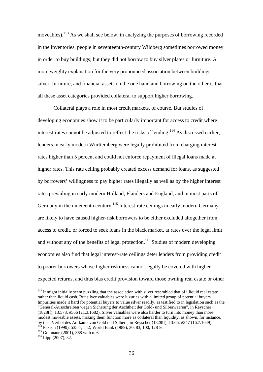moveables).<sup>113</sup> As we shall see below, in analyzing the purposes of borrowing recorded in the inventories, people in seventeenth-century Wildberg sometimes borrowed money in order to buy buildings; but they did not borrow to buy silver plates or furniture. A more weighty explanation for the very pronounced association between buildings, silver, furniture, and financial assets on the one hand and borrowing on the other is that all these asset categories provided collateral to support higher borrowing.

Collateral plays a role in most credit markets, of course. But studies of developing economies show it to be particularly important for access to credit where interest-rates cannot be adjusted to reflect the risks of lending.<sup>114</sup> As discussed earlier, lenders in early modern Württemberg were legally prohibited from charging interest rates higher than 5 percent and could not enforce repayment of illegal loans made at higher rates. This rate ceiling probably created excess demand for loans, as suggested by borrowers' willingness to pay higher rates illegally as well as by the higher interest rates prevailing in early modern Holland, Flanders and England, and in most parts of Germany in the nineteenth century.<sup>115</sup> Interest-rate ceilings in early modern Germany are likely to have caused higher-risk borrowers to be either excluded altogether from access to credit, or forced to seek loans in the black market, at rates over the legal limit and without any of the benefits of legal protection.<sup>116</sup> Studies of modern developing economies also find that legal interest-rate ceilings deter lenders from providing credit to poorer borrowers whose higher riskiness cannot legally be covered with higher expected returns, and thus bias credit provision toward those owning real estate or other

<sup>113</sup> It might initially seem puzzling that the association with silver resembled that of illiquid real estate rather than liquid cash. But silver valuables were luxuries with a limited group of potential buyers. Impurities made it hard for potential buyers to value silver readily, as testified to in legislation such as the "General-Ausschreiben wegen Sicherung der Aechtheit der Gold- und Silberwaaren", in Reyscher (1828ff), 13:578, #566 (21.3.1682). Silver valuables were also harder to turn into money than more modest moveable assets, making them function more as collateral than liquidity, as shown, for instance, by the "Verbot des Aufkaufs von Gold und Silber", in Reyscher (1828ff), 13:66, #347 (16.7.1649).

<sup>&</sup>lt;sup>114</sup> Paxson (1990), 535-7, 542; World Bank (1989), 30, 83, 100, 128-9.<br><sup>115</sup> Guinnane (2001), 368 with n. 6.<br><sup>116</sup> Lipp (2007), 32.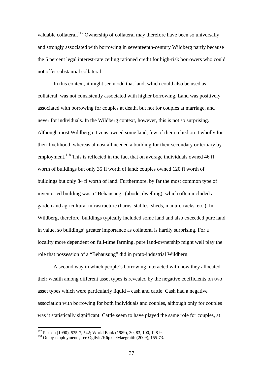valuable collateral.<sup>117</sup> Ownership of collateral may therefore have been so universally and strongly associated with borrowing in seventeenth-century Wildberg partly because the 5 percent legal interest-rate ceiling rationed credit for high-risk borrowers who could not offer substantial collateral.

 In this context, it might seem odd that land, which could also be used as collateral, was not consistently associated with higher borrowing. Land was positively associated with borrowing for couples at death, but not for couples at marriage, and never for individuals. In the Wildberg context, however, this is not so surprising. Although most Wildberg citizens owned some land, few of them relied on it wholly for their livelihood, whereas almost all needed a building for their secondary or tertiary byemployment.<sup>118</sup> This is reflected in the fact that on average individuals owned 46 fl worth of buildings but only 35 fl worth of land; couples owned 120 fl worth of buildings but only 84 fl worth of land. Furthermore, by far the most common type of inventoried building was a "Behausung" (abode, dwelling), which often included a garden and agricultural infrastructure (barns, stables, sheds, manure-racks, etc.). In Wildberg, therefore, buildings typically included some land and also exceeded pure land in value, so buildings' greater importance as collateral is hardly surprising. For a locality more dependent on full-time farming, pure land-ownership might well play the role that possession of a "Behausung" did in proto-industrial Wildberg.

A second way in which people's borrowing interacted with how they allocated their wealth among different asset types is revealed by the negative coefficients on two asset types which were particularly liquid – cash and cattle. Cash had a negative association with borrowing for both individuals and couples, although only for couples was it statistically significant. Cattle seem to have played the same role for couples, at

<sup>117</sup> Paxson (1990), 535-7, 542; World Bank (1989), 30, 83, 100, 128-9.

 $118$  On by-employments, see Ogilvie/Küpker/Maegraith (2009), 155-73.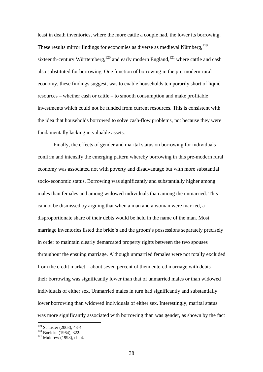least in death inventories, where the more cattle a couple had, the lower its borrowing. These results mirror findings for economies as diverse as medieval Nürnberg,<sup>119</sup> sixteenth-century Württemberg,  $120$  and early modern England,  $121$  where cattle and cash also substituted for borrowing. One function of borrowing in the pre-modern rural economy, these findings suggest, was to enable households temporarily short of liquid resources – whether cash or cattle – to smooth consumption and make profitable investments which could not be funded from current resources. This is consistent with the idea that households borrowed to solve cash-flow problems, not because they were fundamentally lacking in valuable assets.

Finally, the effects of gender and marital status on borrowing for individuals confirm and intensify the emerging pattern whereby borrowing in this pre-modern rural economy was associated not with poverty and disadvantage but with more substantial socio-economic status. Borrowing was significantly and substantially higher among males than females and among widowed individuals than among the unmarried. This cannot be dismissed by arguing that when a man and a woman were married, a disproportionate share of their debts would be held in the name of the man. Most marriage inventories listed the bride's and the groom's possessions separately precisely in order to maintain clearly demarcated property rights between the two spouses throughout the ensuing marriage. Although unmarried females were not totally excluded from the credit market – about seven percent of them entered marriage with debts – their borrowing was significantly lower than that of unmarried males or than widowed individuals of either sex. Unmarried males in turn had significantly and substantially lower borrowing than widowed individuals of either sex. Interestingly, marital status was more significantly associated with borrowing than was gender, as shown by the fact

<sup>&</sup>lt;sup>119</sup> Schuster (2008), 43-4.<br><sup>120</sup> Boelcke (1964), 322.<br><sup>121</sup> Muldrew (1998), ch. 4.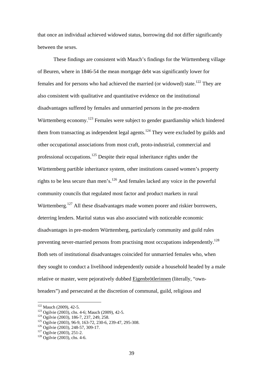that once an individual achieved widowed status, borrowing did not differ significantly between the sexes.

These findings are consistent with Mauch's findings for the Württemberg village of Beuren, where in 1846-54 the mean mortgage debt was significantly lower for females and for persons who had achieved the married (or widowed) state.<sup>122</sup> They are also consistent with qualitative and quantitative evidence on the institutional disadvantages suffered by females and unmarried persons in the pre-modern Württemberg economy.<sup>123</sup> Females were subject to gender guardianship which hindered them from transacting as independent legal agents.<sup>124</sup> They were excluded by guilds and other occupational associations from most craft, proto-industrial, commercial and professional occupations.125 Despite their equal inheritance rights under the Württemberg partible inheritance system, other institutions caused women's property rights to be less secure than men's.126 And females lacked any voice in the powerful community councils that regulated most factor and product markets in rural Württemberg.<sup>127</sup> All these disadvantages made women poorer and riskier borrowers, deterring lenders. Marital status was also associated with noticeable economic disadvantages in pre-modern Württemberg, particularly community and guild rules preventing never-married persons from practising most occupations independently.<sup>128</sup> Both sets of institutional disadvantages coincided for unmarried females who, when they sought to conduct a livelihood independently outside a household headed by a male relative or master, were pejoratively dubbed Eigenbrötlerinnen (literally, "ownbreaders") and persecuted at the discretion of communal, guild, religious and

 $122$  Mauch (2009), 42-5.

<sup>&</sup>lt;sup>123</sup> Ogilvie (2003), chs. 4-6; Mauch (2009), 42-5.<br><sup>124</sup> Ogilvie (2003), 186-7, 237, 249, 258.<br><sup>125</sup> Ogilvie (2003), 96-9, 163-72, 230-6, 239-47, 295-308.<br><sup>126</sup> Ogilvie (2003), 248-57, 309-17.<br><sup>127</sup> Ogilvie (2003), 251-2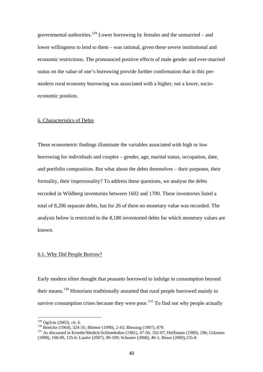governmental authorities.<sup>129</sup> Lower borrowing by females and the unmarried – and lower willingness to lend to them – was rational, given these severe institutional and economic restrictions. The pronounced positive effects of male gender and ever-married status on the value of one's borrowing provide further confirmation that in this premodern rural economy borrowing was associated with a higher, not a lower, socioeconomic position.

# 6. Characteristics of Debts

These econometric findings illuminate the variables associated with high or low borrowing for individuals and couples – gender, age, marital status, occupation, date, and portfolio composition. But what about the debts themselves – their purposes, their formality, their impersonality? To address these questions, we analyse the debts recorded in Wildberg inventories between 1602 and 1700. These inventories listed a total of 8,206 separate debts, but for 26 of them no monetary value was recorded. The analysis below is restricted to the 8,180 inventoried debts for which monetary values are known.

#### 6.1. Why Did People Borrow?

Early modern elites thought that peasants borrowed to indulge in consumption beyond their means.<sup>130</sup> Historians traditionally assumed that rural people borrowed mainly to survive consumption crises because they were poor.<sup>131</sup> To find out why people actually

<sup>&</sup>lt;sup>129</sup> Ogilvie (2003), ch. 6.<br><sup>130</sup> Boelcke (1964), 324-35; Blömer (1990), 2-43; Blessing (1997), 879.<br><sup>131</sup> As discussed in Kriedte/Medick/Schlumbohm (1981), 47-50, 102-07; Hoffmann (1989), 296; Gilomen (1998), 108-09, 135-6; Laufer (2007), 99-109; Schuster (2008), 40-1; Béaur (2009),155-8.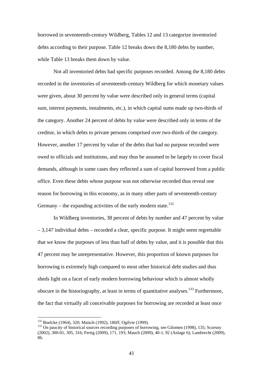borrowed in seventeenth-century Wildberg, Tables 12 and 13 categorize inventoried debts according to their purpose. Table 12 breaks down the 8,180 debts by number, while Table 13 breaks them down by value.

 Not all inventoried debts had specific purposes recorded. Among the 8,180 debts recorded in the inventories of seventeenth-century Wildberg for which monetary values were given, about 30 percent by value were described only in general terms (capital sum, interest payments, instalments, etc.), in which capital sums made up two-thirds of the category. Another 24 percent of debts by value were described only in terms of the creditor, in which debts to private persons comprised over two-thirds of the category. However, another 17 percent by value of the debts that had no purpose recorded were owed to officials and institutions, and may thus be assumed to be largely to cover fiscal demands, although in some cases they reflected a sum of capital borrowed from a public office. Even these debts whose purpose was not otherwise recorded thus reveal one reason for borrowing in this economy, as in many other parts of seventeenth-century Germany – the expanding activities of the early modern state.<sup>132</sup>

 In Wildberg inventories, 38 percent of debts by number and 47 percent by value – 3,147 individual debts – recorded a clear, specific purpose. It might seem regrettable that we know the purposes of less than half of debts by value, and it is possible that this 47 percent may be unrepresentative. However, this proportion of known purposes for borrowing is extremely high compared to most other historical debt studies and thus sheds light on a facet of early modern borrowing behaviour which is almost wholly obscure in the historiography, at least in terms of quantitative analyses.<sup>133</sup> Furthermore, the fact that virtually all conceivable purposes for borrowing are recorded at least once

<sup>&</sup>lt;sup>132</sup> Boelcke (1964), 320; Maisch (1992), 186ff; Ogilvie (1999).<br><sup>133</sup> On paucity of historical sources recording purposes of borrowing, see Gilomen (1998), 135; Sczesny (2002), 300-01, 305, 316; Fertig (2009), 171, 193; Mauch (2009), 40-1, 92 (Anlage 6); Lambrecht (2009), 86.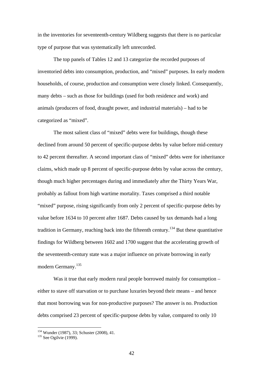in the inventories for seventeenth-century Wildberg suggests that there is no particular type of purpose that was systematically left unrecorded.

The top panels of Tables 12 and 13 categorize the recorded purposes of inventoried debts into consumption, production, and "mixed" purposes. In early modern households, of course, production and consumption were closely linked. Consequently, many debts – such as those for buildings (used for both residence and work) and animals (producers of food, draught power, and industrial materials) – had to be categorized as "mixed".

 The most salient class of "mixed" debts were for buildings, though these declined from around 50 percent of specific-purpose debts by value before mid-century to 42 percent thereafter. A second important class of "mixed" debts were for inheritance claims, which made up 8 percent of specific-purpose debts by value across the century, though much higher percentages during and immediately after the Thirty Years War, probably as fallout from high wartime mortality. Taxes comprised a third notable "mixed" purpose, rising significantly from only 2 percent of specific-purpose debts by value before 1634 to 10 percent after 1687. Debts caused by tax demands had a long tradition in Germany, reaching back into the fifteenth century.134 But these quantitative findings for Wildberg between 1602 and 1700 suggest that the accelerating growth of the seventeenth-century state was a major influence on private borrowing in early modern Germany.<sup>135</sup>

Was it true that early modern rural people borrowed mainly for consumption – either to stave off starvation or to purchase luxuries beyond their means – and hence that most borrowing was for non-productive purposes? The answer is no. Production debts comprised 23 percent of specific-purpose debts by value, compared to only 10

<sup>&</sup>lt;sup>134</sup> Wunder (1987), 33; Schuster (2008), 41.<br><sup>135</sup> See Ogilvie (1999).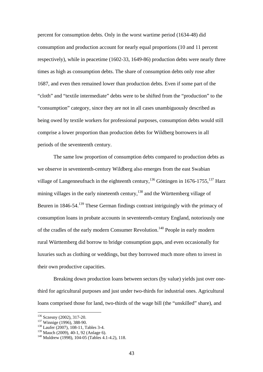percent for consumption debts. Only in the worst wartime period (1634-48) did consumption and production account for nearly equal proportions (10 and 11 percent respectively), while in peacetime (1602-33, 1649-86) production debts were nearly three times as high as consumption debts. The share of consumption debts only rose after 1687, and even then remained lower than production debts. Even if some part of the "cloth" and "textile intermediate" debts were to be shifted from the "production" to the "consumption" category, since they are not in all cases unambiguously described as being owed by textile workers for professional purposes, consumption debts would still comprise a lower proportion than production debts for Wildberg borrowers in all periods of the seventeenth century.

 The same low proportion of consumption debts compared to production debts as we observe in seventeenth-century Wildberg also emerges from the east Swabian village of Langenneufnach in the eighteenth century,<sup>136</sup> Göttingen in 1676-1755,<sup>137</sup> Harz mining villages in the early nineteenth century,  $138$  and the Württemberg village of Beuren in  $1846-54$ <sup>139</sup>. These German findings contrast intriguingly with the primacy of consumption loans in probate accounts in seventeenth-century England, notoriously one of the cradles of the early modern Consumer Revolution.140 People in early modern rural Württemberg did borrow to bridge consumption gaps, and even occasionally for luxuries such as clothing or weddings, but they borrowed much more often to invest in their own productive capacities.

 Breaking down production loans between sectors (by value) yields just over onethird for agricultural purposes and just under two-thirds for industrial ones. Agricultural loans comprised those for land, two-thirds of the wage bill (the "unskilled" share), and

 $\overline{a}$ 

<sup>&</sup>lt;sup>136</sup> Sczesny (2002), 317-20.<br><sup>137</sup> Winnige (1996), 388-90.<br><sup>138</sup> Laufer (2007), 108-11, Tables 3-4.<br><sup>139</sup> Mauch (2009), 40-1, 92 (Anlage 6).

 $140$  Muldrew (1998), 104-05 (Tables 4.1-4.2), 118.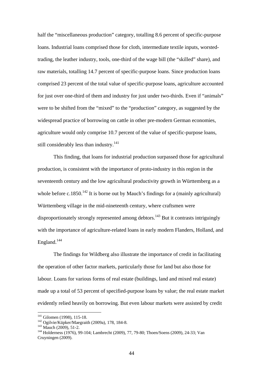half the "miscellaneous production" category, totalling 8.6 percent of specific-purpose loans. Industrial loans comprised those for cloth, intermediate textile inputs, worstedtrading, the leather industry, tools, one-third of the wage bill (the "skilled" share), and raw materials, totalling 14.7 percent of specific-purpose loans. Since production loans comprised 23 percent of the total value of specific-purpose loans, agriculture accounted for just over one-third of them and industry for just under two-thirds. Even if "animals" were to be shifted from the "mixed" to the "production" category, as suggested by the widespread practice of borrowing on cattle in other pre-modern German economies, agriculture would only comprise 10.7 percent of the value of specific-purpose loans, still considerably less than industry.<sup>141</sup>

This finding, that loans for industrial production surpassed those for agricultural production, is consistent with the importance of proto-industry in this region in the seventeenth century and the low agricultural productivity growth in Württemberg as a whole before c.1850.<sup>142</sup> It is borne out by Mauch's findings for a (mainly agricultural) Württemberg village in the mid-nineteenth century, where craftsmen were disproportionately strongly represented among debtors.<sup>143</sup> But it contrasts intriguingly with the importance of agriculture-related loans in early modern Flanders, Holland, and England. $144$ 

 The findings for Wildberg also illustrate the importance of credit in facilitating the operation of other factor markets, particularly those for land but also those for labour. Loans for various forms of real estate (buildings, land and mixed real estate) made up a total of 53 percent of specified-purpose loans by value; the real estate market evidently relied heavily on borrowing. But even labour markets were assisted by credit

 $141$  Gilomen (1998), 115-18.

<sup>142</sup> Ogilvie/Küpker/Maegraith (2009a), 178, 184-8.<br>
<sup>143</sup> Mauch (2009), 51-2.<br>
<sup>144</sup> Holderness (1976), 99-104; Lambrecht (2009), 77, 79-80; Thoen/Soens (2009), 24-33; Van Cruyningen (2009).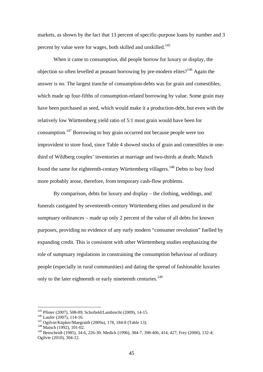markets, as shown by the fact that 13 percent of specific-purpose loans by number and 3 percent by value were for wages, both skilled and unskilled.<sup>145</sup>

 When it came to consumption, did people borrow for luxury or display, the objection so often levelled at peasant borrowing by pre-modern elites?<sup>146</sup> Again the answer is no. The largest tranche of consumption-debts was for grain and comestibles, which made up four-fifths of consumption-related borrowing by value. Some grain may have been purchased as seed, which would make it a production-debt, but even with the relatively low Württemberg yield ratio of 5:1 most grain would have been for consumption.147 Borrowing to buy grain occurred not because people were too improvident to store food, since Table 4 showed stocks of grain and comestibles in onethird of Wildberg couples' inventories at marriage and two-thirds at death; Maisch found the same for eighteenth-century Württemberg villagers.<sup>148</sup> Debts to buy food more probably arose, therefore, from temporary cash-flow problems.

By comparison, debts for luxury and display – the clothing, weddings, and funerals castigated by seventeenth-century Württemberg elites and penalized in the sumptuary ordinances – made up only 2 percent of the value of all debts for known purposes, providing no evidence of any early modern "consumer revolution" fuelled by expanding credit. This is consistent with other Württemberg studies emphasizing the role of sumptuary regulations in constraining the consumption behaviour of ordinary people (especially in rural communities) and dating the spread of fashionable luxuries only to the later eighteenth or early nineteenth centuries.<sup>149</sup>

<sup>&</sup>lt;sup>145</sup> Pfister (2007), 508-09; Schofield/Lambrecht (2009), 14-15.

<sup>&</sup>lt;sup>146</sup> Laufer (2007), 114-16.<br><sup>147</sup> Ogilvie/Küpker/Maegraith (2009a), 178, 184-8 (Table 13). <sup>148</sup> Maisch (1992), 101-02.

<sup>149</sup> Benscheidt (1985), 34-6, 226-30; Medick (1996), 384-7, 398-406, 414, 427; Frey (2000), 132-4; Ogilvie (2010), 304-12.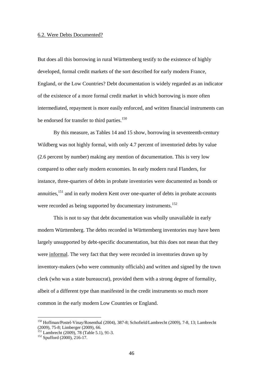#### 6.2. Were Debts Documented?

But does all this borrowing in rural Württemberg testify to the existence of highly developed, formal credit markets of the sort described for early modern France, England, or the Low Countries? Debt documentation is widely regarded as an indicator of the existence of a more formal credit market in which borrowing is more often intermediated, repayment is more easily enforced, and written financial instruments can be endorsed for transfer to third parties.<sup>150</sup>

By this measure, as Tables 14 and 15 show, borrowing in seventeenth-century Wildberg was not highly formal, with only 4.7 percent of inventoried debts by value (2.6 percent by number) making any mention of documentation. This is very low compared to other early modern economies. In early modern rural Flanders, for instance, three-quarters of debts in probate inventories were documented as bonds or annuities,<sup>151</sup> and in early modern Kent over one-quarter of debts in probate accounts were recorded as being supported by documentary instruments.<sup>152</sup>

 This is not to say that debt documentation was wholly unavailable in early modern Württemberg. The debts recorded in Württemberg inventories may have been largely unsupported by debt-specific documentation, but this does not mean that they were informal. The very fact that they were recorded in inventories drawn up by inventory-makers (who were community officials) and written and signed by the town clerk (who was a state bureaucrat), provided them with a strong degree of formality, albeit of a different type than manifested in the credit instruments so much more common in the early modern Low Countries or England.

<sup>150</sup> Hoffman/Postel-Vinay/Rosenthal (2004), 387-8; Schofield/Lambrecht (2009), 7-8, 13; Lambrecht (2009), 75-8; Limberger (2009), 66.

<sup>&</sup>lt;sup>151</sup> Lambrecht (2009), 78 (Table 5.1), 91-3.<br><sup>152</sup> Spufford (2000), 216-17.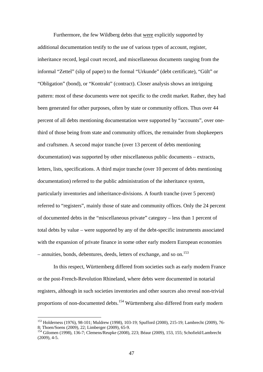Furthermore, the few Wildberg debts that were explicitly supported by additional documentation testify to the use of various types of account, register, inheritance record, legal court record, and miscellaneous documents ranging from the informal "Zettel" (slip of paper) to the formal "Urkunde" (debt certificate), "Gült" or "Obligation" (bond), or "Kontrakt" (contract). Closer analysis shows an intriguing pattern: most of these documents were not specific to the credit market. Rather, they had been generated for other purposes, often by state or community offices. Thus over 44 percent of all debts mentioning documentation were supported by "accounts", over onethird of those being from state and community offices, the remainder from shopkeepers and craftsmen. A second major tranche (over 13 percent of debts mentioning documentation) was supported by other miscellaneous public documents – extracts, letters, lists, specifications. A third major tranche (over 10 percent of debts mentioning documentation) referred to the public administration of the inheritance system, particularly inventories and inheritance-divisions. A fourth tranche (over 5 percent) referred to "registers", mainly those of state and community offices. Only the 24 percent of documented debts in the "miscellaneous private" category – less than 1 percent of total debts by value – were supported by any of the debt-specific instruments associated with the expansion of private finance in some other early modern European economies – annuities, bonds, debentures, deeds, letters of exchange, and so on.<sup>153</sup>

 In this respect, Württemberg differed from societies such as early modern France or the post-French-Revolution Rhineland, where debts were documented in notarial registers, although in such societies inventories and other sources also reveal non-trivial proportions of non-documented debts.<sup>154</sup> Württemberg also differed from early modern

<sup>153</sup> Holderness (1976), 98-101; Muldrew (1998), 103-19; Spufford (2000), 215-19; Lambrecht (2009), 76- 8; Thoen/Soens (2009), 22; Limberger (2009), 65-9.

<sup>154</sup> Gilomen (1998), 136-7; Clemens/Reupke (2008), 223; Béaur (2009), 153, 155; Schofield/Lambrecht  $(2009)$ , 4-5.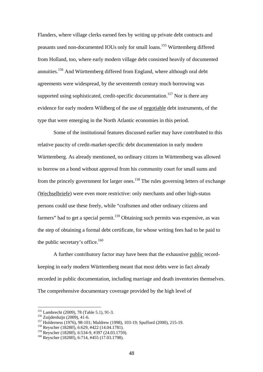Flanders, where village clerks earned fees by writing up private debt contracts and peasants used non-documented IOUs only for small loans.155 Württemberg differed from Holland, too, where early modern village debt consisted heavily of documented annuities.<sup>156</sup> And Württemberg differed from England, where although oral debt agreements were widespread, by the seventeenth century much borrowing was supported using sophisticated, credit-specific documentation.<sup>157</sup> Nor is there any evidence for early modern Wildberg of the use of negotiable debt instruments, of the type that were emerging in the North Atlantic economies in this period.

Some of the institutional features discussed earlier may have contributed to this relative paucity of credit-market-specific debt documentation in early modern Württemberg. As already mentioned, no ordinary citizen in Württemberg was allowed to borrow on a bond without approval from his community court for small sums and from the princely government for larger ones.<sup>158</sup> The rules governing letters of exchange (Wechselbriefe) were even more restrictive: only merchants and other high-status persons could use these freely, while "craftsmen and other ordinary citizens and farmers" had to get a special permit.<sup>159</sup> Obtaining such permits was expensive, as was the step of obtaining a formal debt certificate, for whose writing fees had to be paid to the public secretary's office.<sup>160</sup>

A further contributory factor may have been that the exhaustive public recordkeeping in early modern Württemberg meant that most debts were in fact already recorded in public documentation, including marriage and death inventories themselves. The comprehensive documentary coverage provided by the high level of

<sup>&</sup>lt;sup>155</sup> Lambrecht (2009), 78 (Table 5.1), 91-3.

<sup>&</sup>lt;sup>156</sup> Zuijderduijn (2009), 41-6.<br><sup>157</sup> Holderness (1976), 98-101; Muldrew (1998), 103-19; Spufford (2000), 215-19.<br><sup>158</sup> Reyscher (1828ff), 6:629, #422 (14.04.1781).<br><sup>159</sup> Reyscher (1828ff), 6:534-9, #397 (24.03.1759).

 $160$  Reyscher (1828ff), 6:714, #455 (17.03.1798).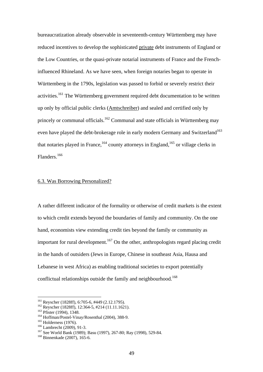bureaucratization already observable in seventeenth-century Württemberg may have reduced incentives to develop the sophisticated private debt instruments of England or the Low Countries, or the quasi-private notarial instruments of France and the Frenchinfluenced Rhineland. As we have seen, when foreign notaries began to operate in Württemberg in the 1790s, legislation was passed to forbid or severely restrict their activities.161 The Württemberg government required debt documentation to be written up only by official public clerks (Amtschreiber) and sealed and certified only by princely or communal officials.162 Communal and state officials in Württemberg may even have played the debt-brokerage role in early modern Germany and Switzerland<sup>163</sup> that notaries played in France,  $164$  county attorneys in England,  $165$  or village clerks in Flanders.<sup>166</sup>

# 6.3. Was Borrowing Personalized?

A rather different indicator of the formality or otherwise of credit markets is the extent to which credit extends beyond the boundaries of family and community. On the one hand, economists view extending credit ties beyond the family or community as important for rural development.<sup>167</sup> On the other, anthropologists regard placing credit in the hands of outsiders (Jews in Europe, Chinese in southeast Asia, Hausa and Lebanese in west Africa) as enabling traditional societies to export potentially conflictual relationships outside the family and neighbourhood.<sup>168</sup>

<sup>&</sup>lt;sup>161</sup> Reyscher (1828ff), 6:705-6, #449 (2.12.1795).<br>
<sup>162</sup> Reyscher (1828ff), 12:364-5, #214 (11.11.1621).<br>
<sup>163</sup> Pfister (1994), 1348.<br>
<sup>164</sup> Hoffman/Postel-Vinay/Rosenthal (2004), 388-9.<br>
<sup>165</sup> Holderness (1976).<br>
<sup>166</sup>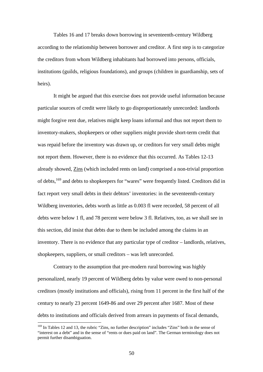Tables 16 and 17 breaks down borrowing in seventeenth-century Wildberg according to the relationship between borrower and creditor. A first step is to categorize the creditors from whom Wildberg inhabitants had borrowed into persons, officials, institutions (guilds, religious foundations), and groups (children in guardianship, sets of heirs).

It might be argued that this exercise does not provide useful information because particular sources of credit were likely to go disproportionately unrecorded: landlords might forgive rent due, relatives might keep loans informal and thus not report them to inventory-makers, shopkeepers or other suppliers might provide short-term credit that was repaid before the inventory was drawn up, or creditors for very small debts might not report them. However, there is no evidence that this occurred. As Tables 12-13 already showed, Zins (which included rents on land) comprised a non-trivial proportion of debts,<sup>169</sup> and debts to shopkeepers for "wares" were frequently listed. Creditors did in fact report very small debts in their debtors' inventories: in the seventeenth-century Wildberg inventories, debts worth as little as 0.003 fl were recorded, 58 percent of all debts were below 1 fl, and 78 percent were below 3 fl. Relatives, too, as we shall see in this section, did insist that debts due to them be included among the claims in an inventory. There is no evidence that any particular type of creditor – landlords, relatives, shopkeepers, suppliers, or small creditors – was left unrecorded.

Contrary to the assumption that pre-modern rural borrowing was highly personalized, nearly 19 percent of Wildberg debts by value were owed to non-personal creditors (mostly institutions and officials), rising from 11 percent in the first half of the century to nearly 23 percent 1649-86 and over 29 percent after 1687. Most of these debts to institutions and officials derived from arrears in payments of fiscal demands,

<sup>&</sup>lt;sup>169</sup> In Tables 12 and 13, the rubric "Zins, no further description" includes "Zins" both in the sense of "interest on a debt" and in the sense of "rents or dues paid on land". The German terminology does not permit further disambiguation.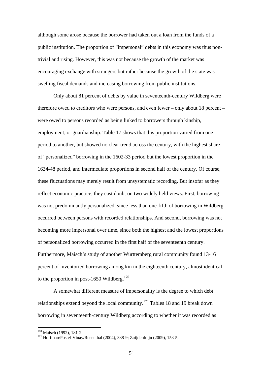although some arose because the borrower had taken out a loan from the funds of a public institution. The proportion of "impersonal" debts in this economy was thus nontrivial and rising. However, this was not because the growth of the market was encouraging exchange with strangers but rather because the growth of the state was swelling fiscal demands and increasing borrowing from public institutions.

 Only about 81 percent of debts by value in seventeenth-century Wildberg were therefore owed to creditors who were persons, and even fewer – only about 18 percent – were owed to persons recorded as being linked to borrowers through kinship, employment, or guardianship. Table 17 shows that this proportion varied from one period to another, but showed no clear trend across the century, with the highest share of "personalized" borrowing in the 1602-33 period but the lowest proportion in the 1634-48 period, and intermediate proportions in second half of the century. Of course, these fluctuations may merely result from unsystematic recording. But insofar as they reflect economic practice, they cast doubt on two widely held views. First, borrowing was not predominantly personalized, since less than one-fifth of borrowing in Wildberg occurred between persons with recorded relationships. And second, borrowing was not becoming more impersonal over time, since both the highest and the lowest proportions of personalized borrowing occurred in the first half of the seventeenth century. Furthermore, Maisch's study of another Württemberg rural community found 13-16 percent of inventoried borrowing among kin in the eighteenth century, almost identical to the proportion in post-1650 Wildberg.<sup>170</sup>

 A somewhat different measure of impersonality is the degree to which debt relationships extend beyond the local community.171 Tables 18 and 19 break down borrowing in seventeenth-century Wildberg according to whether it was recorded as

<sup>&</sup>lt;sup>170</sup> Maisch (1992), 181-2.<br><sup>171</sup> Hoffman/Postel-Vinay/Rosenthal (2004), 388-9; Zuijderduijn (2009), 153-5.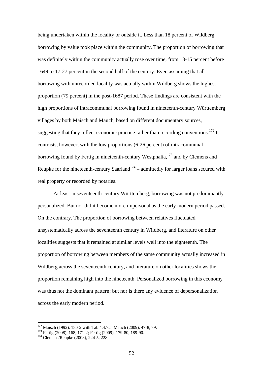being undertaken within the locality or outside it. Less than 18 percent of Wildberg borrowing by value took place within the community. The proportion of borrowing that was definitely within the community actually rose over time, from 13-15 percent before 1649 to 17-27 percent in the second half of the century. Even assuming that all borrowing with unrecorded locality was actually within Wildberg shows the highest proportion (79 percent) in the post-1687 period. These findings are consistent with the high proportions of intracommunal borrowing found in nineteenth-century Württemberg villages by both Maisch and Mauch, based on different documentary sources, suggesting that they reflect economic practice rather than recording conventions.<sup>172</sup> It contrasts, however, with the low proportions (6-26 percent) of intracommunal borrowing found by Fertig in nineteenth-century Westphalia,<sup>173</sup> and by Clemens and Reupke for the nineteenth-century Saarland<sup>174</sup> – admittedly for larger loans secured with real property or recorded by notaries.

At least in seventeenth-century Württemberg, borrowing was not predominantly personalized. But nor did it become more impersonal as the early modern period passed. On the contrary. The proportion of borrowing between relatives fluctuated unsystematically across the seventeenth century in Wildberg, and literature on other localities suggests that it remained at similar levels well into the eighteenth. The proportion of borrowing between members of the same community actually increased in Wildberg across the seventeenth century, and literature on other localities shows the proportion remaining high into the nineteenth. Personalized borrowing in this economy was thus not the dominant pattern; but nor is there any evidence of depersonalization across the early modern period.

<sup>&</sup>lt;sup>172</sup> Maisch (1992), 180-2 with Tab 4.4.7.a; Mauch (2009), 47-8, 79.<br><sup>173</sup> Fertig (2008), 168, 171-2; Fertig (2009), 179-80, 189-90.<br><sup>174</sup> Clemens/Reupke (2008), 224-5, 228.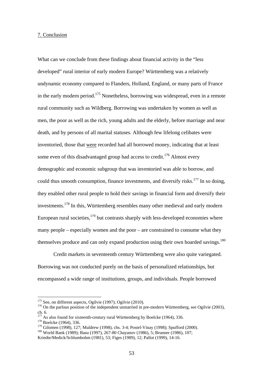### 7. Conclusion

What can we conclude from these findings about financial activity in the "less developed" rural interior of early modern Europe? Württemberg was a relatively undynamic economy compared to Flanders, Holland, England, or many parts of France in the early modern period.<sup>175</sup> Nonetheless, borrowing was widespread, even in a remote rural community such as Wildberg. Borrowing was undertaken by women as well as men, the poor as well as the rich, young adults and the elderly, before marriage and near death, and by persons of all marital statuses. Although few lifelong celibates were inventoried, those that were recorded had all borrowed money, indicating that at least some even of this disadvantaged group had access to credit.<sup>176</sup> Almost every demographic and economic subgroup that was inventoried was able to borrow, and could thus smooth consumption, finance investments, and diversify risks.<sup>177</sup> In so doing, they enabled other rural people to hold their savings in financial form and diversify their investments.<sup>178</sup> In this, Württemberg resembles many other medieval and early modern European rural societies, $179$  but contrasts sharply with less-developed economies where many people – especially women and the poor – are constrained to consume what they themselves produce and can only expand production using their own hoarded savings.<sup>180</sup>

 Credit markets in seventeenth century Württemberg were also quite variegated. Borrowing was not conducted purely on the basis of personalized relationships, but encompassed a wide range of institutions, groups, and individuals. People borrowed

<sup>&</sup>lt;sup>175</sup> See, on different aspects, Ogilvie (1997); Ogilvie (2010).

 $176$  On the parlous position of the independent unmarried in pre-modern Württemberg, see Ogilvie (2003), ch. 6.

<sup>&</sup>lt;sup>177</sup> As also found for sixteenth-century rural Württemberg by Boelcke (1964), 336. <sup>178</sup> Boelcke (1964), 336.

<sup>&</sup>lt;sup>179</sup> Gilomen (1998), 127; Muldrew (1998), chs. 3-4; Postel-Vinay (1998); Spufford (2000). <sup>180</sup> World Bank (1989); Basu (1997), 267-80 Chayanov (1986), 5; Brunner (1986), 107;

Kriedte/Medick/Schlumbohm (1981), 53; Figes (1989), 12; Pallot (1999), 14-16.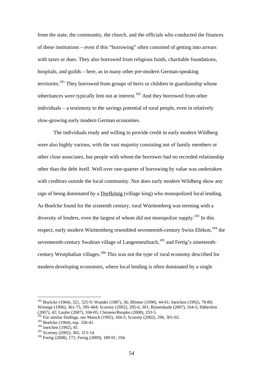from the state, the community, the church, and the officials who conducted the finances of these institutions – even if this "borrowing" often consisted of getting into arrears with taxes or dues. They also borrowed from religious funds, charitable foundations, hospitals, and guilds – here, as in many other pre-modern German-speaking territories.<sup>181</sup> They borrowed from groups of heirs or children in guardianship whose inheritances were typically lent out at interest.<sup>182</sup> And they borrowed from other individuals – a testimony to the savings potential of rural people, even in relatively slow-growing early modern German economies.

 The individuals ready and willing to provide credit in early modern Wildberg were also highly various, with the vast majority consisting not of family members or other close associates, but people with whom the borrower had no recorded relationship other than the debt itself. Well over one-quarter of borrowing by value was undertaken with creditors outside the local community. Nor does early modern Wildberg show any sign of being dominated by a Dorfkönig (village king) who monopolized local lending. As Boelcke found for the sixteenth century, rural Württemberg was teeming with a diversity of lenders, even the largest of whom did not monopolize supply.<sup>183</sup> In this respect, early modern Württemberg resembled seventeenth-century Swiss Ebikon,<sup>184</sup> the seventeenth-century Swabian village of Langenneufnach,<sup>185</sup> and Fertig's nineteenthcentury Westphalian villages.<sup>186</sup> This was not the type of rural economy described for modern developing economies, where local lending is often dominated by a single

<sup>181</sup> Boelcke (1964), 321, 325-9; Wunder (1987), 36; Blömer (1990), 44-61; Ineichen (1992), 78-80; Winnige (1996), 361-75, 395-404; Sczesny (2002), 295-6, 301; Binnenkade (2007), 164-5; Häberlein (2007), 42; Laufer (2007), 104-05; Clemens/Reupke (2008), 233-5.

<sup>&</sup>lt;sup>182</sup> For similar findings, see Maisch (1992), 184-5; Sczesny (2002), 296, 301-02.<br><sup>183</sup> Boelcke (1964), esp. 336-41.<br><sup>184</sup> Ineichen (1992), 81.<br><sup>185</sup> Sczesny (2002), 302, 313-14.<br><sup>186</sup> Fertig (2008), 172; Fertig (2009),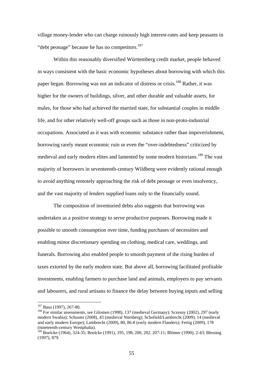village money-lender who can charge ruinously high interest-rates and keep peasants in "debt peonage" because he has no competitors.<sup>187</sup>

 Within this reasonably diversified Württemberg credit market, people behaved in ways consistent with the basic economic hypotheses about borrowing with which this paper began. Borrowing was not an indicator of distress or crisis.188 Rather, it was higher for the owners of buildings, silver, and other durable and valuable assets, for males, for those who had achieved the married state, for substantial couples in middle life, and for other relatively well-off groups such as those in non-proto-industrial occupations. Associated as it was with economic substance rather than impoverishment, borrowing rarely meant economic ruin or even the "over-indebtedness" criticized by medieval and early modern elites and lamented by some modern historians.<sup>189</sup> The vast majority of borrowers in seventeenth-century Wildberg were evidently rational enough to avoid anything remotely approaching the risk of debt peonage or even insolvency, and the vast majority of lenders supplied loans only to the financially sound.

 The composition of inventoried debts also suggests that borrowing was undertaken as a positive strategy to serve productive purposes. Borrowing made it possible to smooth consumption over time, funding purchases of necessities and enabling minor discretionary spending on clothing, medical care, weddings, and funerals. Borrowing also enabled people to smooth payment of the rising burden of taxes extorted by the early modern state. But above all, borrowing facilitated profitable investments, enabling farmers to purchase land and animals, employers to pay servants and labourers, and rural artisans to finance the delay between buying inputs and selling

<sup>&</sup>lt;sup>187</sup> Basu (1997), 267-80.

<sup>&</sup>lt;sup>188</sup> For similar assessments, see Gilomen (1998), 137 (medieval Germany); Sczesny (2002), 297 (early modern Swabia); Schuster (2008), 43 (medieval Nürnberg); Schofield/Lambrecht (2009), 14 (medieval and early modern Europe); Lambrecht (2009), 80, 86-8 (early modern Flanders); Fertig (2009), 178 (nineteenth-century Westphalia).

<sup>189</sup> Boelcke (1964), 324-35; Boelcke (1991), 195, 198, 200, 202, 207-11; Blömer (1990), 2-43; Blessing (1997), 879.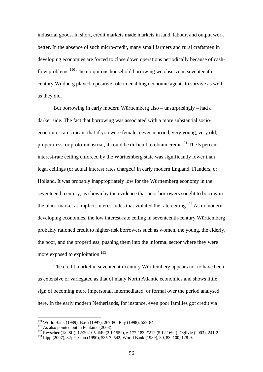industrial goods. In short, credit markets made markets in land, labour, and output work better. In the absence of such micro-credit, many small farmers and rural craftsmen in developing economies are forced to close down operations periodically because of cashflow problems.<sup>190</sup> The ubiquitous household borrowing we observe in seventeenthcentury Wildberg played a positive role in enabling economic agents to survive as well as they did.

 But borrowing in early modern Württemberg also – unsurprisingly – had a darker side. The fact that borrowing was associated with a more substantial socioeconomic status meant that if you were female, never-married, very young, very old, propertiless, or proto-industrial, it could be difficult to obtain credit.<sup>191</sup> The 5 percent interest-rate ceiling enforced by the Württemberg state was significantly lower than legal ceilings (or actual interest rates charged) in early modern England, Flanders, or Holland. It was probably inappropriately low for the Württemberg economy in the seventeenth century, as shown by the evidence that poor borrowers sought to borrow in the black market at implicit interest-rates that violated the rate-ceiling.<sup>192</sup> As in modern developing economies, the low interest-rate ceiling in seventeenth-century Württemberg probably rationed credit to higher-risk borrowers such as women, the young, the elderly, the poor, and the propertiless, pushing them into the informal sector where they were more exposed to exploitation.<sup>193</sup>

 The credit market in seventeenth-century Württemberg appears not to have been as extensive or variegated as that of many North Atlantic economies and shows little sign of becoming more impersonal, intermediated, or formal over the period analysed here. In the early modern Netherlands, for instance, even poor families got credit via

<sup>190</sup> World Bank (1989); Basu (1997), 267-80; Ray (1998), 529-84.

 $191$  As also pointed out in Fontaine (2008).

<sup>192</sup> Reyscher (1828ff), 12:202-05, #49 (2.1.1552), 6:177-183, #212 (5.12.1692); Ogilvie (2003), 241-2.

<sup>193</sup> Lipp (2007), 32; Paxson (1990), 535-7, 542; World Bank (1989), 30, 83, 100, 128-9.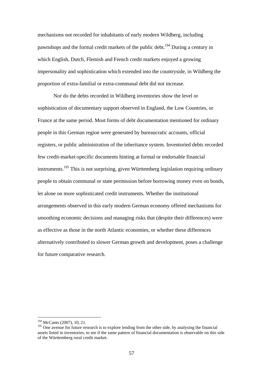mechanisms not recorded for inhabitants of early modern Wildberg, including pawnshops and the formal credit markets of the public debt.<sup>194</sup> During a century in which English, Dutch, Flemish and French credit markets enjoyed a growing impersonality and sophistication which extended into the countryside, in Wildberg the proportion of extra-familial or extra-communal debt did not increase.

Nor do the debts recorded in Wildberg inventories show the level or sophistication of documentary support observed in England, the Low Countries, or France at the same period. Most forms of debt documentation mentioned for ordinary people in this German region were generated by bureaucratic accounts, official registers, or public administration of the inheritance system. Inventoried debts recorded few credit-market-specific documents hinting at formal or endorsable financial instruments.<sup>195</sup> This is not surprising, given Württemberg legislation requiring ordinary people to obtain communal or state permission before borrowing money even on bonds, let alone on more sophisticated credit instruments. Whether the institutional arrangements observed in this early modern German economy offered mechanisms for smoothing economic decisions and managing risks that (despite their differences) were as effective as those in the north Atlantic economies, or whether these differences alternatively contributed to slower German growth and development, poses a challenge for future comparative research.

<sup>194</sup> McCants (2007), 10, 21.

<sup>&</sup>lt;sup>195</sup> One avenue for future research is to explore lending from the other side, by analysing the financial assets listed in inventories, to see if the same pattern of financial documentation is observable on this side of the Württemberg rural credit market.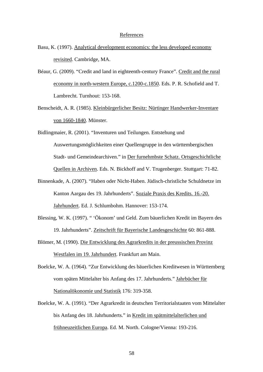#### References

- Basu, K. (1997). Analytical development economics: the less developed economy revisited. Cambridge, MA.
- Béaur, G. (2009). "Credit and land in eighteenth-century France". Credit and the rural economy in north-western Europe, c.1200-c.1850. Eds. P. R. Schofield and T. Lambrecht. Turnhout: 153-168.
- Benscheidt, A. R. (1985). Kleinbürgerlicher Besitz: Nürtinger Handwerker-Inventare von 1660-1840. Münster.
- Bidlingmaier, R. (2001). "Inventuren und Teilungen. Entstehung und Auswertungsmöglichkeiten einer Quellengruppe in den württembergischen Stadt- und Gemeindearchiven." in Der furnehmbste Schatz. Ortsgeschichtliche Quellen in Archiven. Eds. N. Bickhoff and V. Trugenberger. Stuttgart: 71-82.
- Binnenkade, A. (2007). "Haben oder Nicht-Haben. Jüdisch-christliche Schuldnetze im Kanton Aargau des 19. Jahrhunderts". Soziale Praxis des Kredits. 16.-20. Jahrhundert. Ed. J. Schlumbohm. Hannover: 153-174.
- Blessing, W. K. (1997). " 'Ökonom' und Geld. Zum bäuerlichen Kredit im Bayern des 19. Jahrhunderts". Zeitschrift für Bayerische Landesgeschichte 60: 861-888.
- Blömer, M. (1990). Die Entwicklung des Agrarkredits in der preussischen Provinz Westfalen im 19. Jahrhundert. Frankfurt am Main.
- Boelcke, W. A. (1964). "Zur Entwicklung des bäuerlichen Kreditwesen in Württemberg vom späten Mittelalter bis Anfang des 17. Jahrhunderts." Jahrbücher für Nationalökonomie und Statistik 176: 319-358.
- Boelcke, W. A. (1991). "Der Agrarkredit in deutschen Territorialstaaten vom Mittelalter bis Anfang des 18. Jahrhunderts." in Kredit im spätmittelalterlichen und frühneuzeitlichen Europa. Ed. M. North. Cologne/Vienna: 193-216.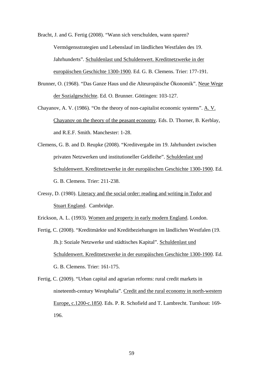Bracht, J. and G. Fertig (2008). "Wann sich verschulden, wann sparen? Vermögensstrategien und Lebenslauf im ländlichen Westfalen des 19. Jahrhunderts". Schuldenlast und Schuldenwert. Kreditnetzwerke in der europäischen Geschichte 1300-1900. Ed. G. B. Clemens. Trier: 177-191.

- Brunner, O. (1968). "Das Ganze Haus und die Alteuropäische Ökonomik". Neue Wege der Sozialgeschichte. Ed. O. Brunner. Göttingen: 103-127.
- Chayanov, A. V. (1986). "On the theory of non-capitalist economic systems". A. V. Chayanov on the theory of the peasant economy. Eds. D. Thorner, B. Kerblay, and R.E.F. Smith. Manchester: 1-28.
- Clemens, G. B. and D. Reupke (2008). "Kreditvergabe im 19. Jahrhundert zwischen privaten Netzwerken und institutioneller Geldleihe". Schuldenlast und Schuldenwert. Kreditnetzwerke in der europäischen Geschichte 1300-1900. Ed. G. B. Clemens. Trier: 211-238.
- Cressy, D. (1980). Literacy and the social order: reading and writing in Tudor and Stuart England. Cambridge.

Erickson, A. L. (1993). Women and property in early modern England. London.

- Fertig, C. (2008). "Kreditmärkte und Kreditbeziehungen im ländlichen Westfalen (19. Jh.): Soziale Netzwerke und städtisches Kapital". Schuldenlast und Schuldenwert. Kreditnetzwerke in der europäischen Geschichte 1300-1900. Ed. G. B. Clemens. Trier: 161-175.
- Fertig, C. (2009). "Urban capital and agrarian reforms: rural credit markets in nineteenth-century Westphalia". Credit and the rural economy in north-western Europe, c.1200-c.1850. Eds. P. R. Schofield and T. Lambrecht. Turnhout: 169- 196.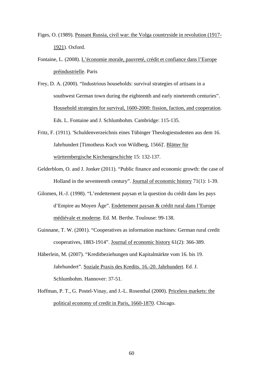- Figes, O. (1989). Peasant Russia, civil war: the Volga countryside in revolution (1917- 1921). Oxford.
- Fontaine, L. (2008). L'économie morale, pauvreté, crédit et confiance dans l'Europe préindustrielle. Paris
- Frey, D. A. (2000). "Industrious households: survival strategies of artisans in a southwest German town during the eighteenth and early nineteenth centuries". Household strategies for survival, 1600-2000: fission, faction, and cooperation. Eds. L. Fontaine and J. Schlumbohm. Cambridge: 115-135.
- Fritz, F. (1911). 'Schuldenverzeichnis eines Tübinger Theologiestudenten aus dem 16. Jahrhundert [Timotheus Koch von Wildberg, 1566]'. Blätter für württembergische Kirchengeschichte 15: 132-137.
- Gelderblom, O. and J. Jonker (2011). "Public finance and economic growth: the case of Holland in the seventeenth century". Journal of economic history 71(1): 1-39.
- Gilomen, H.-J. (1998). "L'endettement paysan et la question du crédit dans les pays d'Empire au Moyen Âge". Endettement paysan & crédit rural dans l'Europe médiévale et moderne. Ed. M. Berthe. Toulouse: 99-138.
- Guinnane, T. W. (2001). "Cooperatives as information machines: German rural credit cooperatives, 1883-1914". Journal of economic history 61(2): 366-389.
- Häberlein, M. (2007). "Kreditbeziehungen und Kapitalmärkte vom 16. bis 19. Jahrhundert". Soziale Praxis des Kredits. 16.-20. Jahrhundert. Ed. J. Schlumbohm. Hannover: 37-51.
- Hoffman, P. T., G. Postel-Vinay, and J.-L. Rosenthal (2000). Priceless markets: the political economy of credit in Paris, 1660-1870. Chicago.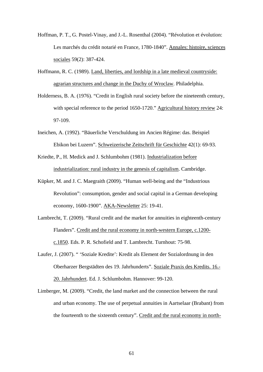- Hoffman, P. T., G. Postel-Vinay, and J.-L. Rosenthal (2004). "Révolution et évolution: Les marchés du crédit notarié en France, 1780-1840". Annales: histoire, sciences sociales 59(2): 387-424.
- Hoffmann, R. C. (1989). Land, liberties, and lordship in a late medieval countryside: agrarian structures and change in the Duchy of Wroclaw. Philadelphia.
- Holderness, B. A. (1976). "Credit in English rural society before the nineteenth century, with special reference to the period 1650-1720." Agricultural history review 24: 97-109.
- Ineichen, A. (1992). "Bäuerliche Verschuldung im Ancien Régime: das. Beispiel Ebikon bei Luzern". Schweizerische Zeitschrift für Geschichte 42(1): 69-93.
- Kriedte, P., H. Medick and J. Schlumbohm (1981). Industrialization before industrialization: rural industry in the genesis of capitalism. Cambridge.
- Küpker, M. and J. C. Maegraith (2009). "Human well-being and the "Industrious Revolution": consumption, gender and social capital in a German developing economy, 1600-1900". AKA-Newsletter 25: 19-41.
- Lambrecht, T. (2009). "Rural credit and the market for annuities in eighteenth-century Flanders". Credit and the rural economy in north-western Europe, c.1200 c.1850. Eds. P. R. Schofield and T. Lambrecht. Turnhout: 75-98.
- Laufer, J. (2007). " 'Soziale Kredite': Kredit als Element der Sozialordnung in den Oberharzer Bergstädten des 19. Jahrhunderts". Soziale Praxis des Kredits. 16.- 20. Jahrhundert. Ed. J. Schlumbohm. Hannover: 99-120.
- Limberger, M. (2009). "Credit, the land market and the connection between the rural and urban economy. The use of perpetual annuities in Aartselaar (Brabant) from the fourteenth to the sixteenth century". Credit and the rural economy in north-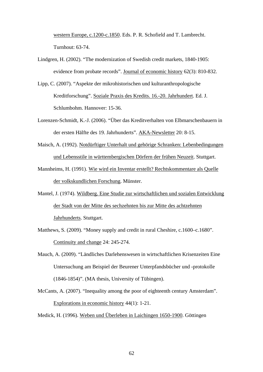western Europe, c.1200-c.1850. Eds. P. R. Schofield and T. Lambrecht. Turnhout: 63-74.

- Lindgren, H. (2002). "The modernization of Swedish credit markets, 1840-1905: evidence from probate records". Journal of economic history 62(3): 810-832.
- Lipp, C. (2007). "Aspekte der mikrohistorischen und kulturanthropologische Kreditforschung". Soziale Praxis des Kredits. 16.-20. Jahrhundert. Ed. J. Schlumbohm. Hannover: 15-36.
- Lorenzen-Schmidt, K.-J. (2006). "Über das Kreditverhalten von Elbmarschenbauern in der ersten Hälfte des 19. Jahrhunderts". AKA-Newsletter 20: 8-15.
- Maisch, A. (1992). Notdürftiger Unterhalt und gehörige Schranken: Lebenbedingungen und Lebensstile in württembergischen Dörfern der frühen Neuzeit. Stuttgart.
- Mannheims, H. (1991). Wie wird ein Inventar erstellt? Rechtskommentare als Quelle der volkskundlichen Forschung. Münster.
- Mantel, J. (1974). Wildberg. Eine Studie zur wirtschaftlichen und sozialen Entwicklung der Stadt von der Mitte des sechzehnten bis zur Mitte des achtzehnten Jahrhunderts. Stuttgart.
- Matthews, S. (2009). "Money supply and credit in rural Cheshire, c.1600–c.1680". Continuity and change 24: 245-274.
- Mauch, A. (2009). "Ländliches Darlehenswesen in wirtschaftlichen Krisenzeiten Eine Untersuchung am Beispiel der Beurener Unterpfandsbücher und -protokolle (1846-1854)". (MA thesis, University of Tübingen).
- McCants, A. (2007). "Inequality among the poor of eighteenth century Amsterdam". Explorations in economic history 44(1): 1-21.

Medick, H. (1996). Weben und Überleben in Laichingen 1650-1900. Göttingen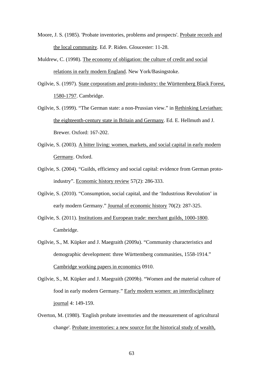- Moore, J. S. (1985). 'Probate inventories, problems and prospects'. Probate records and the local community. Ed. P. Riden. Gloucester: 11-28.
- Muldrew, C. (1998). The economy of obligation: the culture of credit and social relations in early modern England. New York/Basingstoke.
- Ogilvie, S. (1997). State corporatism and proto-industry: the Württemberg Black Forest, 1580-1797. Cambridge.
- Ogilvie, S. (1999). "The German state: a non-Prussian view." in Rethinking Leviathan: the eighteenth-century state in Britain and Germany. Ed. E. Hellmuth and J. Brewer. Oxford: 167-202.
- Ogilvie, S. (2003). A bitter living: women, markets, and social capital in early modern Germany. Oxford.
- Ogilvie, S. (2004). "Guilds, efficiency and social capital: evidence from German protoindustry". Economic history review 57(2): 286-333.
- Ogilvie, S. (2010). "Consumption, social capital, and the 'Industrious Revolution' in early modern Germany." Journal of economic history 70(2): 287-325.
- Ogilvie, S. (2011). Institutions and European trade: merchant guilds, 1000-1800. Cambridge.
- Ogilvie, S., M. Küpker and J. Maegraith (2009a). "Community characteristics and demographic development: three Württemberg communities, 1558-1914." Cambridge working papers in economics 0910.
- Ogilvie, S., M. Küpker and J. Maegraith (2009b). "Women and the material culture of food in early modern Germany." Early modern women: an interdisciplinary journal 4: 149-159.
- Overton, M. (1980). 'English probate inventories and the measurement of agricultural change'. Probate inventories: a new source for the historical study of wealth,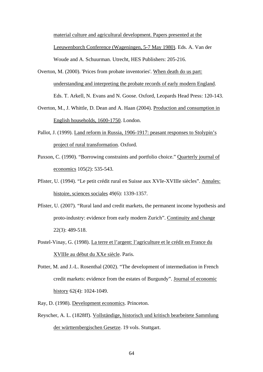material culture and agricultural development. Papers presented at the Leeuwenborch Conference (Wageningen, 5-7 May 1980). Eds. A. Van der Woude and A. Schuurman. Utrecht, HES Publishers: 205-216.

- Overton, M., J. Whittle, D. Dean and A. Haan (2004). Production and consumption in English households, 1600-1750. London.
- Pallot, J. (1999). Land reform in Russia, 1906-1917: peasant responses to Stolypin's project of rural transformation. Oxford.
- Paxson, C. (1990). "Borrowing constraints and portfolio choice." Quarterly journal of economics 105(2): 535-543.
- Pfister, U. (1994). "Le petit crédit rural en Suisse aux XVIe-XVIIIe siècles". Annales: histoire, sciences sociales 49(6): 1339-1357.
- Pfister, U. (2007). "Rural land and credit markets, the permanent income hypothesis and proto-industry: evidence from early modern Zurich". Continuity and change 22(3): 489-518.
- Postel-Vinay, G. (1998). La terre et l'argent: l'agriculture et le crédit en France du XVIIIe au début du XXe siècle. Paris.
- Potter, M. and J.-L. Rosenthal (2002). "The development of intermediation in French credit markets: evidence from the estates of Burgundy". Journal of economic history 62(4): 1024-1049.
- Ray, D. (1998). Development economics. Princeton.
- Reyscher, A. L. (1828ff). Vollständige, historisch und kritisch bearbeitete Sammlung der württembergischen Gesetze. 19 vols. Stuttgart.

Overton, M. (2000). 'Prices from probate inventories'. When death do us part: understanding and interpreting the probate records of early modern England. Eds. T. Arkell, N. Evans and N. Goose. Oxford, Leopards Head Press: 120-143.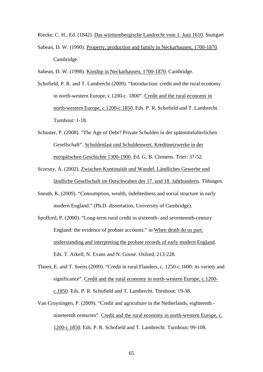Riecke, C. H., Ed. (1842). Das württembergische Landrecht vom 1. Juni 1610. Stuttgart

Sabean, D. W. (1990). Property, production and family in Neckarhausen, 1700-1870. Cambridge.

Sabean, D. W. (1998). Kinship in Neckarhausen, 1700-1870. Cambridge.

- Schofield, P. R. and T. Lambrecht (2009). "Introduction: credit and the rural economy in north-western Europe, c.1200-c. 1800". Credit and the rural economy in north-western Europe, c.1200-c.1850. Eds. P. R. Schofield and T. Lambrecht. Turnhout: 1-18.
- Schuster, P. (2008). "The Age of Debt? Private Schulden in der spätmittelalterlichen Gesellschaft". Schuldenlast und Schuldenwert. Kreditnetzwerke in der europäischen Geschichte 1300-1900. Ed. G. B. Clemens. Trier: 37-52.
- Sczesny, A. (2002). Zwischen Kontinuität und Wandel. Ländliches Gewerbe und ländliche Gesellschaft im Ostschwaben des 17. und 18. Jahrhunderts. Tübingen.
- Sneath, K. (2009). "Consumption, wealth, indebtedness and social structure in early modern England." (Ph.D. dissertation, University of Cambridge).
- Spufford, P. (2000). "Long-term rural credit in sixteenth- and seventeenth-century England: the evidence of probate accounts." in When death do us part: understanding and interpreting the probate records of early modern England. Eds. T. Arkell, N. Evans and N. Goose. Oxford, 213-228.
- Thoen, E. and T. Soens (2009). "Credit in rural Flanders, c. 1250-c.1600: its variety and significance". Credit and the rural economy in north-western Europe, c.1200 c.1850. Eds. P. R. Schofield and T. Lambrecht. Turnhout: 19-38.
- Van Cruyningen, P. (2009). "Credit and agriculture in the Netherlands, eighteenth nineteenth centuries". Credit and the rural economy in north-western Europe, c. 1200-c.1850. Eds. P. R. Schofield and T. Lambrecht. Turnhout**:** 99-108.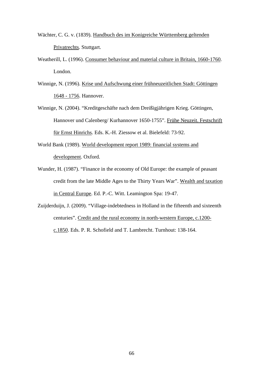- Wächter, C. G. v. (1839). Handbuch des im Konigreiche Württemberg geltenden Privatrechts. Stuttgart.
- Weatherill, L. (1996). Consumer behaviour and material culture in Britain, 1660-1760. London.
- Winnige, N. (1996). Krise und Aufschwung einer frühneuzeitlichen Stadt: Göttingen 1648 - 1756. Hannover.
- Winnige, N. (2004). "Kreditgeschäfte nach dem Dreißigjährigen Krieg. Göttingen, Hannover und Calenberg/ Kurhannover 1650-1755". Frühe Neuzeit. Festschrift für Ernst Hinrichs. Eds. K.-H. Ziessow et al. Bielefeld: 73-92.
- World Bank (1989). World development report 1989: financial systems and development. Oxford.
- Wunder, H. (1987). "Finance in the economy of Old Europe: the example of peasant credit from the late Middle Ages to the Thirty Years War". Wealth and taxation in Central Europe. Ed. P.-C. Witt. Leamington Spa: 19-47.
- Zuijderduijn, J. (2009). "Village-indebtedness in Holland in the fifteenth and sixteenth centuries". Credit and the rural economy in north-western Europe, c.1200 c.1850. Eds. P. R. Schofield and T. Lambrecht. Turnhout: 138-164.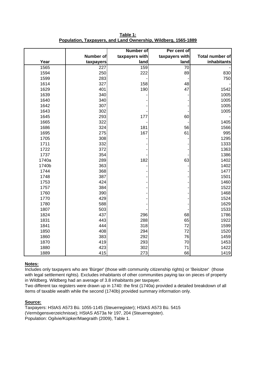|       |                  | <b>Number of</b> | Per cent of     |                        |  |  |
|-------|------------------|------------------|-----------------|------------------------|--|--|
|       | <b>Number of</b> | taxpayers with   | taxpayers with  | <b>Total number of</b> |  |  |
| Year  | taxpayers        | land             | land            | inhabitants            |  |  |
| 1565  | $\overline{227}$ | 159              | $\overline{70}$ |                        |  |  |
| 1594  | 250              | 222              | 89              | 830                    |  |  |
| 1599  | 283              |                  |                 | 750                    |  |  |
| 1614  | 327              | 158              | 48              |                        |  |  |
| 1629  | 401              | 190              | 47              | 1542                   |  |  |
| 1639  | 340              |                  |                 | 1005                   |  |  |
| 1640  | 340              |                  |                 | 1005                   |  |  |
| 1642  | 307              |                  |                 | 1005                   |  |  |
| 1643  | 302              |                  |                 | 1005                   |  |  |
| 1645  | 293              | 177              | 60              |                        |  |  |
| 1665  | 322              |                  |                 | 1405                   |  |  |
| 1686  | 324              | 181              | 56              | 1566                   |  |  |
| 1695  | 275              | 167              | 61              | 995                    |  |  |
| 1705  | 308              |                  |                 | 1295                   |  |  |
| 1711  | 332              |                  |                 | 1333                   |  |  |
| 1722  | 372              |                  |                 | 1363                   |  |  |
| 1737  | 354              |                  |                 | 1386                   |  |  |
| 1740a | 289              | 182              | 63              | 1402                   |  |  |
| 1740b | 363              |                  |                 | 1402                   |  |  |
| 1744  | 368              |                  |                 | 1477                   |  |  |
| 1748  | 387              |                  |                 | 1501                   |  |  |
| 1753  | 424              |                  |                 | 1460                   |  |  |
| 1757  | 384              |                  |                 | 1522                   |  |  |
| 1760  | 390              |                  |                 | 1468                   |  |  |
| 1770  | 429              |                  |                 | 1524                   |  |  |
| 1780  | 588              |                  |                 | 1629                   |  |  |
| 1807  | 503              |                  |                 | 1533                   |  |  |
| 1824  | 437              | 296              | 68              | 1786                   |  |  |
| 1831  | 443              | 288              | 65              | 1922                   |  |  |
| 1841  | 444              | 318              | 72              | 1599                   |  |  |
| 1850  | 408              | 294              | 72              | 1520                   |  |  |
| 1860  | 383              | 292              | 76              | 1459                   |  |  |
| 1870  | 419              | 293              | 70              | 1453                   |  |  |
| 1880  | 423              | 302              | 71              | 1422                   |  |  |
| 1889  | 415              | 273              | 66              | 1419                   |  |  |

**Table 1: Population, Taxpayers, and Land Ownership, Wildberg, 1565-1889**

# **Notes:**

Includes only taxpayers who are 'Bürger' (those with community citizenship rights) or 'Beisitzer' (those with legal settlement rights). Excludes inhabitants of other communities paying tax on pieces of property in Wildberg. Wildberg had an average of 3.8 inhabitants per taxpayer.

Two different tax registers were drawn up in 1740: the first (1740a) provided a detailed breakdown of all items of taxable wealth while the second (1740b) provided summary information only.

# **Source:**

Taxpayers: HStAS A573 Bü. 1055-1145 (Steuerregister); HStAS A573 Bü. 5415 (Vermögensverzeichnisse); HStAS A573a Nr 197, 204 (Steuerregister). Population: Ogilvie/Küpker/Maegraith (2009), Table 1.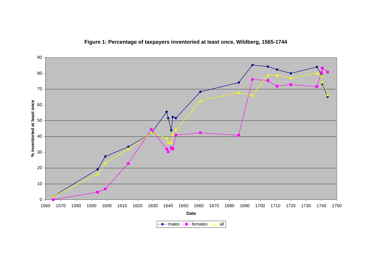

**Figure 1: Percentage of taxpayers inventoried at least once, Wildberg, 1565-1744**

males *—*∎— females *—*∆— all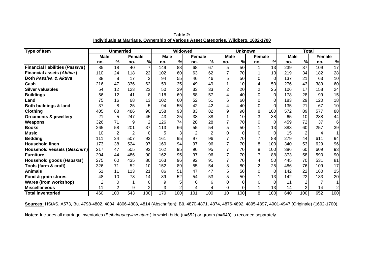| <b>Type of Item</b>                    | <b>Unmarried</b> |                 |                | <b>Widowed</b>   |             |                 | <b>Unknown</b> |                |                  |                 | <b>Total</b> |                 |             |                 |               |                 |
|----------------------------------------|------------------|-----------------|----------------|------------------|-------------|-----------------|----------------|----------------|------------------|-----------------|--------------|-----------------|-------------|-----------------|---------------|-----------------|
|                                        | <b>Male</b>      |                 | Female         |                  | <b>Male</b> |                 | <b>Female</b>  |                | <b>Male</b>      |                 | Female       |                 | <b>Male</b> |                 | <b>Female</b> |                 |
|                                        | no.              | %               | no.            | $\%$             | no.         | $\%$            | no.            | $\%$           | no.              | $\frac{0}{0}$   | no.          | %               | no.         | $\frac{9}{6}$   | no.           | %               |
| <b>Financial liabilities (Passiva)</b> | 85               | $\overline{18}$ | 40             | $\overline{7}$   | 149         | $\overline{88}$ | 68             | 67             | 5                | $\overline{50}$ |              | $\overline{13}$ | 239         | $\overline{37}$ | 109           | $\overline{17}$ |
| <b>Financial assets (Aktiva)</b>       | 110              | 24              | 118            | 22               | 102         | 60              | 63             | 62             | 7                | 70              |              | 13              | 219         | 34              | 182           | 28              |
| <b>Both Passiva &amp; Aktiva</b>       | 38               | 8               | 17             | 3                | 94          | 55              | 46             | 46             | 5                | 50              |              | $\Omega$        | 137         | 21              | 63            | 10              |
| <b>Cash</b>                            | 216              | 47              | 336            | 62               | 59          | 35              | 49             | 49             |                  | 10              |              | 50              | 276         | 43              | 389           | 60              |
| <b>Silver valuables</b>                | 54               | 12              | 123            | 23               | 50          | 29              | 33             | 33             | $\boldsymbol{2}$ | 20              |              | 25              | 106         | 17              | 158           | 24              |
| <b>Buildings</b>                       | 56               | 12              | 41             | 8                | 118         | 69              | 58             | 57             | 4                | 40              |              | $\Omega$        | 178         | 28              | 99            | 15              |
| Land                                   | 75               | 16              | 68             | 13               | 102         | 60              | 52             | 51             | 6                | 60              |              |                 | 183         | 29              | 120           | 18              |
| <b>Both buildings &amp; land</b>       | 37               | 8               | 25             | 5                | 94          | 55              | 42             | 42             | 4                | 40              |              |                 | 135         | 21              | 67            | 10              |
| <b>Clothing</b>                        | 405              | 88              | 486            | 90               | 158         | 93              | 83             | 82             | 9                | 90              | 8            | 100             | 572         | 89              | 577           | 88              |
| <b>Ornaments &amp; jewellery</b>       | 21               | 5               | 247            | 45               | 43          | 25              | 38             | 38             |                  | 10              | 3            | 38              | 65          | 10              | 288           | 44              |
| <b>Weapons</b>                         | 326              | 71              | 9              | 2                | 126         | 74              | 28             | 28             |                  | 70              |              | $\Omega$        | 459         | 72              | 37            | 6               |
| <b>Books</b>                           | 265              | 58              | 201            | 37               | 113         | 66              | 55             | 54             | 5                | 50              |              | 13              | 383         | 60              | 257           | 39              |
| <b>Music</b>                           | 10               | $\overline{2}$  | $\overline{2}$ | 0                | 5           | 3               | $\overline{2}$ | $\overline{2}$ | 0                |                 |              |                 | 15          | $\overline{2}$  | 4             |                 |
| <b>Bedding</b>                         | 111              | 24              | 507            | 93               | 161         | 95              | 97             | 96             | $\overline{7}$   | 70              |              | 88              | 279         | 44              | 611           | 94              |
| <b>Household linen</b>                 | 173              | 38              | 524            | 97               | 160         | 94              | 97             | 96             |                  | 70              | 8            | 100             | 340         | 53              | 629           | 96              |
| <b>Household vessels (Geschirr)</b>    | 217              | 47              | 505            | 93               | 162         | 95              | 96             | 95             | 7                | 70              | 8            | 100             | 386         | 60              | 609           | 93              |
| Furniture                              | 204              | 44              | 486            | 90               | 162         | 95              | 97             | 96             | $\overline{7}$   | 70              |              | 88              | 373         | 58              | 590           | 90              |
| Household goods (Hausrat)              | 275              | 60              | 435            | 80               | 163         | 96              | 92             | 91             | 7                | 70              |              | 50              | 445         | 70              | 531           | 81              |
| Tools (farm & craft)                   | 326              | 71              | 52             | 10 <sup>1</sup>  | 152         | 89              | 55             | 54             | 8                | 80              |              | 25              | 486         | 76              | 109           | 17              |
| <b>Animals</b>                         | 51               | 11              | 113            | 21               | 86          | 51              | 47             | 47             | 5                | 50              |              | $\Omega$        | 142         | 22              | 160           | 25              |
| Food & grain stores                    | 48               | 10              | 78             | 14               | 89          | 52              | 54             | 53             | 5                | 50              |              | 13              | 142         | 22              | 133           | 20              |
| <b>Wares (from workshop)</b>           | 2                | 0               |                |                  | 9           | 5               | 6              | 6              |                  |                 |              |                 | 11          |                 |               |                 |
| Miscellaneous                          | 11               | $\overline{2}$  | 9              |                  |             |                 |                |                | 0                |                 |              | 13 <sub>1</sub> | 14          |                 | 14            |                 |
| <b>Total inventoried</b>               | 460              | 100             | 543            | 100 <sub>l</sub> | 170         | 100             | 101            | 100            | 10               | 100             | 8            | 100             | 640         | 100             | 652           | 100             |

**Table 2: Individuals at Marriage, Ownership of Various Asset Categories, Wildberg, 1602-1700**

**Sources:** HStAS, A573, Bü. 4798-4802, 4804, 4806-4808, 4814 (Abschriften); Bü. 4870-4871, 4874, 4876-4892, 4895-4897, 4901-4947 (Originale) (1602-1700).

**Notes:** Includes all marriage inventories (*Beibringungsinventare* ) in which bride (n=652) or groom (n=640) is recorded separately.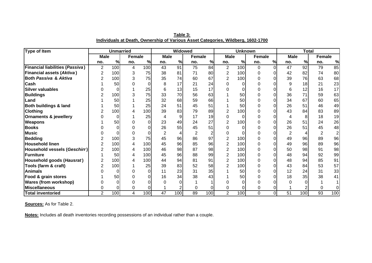| <b>Type of Item</b>                    |                | <b>Unmarried</b> |        |      |                | Widowed |                 |                |                | <b>Unknown</b> |        |    |                 | <b>Total</b>  |                |                         |
|----------------------------------------|----------------|------------------|--------|------|----------------|---------|-----------------|----------------|----------------|----------------|--------|----|-----------------|---------------|----------------|-------------------------|
|                                        | <b>Male</b>    |                  | Female |      | <b>Male</b>    |         | <b>Female</b>   |                | <b>Male</b>    |                | Female |    | <b>Male</b>     |               | <b>Female</b>  |                         |
|                                        | no.            | $\%$             | no.    | $\%$ | no.            | %       | no.             | $\%$           | no.            | %              | no.    | %  | no.             | $\frac{9}{6}$ | no.            | %                       |
| <b>Financial liabilities (Passiva)</b> | $\overline{2}$ | 100              | 4      | 100  | 43             | 91      | $\overline{75}$ | 84             | $\overline{2}$ | 100            | 0      | ΩI | $\overline{47}$ | 92            | 79             | 85                      |
| <b>Financial assets (Aktiva)</b>       | $\overline{2}$ | 100              | 3      | 75   | 38             | 81      | 71              | 80             | $\overline{2}$ | 100            | 0      |    | 42              | 82            | 74             | 80                      |
| <b>Both Passiva &amp; Aktiva</b>       | 2              | 100              | 3      | 75   | 35             | 74      | 60              | 67             | $\overline{2}$ | 100            |        |    | 39              | 76            | 63             | 68                      |
| <b>Cash</b>                            |                | 50               |        |      | 8              | 17      | 21              | 24             | 0              |                |        |    | 9               | 18            | 21             | 23                      |
| <b>Silver valuables</b>                |                | 0                |        | 25   | 6              | 13      | 15              | 17             | 0              |                |        |    | 6               | 12            | 16             | 17                      |
| <b>Buildings</b>                       |                | 100              |        | 75   | 33             | 70      | 56              | 63             |                | 50             |        |    | 36              | 71            | 59             | 63                      |
| Land                                   |                | 50               |        | 25   | 32             | 68      | 59              | 66             |                | 50             |        |    | 34              | 67            | 60             | 65                      |
| <b>Both buildings &amp; land</b>       |                | 50               |        | 25   | 24             | 51      | 45              | 51             |                | 50             |        |    | 26              | 51            | 46             | 49                      |
| <b>Clothing</b>                        |                | 100              |        | 100  | 39             | 83      | 79              | 89             | $\overline{2}$ | 100            |        |    | 43              | 84            | 83             | 89                      |
| <b>Ornaments &amp; jewellery</b>       |                | 0                |        | 25   |                | 9       | 17              | 19             | 0              |                |        |    | 4               | 8             | 18             | 19                      |
| <b>Weapons</b>                         |                | 50               |        | 0    | 23             | 49      | 24              | 27             | $\overline{2}$ | 100            |        |    | 26              | 51            | 24             | 26                      |
| <b>Books</b>                           |                | 0                |        |      | 26             | 55      | 45              | 51             | 0              |                |        |    | 26              | 51            | 45             | 48                      |
| <b>Music</b>                           |                | 0                |        |      | $\overline{2}$ | 4       | $\overline{2}$  | $\overline{2}$ | 0              |                |        |    | $\overline{2}$  |               | $\overline{2}$ | $\overline{\mathbf{c}}$ |
| <b>Bedding</b>                         | 2              | 100              |        | 75   | 45             | 96      | 86              | 97             | $\overline{2}$ | 100            |        |    | 49              | 96            | 89             | 96                      |
| <b>Household linen</b>                 |                | 100              |        | 100  | 45             | 96      | 85              | 96             | $\overline{2}$ | 100            |        |    | 49              | 96            | 89             | 96                      |
| <b>Household vessels (Geschirr)</b>    | $\overline{2}$ | 100              |        | 100  | 46             | 98      | 87              | 98             | $\overline{2}$ | 100            |        |    | 50              | 98            | 91             | 98                      |
| Furniture                              |                | 50               |        | 100  | 45             | 96      | 88              | 99             | $\overline{2}$ | 100            |        |    | 48              | 94            | 92             | 99                      |
| Household goods (Hausrat)              | 2              | 100              |        | 100  | 44             | 94      | 81              | 91             | $\overline{2}$ | 100            |        |    | 48              | 94            | 85             | 91                      |
| Tools (farm & craft)                   | 2              | 100              |        | 25   | 39             | 83      | 52              | 58             | $\overline{2}$ | 100            |        |    | 43              | 84            | 53             | 57                      |
| <b>Animals</b>                         |                | 0                |        | 0    | 11             | 23      | 31              | 35             |                | 50             |        |    | 12              | 24            | 31             | 33                      |
| Food & grain stores                    |                | 50               |        |      | 16             | 34      | 38              | 43             |                | 50             |        |    | 18              | 35            | 38             | 41                      |
| <b>Wares (from workshop)</b>           |                | 0                |        |      |                |         |                 |                |                |                |        |    |                 |               |                |                         |
| <b>Miscellaneous</b>                   | 0              |                  |        |      |                |         | $\Omega$        | 0              | 0              |                |        |    |                 |               | 0              |                         |
| <b>Total inventoried</b>               | $\overline{2}$ | 100              | 4      | 100  | 47             | 100     | 89              | 100            | $\overline{2}$ | 100            | 0      | ΩI | 51              | 100           | 93             | 100                     |

**Table 3: Individuals at Death, Ownership of Various Asset Categories, Wildberg, 1602-1700**

**Notes:** Includes all death inventories recording possessions of an individual rather than a couple.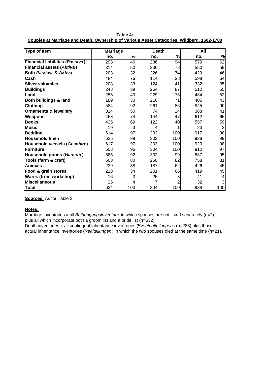| <b>Type of Item</b>                    | <b>Marriage</b> |     | <b>Death</b> |                | All |                |
|----------------------------------------|-----------------|-----|--------------|----------------|-----|----------------|
|                                        | no.             | %   | no.          | %              | no. | $\%$           |
| <b>Financial liabilities (Passiva)</b> | 293             | 46  | 286          | 94             | 579 | 62             |
| <b>Financial assets (Aktiva)</b>       | 314             | 50  | 236          | 78             | 550 | 59             |
| <b>Both Passiva &amp; Aktiva</b>       | 203             | 32  | 226          | 74             | 429 | 46             |
| <b>Cash</b>                            | 484             | 76  | 114          | 38             | 598 | 64             |
| <b>Silver valuables</b>                | 208             | 33  | 124          | 41             | 332 | 35             |
| <b>Buildings</b>                       | 248             | 39  | 264          | 87             | 512 | 55             |
| Land                                   | 255             | 40  | 229          | 75             | 484 | 52             |
| <b>Both buildings &amp; land</b>       | 189             | 30  | 216          | 71             | 405 | 43             |
| <b>Clothing</b>                        | 584             | 92  | 261          | 86             | 845 | 90             |
| <b>Ornaments &amp; jewellery</b>       | 314             | 50  | 74           | 24             | 388 | 41             |
| <b>Weapons</b>                         | 468             | 74  | 144          | 47             | 612 | 65             |
| <b>Books</b>                           | 435             | 69  | 122          | 40             | 557 | 59             |
| <b>Music</b>                           | 19              | 3   | 4            | 1              | 23  | $\overline{2}$ |
| <b>Bedding</b>                         | 614             | 97  | 303          | 100            | 917 | 98             |
| <b>Household linen</b>                 | 625             | 99  | 303          | 100            | 928 | 99             |
| Household vessels (Geschirr)           | 617             | 97  | 303          | 100            | 920 | 98             |
| <b>IFurniture</b>                      | 608             | 96  | 304          | 100            | 912 | 97             |
| Household goods (Hausrat)              | 585             | 92  | 302          | 99             | 887 | 95             |
| Tools (farm & craft)                   | 508             | 80  | 250          | 82             | 758 | 81             |
| <b>Animals</b>                         | 239             | 38  | 187          | 62             | 426 | 45             |
| Food & grain stores                    | 218             | 34  | 201          | 66             | 419 | 45             |
| <b>Wares (from workshop)</b>           | 16              | 3   | 25           | 8              | 41  | 4              |
| <b>Miscellaneous</b>                   | 25              | 4   | 7            | $\overline{2}$ | 32  | 3              |
| <b>Total</b>                           | 634             | 100 | 304          | 100            | 938 | 100            |

**Table 4: Couples at Marriage and Death, Ownership of Various Asset Categories, Wildberg, 1602-1700**

### **Notes:**

Marriage inventories = all *Beibringungsinventare* in which spouses are not listed separately (n=2) plus all which incorporate both a groom list and a bride list (n=632)

Death inventories = all contingent inheritance inventories (*Eventualteilungen*) (n=283) plus those actual inheritance inventories (*Realteilungen* ) in which the two spouses died at the same time (n=21).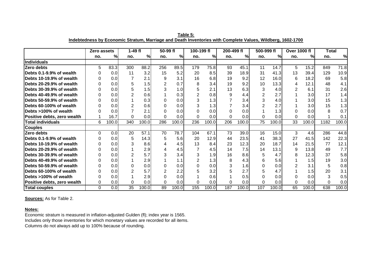|                             | Zero assets |       | $1-49$ fl |       | 50-99 fl |       | 100-199 fl     |                  | 200-499 fl |       | 500-999 fl |       | <b>Over 1000 fl</b> |       | <b>Total</b> |               |
|-----------------------------|-------------|-------|-----------|-------|----------|-------|----------------|------------------|------------|-------|------------|-------|---------------------|-------|--------------|---------------|
|                             | no.         | %l    | no.       | %     | no.      | %     | no.            | %                | no.        | %     | no.        | %     | no.                 | %     | no.          | $\frac{9}{6}$ |
| Individuals                 |             |       |           |       |          |       |                |                  |            |       |            |       |                     |       |              |               |
| Zero debts                  | 5           | 83.3  | 300       | 88.2  | 256      | 89.5  | 179            | 75.8             | 93         | 45.1  | 11         | 14.7  | 5.                  | 15.2  | 849          | 71.8          |
| Debts 0.1-9.9% of wealth    |             | 0.0   | 11        | 3.2   | 15       | 5.2   | 20             | 8.5              | 39         | 18.9  | 31         | 41.3  | 13                  | 39.4  | 129          | 10.9          |
| Debts 10-19.9% of wealth    |             | 0.0   |           | 2.1   | 9        | 3.1   | 16             | 6.8              | 19         | 9.2   | 12         | 16.0  | 6                   | 18.2  | 69           | 5.8           |
| Debts 20-29.9% of wealth    |             | 0.0   | 5         | 1.5   | 2        | 0.7   | 8              | 3.4              | 19         | 9.2   | 10         | 13.3  | 4                   | 12.1  | 48           | 4.1           |
| lDebts 30-39.9% of wealth   |             | 0.0   | 5         | 1.5   | 3        | 1.0   | 5              | 2.1              | 13         | 6.3   |            | 4.0   | $\overline{2}$      | 6.1   | 31           | 2.6           |
| Debts 40-49.9% of wealth    |             | 0.0   | 2         | 0.6   |          | 0.3   | $\overline{2}$ | 0.8              | 9          | 4.4   |            | 2.7   |                     | 3.0   | 17           | 1.4           |
| Debts 50-59.9% of wealth    |             | 0.0   |           | 0.3   | 0        | 0.0   | 3              | 1.3              |            | 3.4   |            | 4.0   |                     | 3.0   | 15           | 1.3           |
| Debts 60-100% of wealth     |             | 0.0   |           | 0.6   | 0        | 0.0   | 3              | 1.3              |            | 3.4   |            | 2.7   |                     | 3.0   | 15           | 1.3           |
| lDebts >100% of wealth      |             | 0.0   |           | 2.1   | 0        | 0.0   | 0              | 0.0              |            | 0.0   |            | 1.3   |                     | 0.0   | 8            | 0.7           |
| Positive debts, zero wealth |             | 16.7  | 0         | 0.0   | 0        | 0.0   | 0              | 0.0              | $\Omega$   | 0.0   |            | 0.0   | $\Omega$            | 0.0   |              | 0.1           |
| <b>Total individuals</b>    | 6           | 100.0 | 340       | 100.0 | 286      | 100.0 | 236            | 100.0            | 206        | 100.0 | 75         | 100.0 | 33                  | 100.0 | 1182         | 100.0         |
| <b>Couples</b>              |             |       |           |       |          |       |                |                  |            |       |            |       |                     |       |              |               |
| Zero debts                  | 0           | 0.0   | 20        | 57.1  | 70       | 78.7  | 104            | 67.1             | 73         | 39.0  | 16         | 15.0  | 3                   | 4.6   | 286          | 44.8          |
| Debts 0.1-9.9% of wealth    |             | 0.0   | 5         | 14.3  | 5        | 5.6   | 20             | 12.9             | 44         | 23.5  | 41         | 38.3  | 27                  | 41.5  | 142          | 22.3          |
| Debts 10-19.9% of wealth    |             | 0.0   | 3         | 8.6   | 4        | 4.5   | 13             | 8.4              | 23         | 12.3  | 20         | 18.7  | 14                  | 21.5  | 77           | 12.1          |
| lDebts 20-29.9% of wealth   |             | 0.0   |           | 2.9   | 4        | 4.5   | 7              | 4.5              | 14         | 7.5   | 14         | 13.1  | 9                   | 13.8  | 49           | 7.7           |
| Debts 30-39.9% of wealth    |             | 0.0   | 2         | 5.7   | 3        | 3.4   | 3              | 1.9              | 16         | 8.6   | 5          | 4.7   | 8                   | 12.3  | 37           | 5.8           |
| lDebts 40-49.9% of wealth   |             | 0.0   |           | 2.9   |          | 1.1   | $\overline{2}$ | 1.3 <sub>1</sub> | 8          | 4.3   | 6          | 5.6   |                     | 1.5   | 19           | 3.0           |
| Debts 50-59.9% of wealth    |             | 0.0   | 0         | 0.0   | 0        | 0.0   | $\Omega$       | 0.0              |            | 1.6   |            | 0.0   |                     | 3.1   | 5            | 0.8           |
| Debts 60-100% of wealth     |             | 0.0   | 2         | 5.7   | 2        | 2.2   | 5              | 3.2              |            | 2.7   |            | 4.7   |                     | 1.5   | 20           | 3.1           |
| Debts >100% of wealth       |             | 0.0   |           | 2.9   | 0        | 0.0   |                | 0.6              |            | 0.5   |            | 0.0   |                     | 0.0   | 3            | 0.5           |
| Positive debts, zero wealth | 0           | 0.0   | 0         | 0.0   | 0        | 0.0   | 0              | 0.0              | $\Omega$   | 0.0   | 0          | 0.0   | 0                   | 0.0   | $\Omega$     | 0.0           |
| <b>Total couples</b>        | $\Omega$    | 0.0   | 35        | 100.0 | 89       | 100.0 | 155            | 100.0            | 187        | 100.0 | 107        | 100.0 | 65                  | 100.0 | 638          | 100.0         |

**Table 5: Indebtedness by Economic Stratum, Marriage and Death Inventories with Complete Values, Wildberg, 1602-1700**

### **Notes:**

Economic stratum is measured in inflation-adjusted Gulden (fl); index year is 1565. Includes only those inventories for which monetary values are recorded for all items. Columns do not always add up to 100% because of rounding.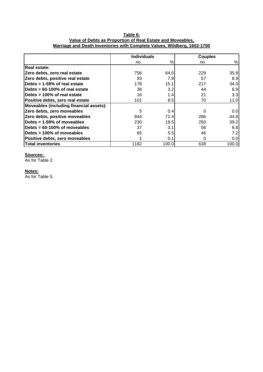# **Table 6: Value of Debts as Proportion of Real Estate and Moveables, Marriage and Death Inventories with Complete Values, Wildberg, 1602-1700**

|                                         | <b>Individuals</b> |       | <b>Couples</b> |       |
|-----------------------------------------|--------------------|-------|----------------|-------|
|                                         | no.                | $\%$  | no.            | %     |
| Real estate:                            |                    |       |                |       |
| Zero debts, zero real estate            | 756                | 64.0  | 229            | 35.9  |
| Zero debts, positive real estate        | 93                 | 7.9   | 57             | 8.9   |
| Debts = 1-59% of real estate            | 178                | 15.1  | 217            | 34.0  |
| Debts = 60-100% of real estate          | 38                 | 3.2   | 44             | 6.9   |
| Debts > 100% of real estate             | 16                 | 1.4   | 21             | 3.3   |
| Positive debts, zero real estate        | 101                | 8.5   | 70             | 11.0  |
| Moveables (including financial assets): |                    |       |                |       |
| Zero debts, zero moveables              | 5                  | 0.4   | $\Omega$       | 0.0   |
| Zero debts, positive moveables          | 844                | 71.4  | 286            | 44.8  |
| Debts = 1-59% of moveables              | 230                | 19.5  | 250            | 39.2  |
| Debts = 60-100% of moveables            | 37                 | 3.1   | 56             | 8.8   |
| Debts > 100% of moveables               | 65                 | 5.5   | 46             | 7.2   |
| Positive debts, zero moveables          |                    | 0.1   | $\Omega$       | 0.0   |
| <b>Total inventories</b>                | 1182               | 100.0 | 638            | 100.0 |

### **Sources:**

As for Table 2.

# **Notes:**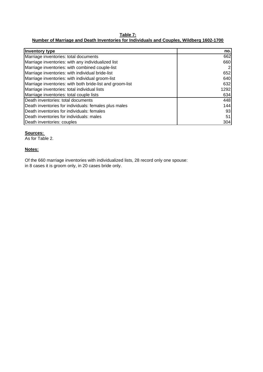# **Table 7:**

# **Number of Marriage and Death Inventories for Individuals and Couples, Wildberg 1602-1700**

| Inventory type                                            | no.  |
|-----------------------------------------------------------|------|
| Marriage inventories: total documents                     | 662  |
| Marriage inventories: with any individualized list        | 660  |
| Marriage inventories: with combined couple-list           |      |
| Marriage inventories: with individual bride-list          | 652  |
| Marriage inventories: with individual groom-list          | 640  |
| Marriage inventories: with both bride-list and groom-list | 632  |
| Marriage inventories: total individual lists              | 1292 |
| Marriage inventories: total couple lists                  | 634  |
| Death inventories: total documents                        | 448  |
| Death inventories for individuals: females plus males     | 144  |
| Death inventories for individuals: females                | 93   |
| Death inventories for individuals: males                  | 51   |
| Death inventories: couples                                | 304  |

### **Sources:**

As for Table 2.

### **Notes:**

Of the 660 marriage inventories with individualized lists, 28 record only one spouse: in 8 cases it is groom only, in 20 cases bride only.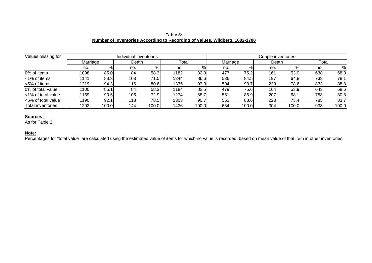|                                                                             | Table 8: |  |  |
|-----------------------------------------------------------------------------|----------|--|--|
| Number of Inventories According to Recording of Values, Wildberg, 1602-1700 |          |  |  |

| $\sqrt{a}$ lues missing for |          |       | Individual inventories |       |       | Couple inventories |          |       |       |       |       |       |
|-----------------------------|----------|-------|------------------------|-------|-------|--------------------|----------|-------|-------|-------|-------|-------|
|                             | Marriage |       | Death                  |       | Total |                    | Marriage |       | Death |       | Total |       |
|                             | no.      | %     | no.                    | %     | no.   | %                  | no.      | %     | no.   | %     | no.   | %     |
| 0% of items                 | 1098     | 85.0  | 84                     | 58.3  | 1182  | 82.3               | 477      | 75.2  | 161   | 53.0  | 638   | 68.0  |
| <1% of items                | 1141     | 88.3  | 103                    | 71.5  | 1244  | 86.6               | 536      | 84.5  | 197   | 64.8  | 733   | 78.1  |
| $\approx$ 5% of items       | 1219     | 94.3  | 116                    | 80.6  | 1335  | 93.0               | 594      | 93.7  | 239   | 78.6  | 833   | 88.8  |
| 0% of total value           | 1100     | 85.1  | 84                     | 58.3  | 1184  | 82.5               | 479      | 75.6  | 164   | 53.9  | 643   | 68.6  |
| I<1% of total value         | 1169     | 90.5  | 105                    | 72.9  | 1274  | 88.7               | 551      | 86.9  | 207   | 68.1  | 758   | 80.8  |
| <5% of total value          | 1190     | 92.1  | 113                    | 78.5  | 1303  | 90.7               | 562      | 88.6  | 223   | 73.4  | 785   | 83.7  |
| Total inventories           | 1292     | 100.0 | 144                    | 100.0 | 1436  | 100.0              | 634      | 100.0 | 304   | 100.0 | 938   | 100.0 |

### **Note:**

**Percentages for "total value" are calculated using the estimated value of items for which no value is recorded, based on mean value of that item in other inventories.**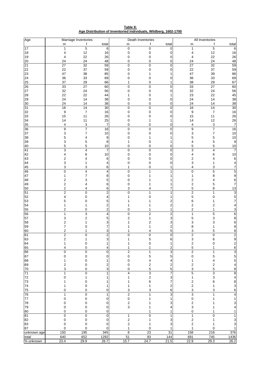**Table 9: Age Distribution of Inventoried Individuals, Wildberg, 1602-1700**

| Age                | Marriage Inventories        |                         |                |                         | Death Inventories |                | All Inventories               |                      |                          |  |
|--------------------|-----------------------------|-------------------------|----------------|-------------------------|-------------------|----------------|-------------------------------|----------------------|--------------------------|--|
|                    | m                           | f                       | total          | m                       | f                 | total          | m                             | f                    | total                    |  |
| 17                 | 1                           | $\overline{5}$          | 6              | $\mathbf 0$             | $\mathbf 0$       | 0              | 1                             | 5                    | 6                        |  |
| $18\,$             | 4                           | 12                      | 16             | 0                       | 0                 | 0              | 4                             | 12                   | 16                       |  |
| 19                 | 4                           | 22                      | 26<br>48       | 0                       | 0                 | 0              | 4                             | 22                   | 26                       |  |
| $20\,$<br>21       | 24<br>27                    | 24<br>32                | 59             | 0<br>0                  | 0<br>0            | 0<br>0         | 24<br>27                      | 24<br>32             | 48<br>59                 |  |
| 22                 | 22                          | 37                      | 59             | 0                       | $\Omega$          | $\Omega$       | 22                            | 37                   | 59                       |  |
| 23                 | 47                          | 38                      | 85             | 0                       |                   |                | 47                            | 39                   | 86                       |  |
| 24                 | 36                          | 33                      | 69             | 0                       | 0                 | $\mathbf 0$    | 36                            | 33                   | 69                       |  |
| 25                 | 37                          | 29                      | 66             | 1                       | 0                 | 1              | 38                            | 29                   | 67                       |  |
| 26                 | 33                          | 27                      | 60             | 0                       | $\mathbf 0$       | $\mathbf 0$    | 33                            | 27                   | 60                       |  |
| 27                 | 32                          | 24                      | 56             | 0                       | $\mathbf 0$       | $\Omega$       | 32                            | 24                   | 56                       |  |
| 28                 | 22                          | 22                      | 44             |                         | 0                 |                | 23                            | 22                   | 45                       |  |
| 29                 | 24                          | 14                      | 38             | 0                       | 0                 | 0              | 24                            | 14                   | 38                       |  |
| 30                 | 24                          | 14                      | 38             | 0                       | 0                 | 0              | 24                            | 14                   | 38                       |  |
| 31                 | 16                          | 14                      | $30\,$         | 0                       | $\boldsymbol{0}$  | $\mathbf 0$    | 16                            | $\overline{14}$      | 30                       |  |
| 32<br>33           | 9                           | 7<br>11                 | 16<br>26       | 0<br>0                  | $\mathbf 0$<br>0  | 0<br>0         | 9<br>15                       | $\overline{7}$<br>11 | 16<br>26                 |  |
| 34                 | 15<br>14                    | 11                      | 25             | 0                       | 1                 | 1              | 14                            | 12                   | 26                       |  |
| 35                 | 4                           | 3                       | $\overline{7}$ | 0                       | 0                 | 0              | 4                             | 3                    | $\boldsymbol{7}$         |  |
| 36                 | 9                           | $\overline{7}$          | 16             | 0                       | $\boldsymbol{0}$  | 0              | 9                             | $\overline{7}$       | 16                       |  |
| 37                 | 3                           | 7                       | 10             | 0                       | 0                 | $\Omega$       | 3                             | 7                    | 10                       |  |
| 38                 | 5                           | 4                       | 9              | 0                       |                   |                | 5                             | 5                    | $10$                     |  |
| 39                 | 3                           | 5                       | 8              |                         | 0                 | 1              | 4                             | 5                    | $\boldsymbol{9}$         |  |
| 40                 | 5                           | 5                       | $10$           | 0                       | 0                 | 0              | 5                             | 5                    | 10                       |  |
| 41                 | 3                           | $\overline{\mathbf{4}}$ | 7              | 0                       | $\boldsymbol{0}$  | $\mathbf 0$    | 3                             | 4                    | 7                        |  |
| 42                 | 4                           | 6                       | 10             | 0                       | $\mathbf 0$       | 0              | 4                             | 6                    | 10                       |  |
| 43                 | 2                           | 4                       | 6              | 0                       | 0                 | 0              | $\overline{\mathbf{c}}$       | 4                    | 6                        |  |
| 44                 | 3                           | 1                       | 4              | 0                       | 0                 | 0              | 3                             | 1                    | 4                        |  |
| 45                 | 3<br>0                      | 3<br>4                  | 6              | 1<br>0                  | 0<br>1            | 1<br>1         | $\overline{4}$<br>$\mathbf 0$ | 3<br>5               | 7<br>5                   |  |
| 46<br>47           | 1                           | 7                       | 4<br>8         | 0                       |                   |                | 1                             | 8                    | 9                        |  |
| 48                 | 2                           | 3                       | 5              | 0                       |                   |                | 2                             | 4                    | 6                        |  |
| 49                 | $\overline{\mathbf{c}}$     | 4                       | 6              | 0                       |                   |                | $\boldsymbol{2}$              | 5                    | 7                        |  |
| 50                 | $\boldsymbol{2}$            | 4                       | 6              | 3                       | 4                 | 7              | 5                             | 8                    | 13                       |  |
| 51                 | $\overline{2}$              | $\mathbf 0$             | 2              | 0                       | 1                 | 1              | $\overline{2}$                | 1                    | $\overline{3}$           |  |
| 52                 | 4                           | 0                       | 4              |                         | 0                 |                | 5                             | $\mathbf 0$          | $\frac{5}{7}$            |  |
| 53                 | 5                           | 0                       | 5              |                         |                   | 2              | 6                             | 1                    |                          |  |
| 54                 |                             | 1                       | 2              |                         |                   | $\overline{2}$ | 2                             | 2                    | 4                        |  |
| 55                 | 2                           | 0                       | $\overline{2}$ | 0                       | 1                 | 1              | $\overline{\mathbf{c}}$       | 1                    | 3                        |  |
| 56                 | 1                           | 3                       | 4              | 0                       | $\overline{2}$    | $\overline{2}$ | 1                             | 5                    | $\overline{6}$           |  |
| 57                 | 3                           | 2                       | 5              | 2                       | 1                 | 3              | 5                             | 3                    | 8                        |  |
| 58<br>59           | 2<br>7                      | 1<br>0                  | 3<br>7         |                         | 2                 | 3<br>2         | 3<br>8                        | 3<br>1               | 6<br>9                   |  |
| 60                 | 2                           | 1                       | 3              |                         | 4                 | 5              | 3                             | 5                    | 8                        |  |
| 61                 | $\mathfrak{p}$              | 0                       | $\mathfrak{p}$ | 0                       | 0                 | $\Omega$       | $\overline{2}$                | $\Omega$             |                          |  |
| 63                 | 2                           | 1                       | 3              |                         | 5                 | 6              | 3                             | 6                    | 9                        |  |
| 64                 | 1                           | 0                       | 1              | 1                       | 0                 | 1              | $\boldsymbol{2}$              | 0                    |                          |  |
| 65                 | 4                           | 0                       | 4              | 1                       | 1                 | 2              | 5                             | 1                    | $\frac{2}{6}$            |  |
| 66                 | 0                           | 0                       | 0              | 2                       | 1                 | 3              | $\boldsymbol{2}$              | 1                    |                          |  |
| 67                 | $\pmb{0}$                   | 0                       | 0              | 0                       | 5                 | 5              | 0                             | 5                    | $\frac{3}{5}$            |  |
| 68                 | 1                           | 0                       | 1              | 0                       | 4                 | 4              | 1                             | 4                    | $\frac{5}{4}$            |  |
| 69                 | 2                           | 0                       | 2              | 0                       | 2                 | 2              | $\overline{c}$                | 2                    |                          |  |
| 70                 | 3                           | 0                       | 3              | 0                       | 5                 | 5              | 3                             | 5                    | 8                        |  |
| 71                 | $\mathbf{1}$<br>$\mathbf 0$ | 0                       | 1              | $\overline{4}$<br>1     | 3                 | $\overline{7}$ | 5                             | 3                    | $\overline{8}$           |  |
| 72<br>73           |                             | 1<br>0                  | 1<br>1         |                         | 2<br>6            | 3<br>7         | 1<br>$\overline{c}$           | 3<br>6               | $\overline{\mathcal{L}}$ |  |
| 74                 | 1                           | 0                       | 1              | 1                       | 1                 | 2              | $\sqrt{2}$                    | 1                    | $\frac{8}{3}$            |  |
| 75                 | 0                           | 0                       | 0              | 3                       | 3                 | 6              | 3                             | 3                    | 6                        |  |
| 76                 | 1                           | $\pmb{0}$               | 1              | $\sqrt{2}$              | 1                 | 3              | 3                             | 1                    | $\overline{4}$           |  |
| 77                 | $\pmb{0}$                   | 0                       | 0              | 0                       |                   | 1              | $\pmb{0}$                     | 1                    | $\mathbf{1}$             |  |
| 78                 | 0                           | 0                       | 0              | 2                       |                   | 3              | 2                             |                      | 3                        |  |
| 79                 | 0                           | 0                       | 0              | 3                       |                   | 4              | 3                             | 1                    | $\overline{\mathbf{4}}$  |  |
| 80                 | 0                           | 0                       | 0              |                         | 1                 | 1              | 0                             | 1                    | $\mathbf{1}$             |  |
| 81                 | $\pmb{0}$                   | $\pmb{0}$               | 0              | 1                       | 0                 | 1              | 1                             | 0                    | $\mathbf{1}$             |  |
| 82                 | $\pmb{0}$                   | 0                       | 0              | $\boldsymbol{2}$        | 1                 | 3              | 2                             | 1                    | 3                        |  |
| 83                 | 0                           | 0                       | 0              | $\overline{\mathbf{c}}$ |                   | 3              | $\boldsymbol{2}$              | 1                    | 3                        |  |
| 87                 | $\Omega$                    | 0                       | $\Omega$       | 1                       | $\mathbf 0$       | 1              | 1                             | $\mathbf 0$          | $\mathbf{1}$             |  |
| unknown age        | 150<br>640                  | 195<br>652              | 345<br>1292    | 8<br>51                 | 23<br>93          | 31<br>144      | 158                           | 218<br>745           | 376<br>1436              |  |
| total<br>% unknown | 23.4                        | 29.9                    | 26.7           | 15.7                    | 24.7              | 21.5           | 691<br>22.9                   | 29.3                 | 26.2                     |  |
|                    |                             |                         |                |                         |                   |                |                               |                      |                          |  |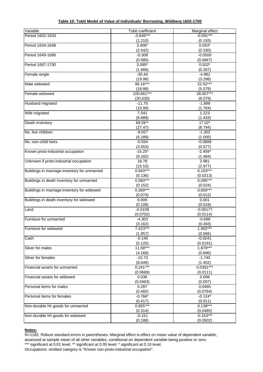|  |  |  |  |  |  |  |  | Table 10: Tobit Model of Value of Individuals' Borrowing, Wildberg 1602-1700 |  |  |  |  |
|--|--|--|--|--|--|--|--|------------------------------------------------------------------------------|--|--|--|--|
|--|--|--|--|--|--|--|--|------------------------------------------------------------------------------|--|--|--|--|

| Variable                                      | Tobit coefficient     | Marginal effect       |
|-----------------------------------------------|-----------------------|-----------------------|
| Period 1602-1633                              | $-3.646***$           | $-0.591***$           |
|                                               | (1.210)               | (0.193)               |
| Period 1634-1648                              | $3.408*$              | $0.553*$              |
|                                               | (2.042)               | (0.330)               |
| Period 1649-1686                              | $-0.308$              | $-0.0500$             |
|                                               | (0.585)               | (0.0947)              |
| Period 1687-1700                              | $3.095*$              | $0.502*$              |
|                                               | (1.666)               | (0.267)               |
| Female single                                 | $-30.44$              | $-4.982$              |
|                                               | (19.98)               | (3.298)               |
| Male widowed                                  | 96.16***              | 22.52***              |
|                                               | (18.88)               | (5.578)               |
| Female widowed                                | 100.661***            | 28.007***             |
|                                               | (20.630)              | (8.079)               |
| <b>Husband migrated</b>                       | $-11.70$              | $-1.898$              |
|                                               | (10.99)               | (1.764)               |
| Wife migrated                                 | 7.541                 | 1.223                 |
|                                               | (8.889)               | (1.433)               |
| Death inventory                               | 69.59**               | $17.02*$              |
|                                               | (27.47)               | (8.794)               |
| No. live children                             | $-8.027$              | $-1.302$              |
|                                               | (6.189)               | (1.005)               |
| No. non-child heirs                           | $-0.554$              | $-0.0899$             |
|                                               | (3.553)               | (0.577)               |
| Known proto-industrial occupation             | $-15.25*$             | $-2.459*$             |
|                                               | (9.182)               | (1.484)               |
| Unknown if proto-industrial occupation        | 16.78                 | 2.981                 |
|                                               | (15.53)               | (2.977)               |
| Buildings in marriage inventory for unmarried | $0.943***$            | $0.153***$            |
|                                               | (0.136)<br>$0.583***$ | (0.0213)<br>0.095***  |
| Buildings in death inventory for unmarried    |                       |                       |
| Buildings in marriage inventory for widowed   | (0.152)<br>0.369***   | (0.024)<br>$0.600***$ |
|                                               | (0.074)               | (0.012)               |
| Buildings in death inventory for widowed      | 0.009                 | 0.001                 |
|                                               | (0.108)               | (0.018)               |
| Land                                          | $-0.0109$             | $-0.00177$            |
|                                               | (0.0702)              | (0.0114)              |
| Furniture for unmarried                       | $-4.303$              | $-0.698$              |
|                                               | (3.162)               | (0.493)               |
| Furniture for widowed                         | 7.423***              | 1.902***              |
|                                               | (1.957)               | (0.566)               |
| Cash                                          | $-0.149$              | $-0.0241$             |
|                                               | (0.120)               | (0.0191)              |
| Silver for males                              | 11.58***              | 1.879***              |
|                                               | (4.166)               | (0.696)               |
| Silver for females                            | $-10.73$              | $-1.740$              |
|                                               | (8.649)               | (1.402)               |
| Financial assets for unmarried                | $0.241***$            | $0.0391***$           |
|                                               | (0.0689)              | (0.0111)              |
| Financial assets for widowed                  | 0.036                 | 0.006                 |
|                                               | (0.0463)              | (0.007)               |
| Personal items for males                      | 0.287                 | 0.0465                |
|                                               | (0.482)               | (0.0784)              |
| Personal items for females                    | $-0.766*$             | $-0.124*$             |
|                                               | (0.417)               | (0.011)               |
| Non-durable hh goods for unmarried            | 0.855***              | $0.139***$            |
|                                               | (0.314)               | (0.0485)              |
| Non-durable hh goods for widowed              | $-0.151$              | $-0.163***$           |
|                                               | (0.188)               | (0.0502)              |

### **Notes:**

N=1182. Robust standard errors in parentheses. Marginal effect is effect on mean value of dependent variable, assessed at sample mean of all other variables, conditional on dependent variable being positive or zero.

\*\*\* significant at 0.01 level; \*\* significant at 0.05 level; \* significant at 0.10 level.

Occupations: omitted category is "Known non-proto-industrial occupation".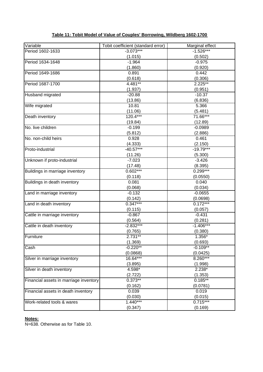| Variable                               | Tobit coefficient (standard error) | Marginal effect |
|----------------------------------------|------------------------------------|-----------------|
| Period 1602-1633                       | $-3.073***$                        | $-1.526***$     |
|                                        | (1.015)                            | (0.502)         |
| Period 1634-1648                       | $-1.964$                           | $-0.975$        |
|                                        | (1.860)                            | (0.920)         |
| Period 1649-1686                       | 0.891                              | 0.442           |
|                                        | (0.618)                            | (0.306)         |
| Period 1687-1700                       | 4.481**                            | $2.225**$       |
|                                        | (1.937)                            | (0.951)         |
| Husband migrated                       | $-20.88$                           | $-10.37$        |
|                                        | (13.86)                            | (6.836)         |
| Wife migrated                          | 10.81                              | 5.366           |
|                                        | (11.06)                            | (5.481)         |
| Death inventory                        | 120.4***                           | 71.66***        |
|                                        | (19.84)                            | (12.89)         |
| No. live children                      | $-0.199$                           | $-0.0989$       |
|                                        | (5.812)                            | (2.886)         |
| No. non-child heirs                    | 0.928                              | 0.461           |
|                                        | (4.333)                            | (2.150)         |
| Proto-industrial                       | $-40.57***$                        | $-19.79***$     |
|                                        | (11.26)                            | (5.300)         |
| Unknown if proto-industrial            | $-7.023$                           | $-3.426$        |
|                                        | (17.48)                            | (8.395)         |
| Buildings in marriage inventory        | $0.602***$                         | $0.299***$      |
|                                        | (0.118)                            | (0.0550)        |
| Buildings in death inventory           | 0.081                              | 0.040           |
|                                        | (0.068)                            | (0.034)         |
| Land in marriage inventory             | $-0.132$                           | $-0.0655$       |
|                                        | (0.142)                            | (0.0698)        |
| Land in death inventory                | $0.347***$                         | $0.172***$      |
|                                        | (0.115)                            | (0.057)         |
| Cattle in marriage inventory           | $-0.867$                           | $-0.431$        |
|                                        | (0.564)                            | (0.281)         |
| Cattle in death inventory              | $-2.832***$                        | $-1.406***$     |
|                                        | (0.765)                            | (0.380)         |
| Furniture                              | $2.731**$                          | 1.356*          |
|                                        | (1.369)                            | (0.693)         |
| Cash                                   | $-0.220**$                         | $-0.109**$      |
|                                        | (0.0868)                           | (0.0425)        |
| Silver in marriage inventory           | 16.64***                           | 8.260***        |
|                                        | (3.895)                            | (1.998)         |
| Silver in death inventory              | 4.598*                             | $2.238*$        |
|                                        | (2.722)                            | (1.353)         |
| Financial assets in marriage inventory | $0.373**$                          | $0.185***$      |
|                                        | (0.162)                            | (0.0781)        |
| Financial assets in death inventory    | 0.039                              | 0.019           |
|                                        | (0.030)                            | (0.015)         |
| Work-related tools & wares             | $1.440***$                         | $0.715***$      |
|                                        | (0.347)                            | (0.169)         |

# **Table 11: Tobit Model of Value of Couples' Borrowing, Wildberg 1602-1700**

### **Notes:**

N=638. Otherwise as for Table 10.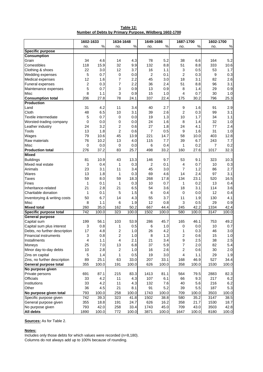|                                                        | Table 12: |  |
|--------------------------------------------------------|-----------|--|
| Number of Debts by Primary Purpose, Wildberg 1602-1700 |           |  |

|                                      | 1602-1633      |            |                         | 1634-1648  |                | 1649-1686  |                | 1687-1700  | 1602-1700      |         |
|--------------------------------------|----------------|------------|-------------------------|------------|----------------|------------|----------------|------------|----------------|---------|
|                                      | no.            | $\%$       | no.                     | ℅          | no.            | $\%$       | no.            | $\%$       | no.            | $\%$    |
| <b>Specific purpose</b>              |                |            |                         |            |                |            |                |            |                |         |
| <b>Consumption</b>                   |                |            |                         |            |                |            |                |            |                |         |
| Grain                                | 34             | 4.6        | 14                      | 4.3        | 78             | 5.2        | 38             | 6.6        | 164            | 5.2     |
| Comestibles                          | 118            | 15.9       | 32                      | 9.9        | 132            | 8.8        | 51             | 8.8        | 333            | 10.6    |
| Clothing & shoes                     | 22             | 3.0        | 12                      | 3.7        | 16             | 1.1        | 3              | 0.5        | 53             | 1.7     |
| Wedding expenses                     | 5              | 0.7        | 0                       | 0.0        | $\overline{2}$ | 0.1        | $\overline{c}$ | 0.3        | 9              | 0.3     |
| Medical expenses                     | 12             | 1.6        | 7                       | 2.2        | 45             | 3.0        | 18             | 3.1        | 82             | 2.6     |
| Funeral expenses                     | $\overline{2}$ | 0.3        | 7                       | 2.2        | 36             | 2.4        | 51             | 8.8        | 96             | 3.1     |
| Maintenance expenses                 | 5              | 0.7        | 3                       | 0.9        | 13             | 0.9        | 8              | 1.4        | 29             | 0.9     |
| Misc                                 | 8              | 1.1        | 3                       | 0.9        | 15             | 1.0        | 4              | 0.7        | 30             | 1.0     |
| <b>Consumption total</b>             | 206            | 27.8       | 78                      | 24.1       | 337            | 22.4       | 175            | 30.2       | 796            | 25.3    |
| <b>Production</b>                    |                |            |                         |            |                |            |                |            |                |         |
| Land                                 | 31             | 4.2        | 11                      | 3.4        | 40             | 2.7        | 9              | 1.6        | 91             | 2.9     |
| Cloth                                | 48             | 6.5        | 10                      | 3.1        | 39             | 2.6        | 2              | 0.3        | 99             | 3.1     |
| Textile intermediate                 | 5              | 0.7        | 0                       | 0.0        | 19             | 1.3        | 10             | 1.7        | 34             | 1.1     |
| Worsted-trading company              | 0              | 0.0        | 0                       | 0.0        | 24             | 1.6        | 8              | 1.4        | 32             | 1.0     |
| Leather industry                     | 24             | 3.2        | $\overline{\mathbf{c}}$ | 0.6        | 27             | 1.8        | 24             | 4.1        | 77             | 2.4     |
| Tools                                | 13             | 1.8        | $\overline{\mathbf{c}}$ | 0.6        | 7              | 0.5        | 9              | 1.6        | 31             | 1.0     |
| Wages                                | 79             | 10.6       | 45                      | 13.9       | 221            | 14.7       | 58             | 10.0       | 403            | 12.8    |
| Raw materials                        | 76             | 10.2       | 13                      | 4.0        | 115            | 7.7        | 39             | 6.7        | 243            | 7.7     |
| Misc                                 | 0              | 0.0        | $\mathbf 0$             | 0.0        | 6              | 0.4        | 1              | 0.2        | $\overline{7}$ | 0.2     |
| <b>Production total</b>              | 276            | 37.2       | 83                      | 25.7       | 498            | 33.2       | 160            | 27.6       | 1017           | 32.3    |
| <b>Mixed</b>                         |                |            |                         |            |                |            |                |            |                |         |
| <b>Buildings</b>                     | 81             | 10.9       | 43                      | 13.3       | 146            | 9.7        | 53             | 9.1        | 323            | 10.3    |
| Mixed real estate                    | 3              | 0.4        | 1                       | 0.3        | 2              | 0.1        | 4              | 0.7        | 10             | 0.3     |
| Animals                              | 23             | 3.1        | 11                      | 3.4        | 45             | 3.0        | 7              | 1.2        | 86             | 2.7     |
| Wares                                | 13             | 1.8        | 1                       | 0.3        | 69             | 4.6        | 14             | 2.4        | 97             | 3.1     |
| Taxes                                | 59             | 8.0        | 59                      | 18.3       | 268            | 17.8       | 134            | 23.1       | 520            | 16.5    |
| Fines                                | 1              | 0.1        | 1                       | 0.3        | 10             | 0.7        | 1              | 0.2        | 13             | 0.4     |
| Inheritance-related                  | 21             | 2.8        | 21                      | 6.5        | 54             | 3.6        | 18             | 3.1        | 114            | 3.6     |
| Charitable donation                  | 1              | 0.1        | 5                       | 1.5        | 6              | 0.4        | 0              | 0.0        | 12             | 0.4     |
|                                      |                |            | 14                      |            |                |            |                |            |                |         |
| Inventorying & writing costs<br>Misc | 50<br>8        | 6.7<br>1.1 | 6                       | 4.3<br>1.9 | 55<br>12       | 3.7<br>0.8 | 11             | 1.9<br>0.5 | 130<br>29      | 4.1     |
|                                      |                |            |                         |            |                |            | 3              |            |                | 0.9     |
| <b>Mixed total</b>                   | 260            | 35.0       | 162                     | 50.2       | 667            | 44.4       | 245            | 42.2       | 1334           | 42.4    |
| Specific purpose total               | 742            | 100.0      | 323                     | 100.0      | 1502           | 100.0      | 580            | 100.0      | 3147           | 100.0   |
| <b>General purpose</b>               |                |            |                         |            |                |            |                |            |                |         |
| Capital sum                          | 199            | 56.1       | 103                     | 53.9       | 286            | 45.7       | 165            | 46.1       | 753            | 49.2    |
| Capital sum plus interest            | 3              | 0.8        | 1                       | 0.5        | 6              | 1.0        | 0              | 0.0        | 10             | 0.7     |
| Debts, no further description        | 17             | 4.8        | 2                       | 1.0        | 26             | 4.2        | 1              | 0.3        | 46             | 3.0     |
| Financial instruments                | 3              | $0.8\,$    | 2                       | $1.0$      | 8              | 1.3        | 2              | 0.6        | 15             | $1.0\,$ |
| Installments                         | 4              | 1.1        | 4                       | 2.1        | 21             | 3.4        | 9              | 2.5        | 38             | 2.5     |
| Moneys                               | 25             | 7.0        | 13                      | 6.8        | 37             | 5.9        | 7              | 2.0        | 82             | 5.4     |
| Minor day-to-day debts               | 10             | 2.8        | 2                       | 1.0        | 16             | 2.6        | 2              | 0.6        | 30             | 2.0     |
| Zins on capital                      | 5              | 1.4        | 1                       | 0.5        | 19             | 3.0        | 4              | 1.1        | 29             | 1.9     |
| Zins, no further description         | 89             | 25.1       | 63                      | 33.0       | 207            | 33.1       | 168            | 46.9       | 527            | 34.4    |
| General purpose total                | 355            | 100.0      | 191                     | 100.0      | 626            | 100.0      | 358            | 100.0      | 1530           | 100.0   |
| No purpose given                     |                |            |                         |            |                |            |                |            |                |         |
| Private persons                      | 691            | 87.1       | 215                     | 83.3       | 1413           | 81.1       | 564            | 79.5       | 2883           | 82.3    |
| Officials                            | 33             | 4.2        | 11                      | 4.3        | 107            | 6.1        | 66             | 9.3        | 217            | 6.2     |
| Institutions                         | 33             | 4.2        | 11                      | 4.3        | 132            | 7.6        | 40             | 5.6        | 216            | 6.2     |
| Other                                | 36             | 4.5        | 21                      | 8.1        | 91             | 5.2        | 39             | 5.5        | 187            | 5.3     |
| No purpose given total               | 793            | 100.0      | 258                     | 100.0      | 1743           | 100.0      | 709            | 100.0      | 3503           | 100.0   |
| Specific purpose given               | 742            | 39.3       | 323                     | 41.8       | 1502           | 38.8       | 580            | 35.2       | 3147           | 38.5    |
| General purpose given                | 355            | 18.8       | 191                     | 24.7       | 626            | 16.2       | 358            | 21.7       | 1530           | 18.7    |
| No purpose given                     | 793            | 42.0       | 258                     | 33.4       | 1743           | 45.0       | 709            | 43.0       | 3503           | 42.8    |
| <b>All debts</b>                     | 1890           | 100.0      | 772                     | 100.0      | 3871           | 100.0      | 1647           | 100.0      | 8180           | 100.0   |

### **Notes:**

Includes only those debts for which values were recorded (n=8,180). Columns do not always add up to 100% because of rounding.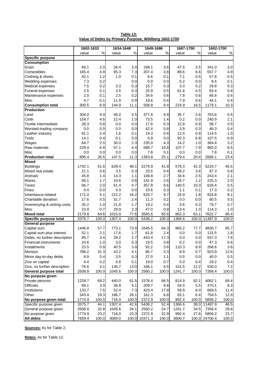|                               | 1602-1633 |       | 1634-1648 |       | 1649-1686     |       | 1687-1700 |       | 1602-1700 |       |
|-------------------------------|-----------|-------|-----------|-------|---------------|-------|-----------|-------|-----------|-------|
|                               | value     | $\%$  | value     | $\%$  | value         | $\%$  | value     | $\%$  | value     | $\%$  |
| <b>Specific purpose</b>       |           |       |           |       |               |       |           |       |           |       |
| <b>Consumption</b>            |           |       |           |       |               |       |           |       |           |       |
| Grain                         | 69.1      | 2.0   | 26.4      | 2.0   | 198.1         | 3.6   | 47.5      | 3.5   | 341.0     | 3.0   |
| Comestibles                   | 165.4     | 4.9   | 95.3      | 7.3   | 207.4         | 3.8   | 89.6      | 6.6   | 557.7     | 4.9   |
| Clothing & shoes              | 42.1      | 1.2   | 1.9       | 0.1   | 6.6           | 0.1   | 7.1       | 0.5   | 57.8      | 0.5   |
| Wedding expenses              | 7.3       | 0.2   |           | 0.0   | 0.9           | 0.0   | 0.2       | 0.0   | 8.4       | 0.1   |
| Medical expenses              | 7.5       | 0.2   | 3.3       | 0.3   | 15.7          | 0.3   | 3.3       | 0.2   | 29.8      | 0.3   |
| Funeral expenses              | 2.5       | 0.1   | 3.5       | 0.3   | 25.9          | 0.5   | 61.6      | 4.5   | 93.4      | 0.8   |
| Maintenance expenses          | 2.0       | 0.1   | 2.5       | 0.2   | 34.6          | 0.6   | 7.8       | 0.6   | 46.8      | 0.4   |
| Misc                          | 4.7       | 0.1   | 11.9      | 0.9   | 19.6          | 0.4   | 7.9       | 0.6   | 44.1      | 0.4   |
| <b>Consumption total</b>      | 300.5     | 8.9   | 144.9     | 11.1  | 508.8         | 9.4   | 224.9     | 16.5  | 1179.1    | 10.3  |
| <b>Production</b>             |           |       |           |       |               |       |           |       |           |       |
| Land                          | 304.0     | 9.0   | 46.2      | 3.5   | 377.6         | 6.9   | 35.7      | 2.6   | 763.6     | 6.6   |
| Cloth                         | 154.7     | 4.6   | 12.4      | 1.0   | 73.5          | 1.4   | 0.2       | 0.0   | 240.9     | 2.1   |
| Textile intermediate          | 28.3      | 0.8   | 0.0       | 0.0   | 17.6          | 0.3   | 12.8      | 0.9   | 58.7      | 0.5   |
| Worsted-trading company       | 0.0       | 0.0   | 0.0       | 0.0   | 42.4          | 0.8   | 3.9       | 0.3   | 46.3      | 0.4   |
| Leather industry              | 81.1      | 2.4   | 1.6       | 0.1   | 19.3          | 0.4   | 12.5      | 0.9   | 114.5     | 1.0   |
| Tools                         | 14.1      | 0.4   | 0.1       | 0.0   | 0.9           | 0.0   | 92.3      | 6.8   | 107.5     | 0.9   |
| Wages                         | 84.7      | 2.5   | 30.0      | 2.3   | 235.9         | 4.3   | 14.2      | 1.0   | 364.8     | 3.2   |
| Raw materials                 | 228.4     | 6.8   | 57.1      | 4.4   | 588.7         | 10.8  | 107.7     | 7.9   | 982.0     | 8.5   |
| Misc                          | 0.0       | 0.0   | 0.0       | 0.0   | 7.8           | 0.1   | 0.0       | 0.0   | 7.8       | 0.1   |
| <b>Production total</b>       | 895.4     | 26.5  | 147.5     | 11.3  | 1363.8        | 25.1  | 279.4     | 20.4  | 2686.1    | 23.4  |
| <b>Mixed</b>                  |           |       |           |       |               |       |           |       |           |       |
| <b>Buildings</b>              | 1742.1    | 51.6  | 629.4     | 48.1  | 2274.9        | 41.8  | 578.3     | 42.3  | 5224.7    | 45.5  |
| Mixed real estate             | 21.1      | 0.6   | 3.5       | 0.3   | 23.5          | 0.4   | 49.2      | 3.6   | 97.3      | 0.8   |
| Animals                       | 45.8      | 1.4   | 14.3      | 1.1   | 148.8         | 2.7   | 34.6      | 2.5   | 243.4     | 2.1   |
| Wares                         | 56.1      | 1.7   | 10.6      | 0.8   | 141.9         | 2.6   | 16.7      | 1.2   | 225.3     | 2.0   |
| Taxes                         | 66.7      | 2.0   | 61.4      | 4.7   | 357.8         | 6.6   | 140.5     | 10.3  | 626.4     | 5.5   |
| Fines                         | 0.4       | 0.0   | 0.3       | 0.0   | 15.6          | 0.3   | 1.1       | 0.1   | 17.3      | 0.2   |
| Inheritance-related           | 171.0     | 5.1   | 212.2     | 16.2  | 525.7         | 9.7   | 24.9      | 1.8   | 933.8     | 8.1   |
| Charitable donation           | 17.6      | 0.5   | 31.7      | 2.4   | 11.3          | 0.2   | 0.0       | 0.0   | 60.5      | 0.5   |
| Inventorying & writing costs  | 35.2      | 1.0   | 21.8      | 1.7   | 19.2          | 0.4   | 3.6       | 0.3   | 79.7      | 0.7   |
| Misc                          | 23.9      | 0.7   | 29.9      | 2.3   | 47.0          | 0.9   | 13.4      | 1.0   | 114.3     | 1.0   |
| <b>Mixed total</b>            | 2179.8    | 64.6  | 1015.0    | 77.6  | 3565.6        | 65.6  | 862.3     | 63.1  | 7622.7    | 66.4  |
| Specific purpose total        | 3375.7    | 100.0 | 1307.4    | 100.0 | 5438.2        | 100.0 | 1366.6    | 100.0 | 11487.9   | 100.0 |
| <b>General purpose</b>        |           |       |           |       |               |       |           |       |           |       |
| Capital sum                   | 1446.8    | 57.7  | 773.1     | 73.9  | 1645.5        | 64.3  | 965.2     | 77.7  | 4830.7    | 65.7  |
| Capital sum plus interest     | 52.1      | 2.1   | 17.6      | 1.7   | 61.8          | 2.4   | 0.0       | 0.0   | 131.5     | 1.8   |
| Debts, no further description | 85.7      | 3.4   | 28.2      | 2.7   | 443.4         | 17.3  | 0.0       | 0.0   | 557.3     | 7.6   |
| Financial instruments         | 24.6      | 1.0   | 3.0       | 0.3   | 19.5          | 0.8   | 0.2       | 0.0   | 47.3      | 0.6   |
| Installments                  | 23.5      | 0.9   | 40.5      | 3.9   | 92.2          | 3.6   | 110.3     | 8.9   | 266.6     | 3.6   |
| Moneys                        | 786.2     | 31.3  | 43.2      | 4.1   | 85.7          | 3.3   | 8.9       | 0.7   | 923.9     | 12.6  |
| Minor day-to-day debts        | 8.9       | 0.4   | 3.5       | 0.3   | 27.0          | 1.1   | 0.5       | 0.0   | 40.0      | 0.5   |
|                               |           |       |           |       |               |       |           |       |           |       |
| Zins on capital               | 4.4       | 0.2   | 0.8       | 0.1   | 19.0          | 0.7   | 5.0       | 0.4   | 29.2      | 0.4   |
| Zins, no further description  | 76.6      | 3.1   | 135.7     | 13.0  | 166.1         | 6.5   | 151.5     | 12.2  | 530.0     | 7.2   |
| General purpose total         | 2508.8    | 100.0 | 1045.6    | 100.0 | 2560.2        | 100.0 | 1241.7    | 100.0 | 7356.4    | 100.0 |
| No purpose given              |           |       |           |       |               |       |           |       |           |       |
| Private persons               | 1228.7    | 69.2  | 440.0     | 61.5  | 1578.4        | 66.5  | 814.9     | 82.1  | 4062.1    | 69.4  |
| Officials                     | 69.1      | 3.9   | 36.8      | 5.1   | 209.7         | 8.8   | 54.5      | 5.5   | 370.1     | 6.3   |
| Institutions                  | 133.7     | 7.5   | 52.4      | 7.3   | 423.4         | 17.8  | 59.9      | 6.0   | 669.5     | 11.4  |
| Other                         | 343.4     | 19.3  | 186.7     | 26.1  | 161.3         | 6.8   | 63.1      | 6.4   | 754.5     | 12.9  |
| No purpose given total        | 1774.9    | 100.0 | 716.0     | 100.0 | 2372.9        | 100.0 | 992.4     | 100.0 | 5856.2    | 100.0 |
| Specific purpose given        | 3375.7    | 44.1  | 1307.4    | 42.6  | 5438.2        | 52.4  | 1366.6    | 38.0  | 11487.9   | 46.5  |
| General purpose given         | 2508.8    | 32.8  | 1045.6    | 34.1  | 2560.2        | 24.7  | 1241.7    | 34.5  | 7356.4    | 29.8  |
| No purpose given              | 1774.9    | 23.2  | 716.0     | 23.3  | 2372.9        | 22.9  | 992.4     | 27.6  | 5856.2    | 23.7  |
| <b>All debts</b>              | 7659.4    | 100.0 | 3069.0    |       | 100.0 10371.3 | 100.0 | 3600.7    | 100.0 | 24700.4   | 100.0 |

**Table 13: Value of Debts by Primary Purpose, Wildberg 1602-1700**

**Notes:** As for Table 12.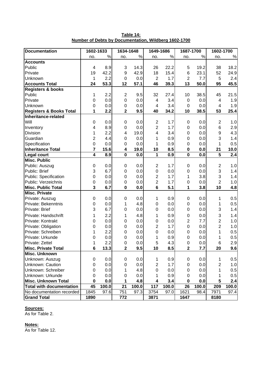| <b>Documentation</b>               | 1602-1633               |       | 1634-1648               |       | 1649-1686        |       | 1687-1700               |       | 1602-1700               |                  |
|------------------------------------|-------------------------|-------|-------------------------|-------|------------------|-------|-------------------------|-------|-------------------------|------------------|
|                                    | no.                     | %     | no.                     | $\%$  | no.              | $\%$  | no.                     | $\%$  | no.                     | $\%$             |
| <b>Accounts</b>                    |                         |       |                         |       |                  |       |                         |       |                         |                  |
| Public                             | $\overline{4}$          | 8.9   | 3                       | 14.3  | 26               | 22.2  | 5                       | 19.2  | 38                      | 18.2             |
| Private                            | 19                      | 42.2  | $\boldsymbol{9}$        | 42.9  | 18               | 15.4  | 6                       | 23.1  | 52                      | 24.9             |
| Unknown                            | 1                       | 2.2   | $\mathbf 0$             | 0.0   | $\overline{2}$   | 1.7   | $\overline{2}$          | 7.7   | 5                       | 2.4              |
| <b>Accounts Total</b>              | 24                      | 53.3  | 12                      | 57.1  | 46               | 39.3  | 13                      | 50.0  | 95                      | 45.5             |
| <b>Registers &amp; books</b>       |                         |       |                         |       |                  |       |                         |       |                         |                  |
| Public                             | 1                       | 2.2   | $\overline{2}$          | 9.5   | 32               | 27.4  | 10                      | 38.5  | 45                      | 21.5             |
| Private                            | 0                       | 0.0   | $\boldsymbol{0}$        | 0.0   | 4                | 3.4   | $\mathbf 0$             | 0.0   | 4                       | 1.9              |
| Unknown                            | $\mathbf 0$             | 0.0   | $\boldsymbol{0}$        | 0.0   | 4                | 3.4   | $\mathbf 0$             | 0.0   | 4                       | 1.9              |
| <b>Registers &amp; Books Total</b> | 1                       | 2.2   | $\overline{\mathbf{2}}$ | 9.5   | 40               | 34.2  | 10                      | 38.5  | 53                      | 25.4             |
| Inheritance-related                |                         |       |                         |       |                  |       |                         |       |                         |                  |
| Will                               | $\mathbf 0$             | 0.0   | $\pmb{0}$               | 0.0   | $\overline{c}$   | 1.7   | 0                       | 0.0   | 2                       | 1.0              |
| Inventory                          | 4                       | 8.9   | $\boldsymbol{0}$        | 0.0   | $\overline{2}$   | 1.7   | $\mathbf 0$             | 0.0   | 6                       | 2.9              |
| <b>Division</b>                    | 1                       | 2.2   | 4                       | 19.0  | 4                | 3.4   | $\mathbf 0$             | 0.0   | 9                       | 4.3              |
| Guardian                           | $\overline{c}$          | 4.4   | $\boldsymbol{0}$        | 0.0   | 1                | 0.9   | $\mathbf 0$             | 0.0   | 3                       | 1.4              |
| Specification                      | 0                       | 0.0   | 0                       | 0.0   | 1                | 0.9   | $\mathbf 0$             | 0.0   | 1                       | 0.5              |
| <b>Inheritance Total</b>           | $\overline{\mathbf{r}}$ | 15.6  | 4                       | 19.0  | 10               | 8.5   | $\bf{0}$                | 0.0   | 21                      | 10.0             |
| <b>Legal court</b>                 | $\overline{4}$          | 8.9   | $\overline{\mathbf{0}}$ | 0.0   | 1                | 0.9   | $\overline{\mathbf{0}}$ | 0.0   | $\overline{\mathbf{5}}$ | $\overline{2.4}$ |
| <b>Misc. Public</b>                |                         |       |                         |       |                  |       |                         |       |                         |                  |
| Public: Auszug                     | $\mathbf 0$             | 0.0   | $\pmb{0}$               | 0.0   | $\overline{c}$   | 1.7   | 0                       | 0.0   | $\overline{c}$          | 1.0              |
| Public: Brief                      | 3                       | 6.7   | $\pmb{0}$               | 0.0   | $\boldsymbol{0}$ | 0.0   | $\mathbf 0$             | 0.0   | 3                       | 1.4              |
| Public: Specification              | 0                       | 0.0   | $\boldsymbol{0}$        | 0.0   | $\overline{2}$   | 1.7   | 1                       | 3.8   | 3                       | 1.4              |
| Public: Verzeichnis                | $\boldsymbol{0}$        | 0.0   | $\mathbf 0$             | 0.0   | $\overline{2}$   | 1.7   | $\mathbf 0$             | 0.0   | $\overline{2}$          | 1.0              |
| <b>Misc. Public Total</b>          | 3                       | 6.7   | $\mathbf 0$             | 0.0   | $6\phantom{1}$   | 5.1   | 1                       | 3.8   | 10                      | 4.8              |
| <b>Misc. Private</b>               |                         |       |                         |       |                  |       |                         |       |                         |                  |
| Private: Auszug                    | $\mathbf 0$             | 0.0   | $\pmb{0}$               | 0.0   | 1                | 0.9   | 0                       | 0.0   | 1                       | 0.5              |
| Private: Bekenntnis                | 0                       | 0.0   | 1                       | 4.8   | 0                | 0.0   | $\mathbf 0$             | 0.0   | 1                       | 0.5              |
| Private: Brief                     | 3                       | 6.7   | 0                       | 0.0   | $\mathbf 0$      | 0.0   | $\mathbf 0$             | 0.0   | 3                       | 1.4              |
| Private: Handschrift               | 1                       | 2.2   | 1                       | 4.8   | 1                | 0.9   | $\mathbf 0$             | 0.0   | 3                       | 1.4              |
| Private: Kontrakt                  | 0                       | 0.0   | $\mathbf 0$             | 0.0   | 0                | 0.0   | $\overline{c}$          | 7.7   | $\overline{c}$          | 1.0              |
| Private: Obligation                | 0                       | 0.0   | 0                       | 0.0   | $\overline{c}$   | 1.7   | $\mathbf 0$             | 0.0   | $\overline{2}$          | 1.0              |
| Private: Schreiben                 | 1                       | 2.2   | 0                       | 0.0   | 0                | 0.0   | $\mathbf 0$             | 0.0   | 1                       | 0.5              |
| Private: Urkunde                   | 0                       | 0.0   | $\mathbf 0$             | 0.0   | 1                | 0.9   | $\mathbf 0$             | 0.0   | 1                       | 0.5              |
| Private: Zettel                    | 1                       | 2.2   | $\overline{0}$          | 0.0   | 5                | 4.3   | $\overline{0}$          | 0.0   | 6                       | 2.9              |
| <b>Misc. Private Total</b>         | 6                       | 13.3  | $\mathbf 2$             | 9.5   | 10               | 8.5   | $\mathbf 2$             | 7.7   | 20                      | 9.6              |
| <b>Misc. Unknown</b>               |                         |       |                         |       |                  |       |                         |       |                         |                  |
| Unknown: Auszug                    | 0                       | 0.0   | 0                       | 0.0   | 1                | 0.9   | 0                       | 0.0   | 1                       | 0.5              |
| Unknown: Caution                   | 0                       | 0.0   | 0                       | 0.0   | 2                | 1.7   | 0                       | 0.0   | 2                       | 1.0              |
| Unknown: Schreiber                 | 0                       | 0.0   | 1                       | 4.8   | 0                | 0.0   | 0                       | 0.0   | 1                       | 0.5              |
| Unknown: Urkunde                   | 0                       | 0.0   | 0                       | 0.0   | 1                | 0.9   | 0                       | 0.0   | 1                       | 0.5              |
| Misc. Unknown Total                | 0                       | 0.0   | 1                       | 4.8   | 4                | 3.4   | 0                       | 0.0   | 5                       | 2.4              |
| <b>Total with documentation</b>    | 45                      | 100.0 | 21                      | 100.0 | 117              | 100.0 | 26                      | 100.0 | 209                     | 100.0            |
| No documentation recorded          | 1845                    | 97.6  | 751                     | 97.3  | 3754             | 97.0  | 1621                    | 98.4  | 7971                    | 97.4             |
| <b>Grand Total</b>                 | 1890                    |       | 772                     |       | 3871             |       | 1647                    |       | 8180                    |                  |

**Table 14: Number of Debts by Documentation, Wildberg 1602-1700**

As for Table 2.

### **Notes:**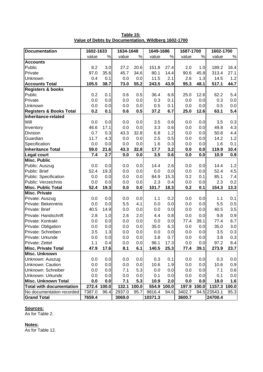| <b>Documentation</b>               | 1602-1633 |       | 1634-1648 |       | 1649-1686 |       | 1687-1700 |       | 1602-1700    |       |
|------------------------------------|-----------|-------|-----------|-------|-----------|-------|-----------|-------|--------------|-------|
|                                    | value     | $\%$  | value     | $\%$  | value     | $\%$  | value     | $\%$  | value        | $\%$  |
| <b>Accounts</b>                    |           |       |           |       |           |       |           |       |              |       |
| Public                             | 8.2       | 3.0   | 27.2      | 20.6  | 151.8     | 27.4  | 2.0       | 1.0   | 189.2        | 16.4  |
| Private                            | 97.0      | 35.6  | 45.7      | 34.6  | 80.1      | 14.4  | 90.6      | 45.8  | 313.4        | 27.1  |
| Unknown                            | 0.4       | 0.1   | 0.0       | 0.0   | 11.5      | 2.1   | 2.6       | 1.3   | 14.5         | 1.2   |
| <b>Accounts Total</b>              | 105.5     | 38.7  | 73.0      | 55.2  | 243.5     | 43.9  | 95.3      | 48.1  | 517.1        | 44.7  |
| <b>Registers &amp; books</b>       |           |       |           |       |           |       |           |       |              |       |
| Public                             | 0.2       | 0.1   | 0.6       | 0.5   | 36.4      | 6.6   | 25.0      | 12.6  | 62.2         | 5.4   |
| Private                            | 0.0       | 0.0   | 0.0       | 0.0   | 0.3       | 0.1   | 0.0       | 0.0   | 0.3          | 0.0   |
| Unknown                            | 0.0       | 0.0   | 0.0       | 0.0   | 0.5       | 0.1   | 0.0       | 0.0   | 0.5          | 0.0   |
| <b>Registers &amp; Books Total</b> | 0.2       | 0.1   | 0.6       | 0.5   | 37.2      | 6.7   | 25.0      | 12.6  | 63.1         | 5.4   |
| Inheritance-related                |           |       |           |       |           |       |           |       |              |       |
| Will                               | 0.0       | 0.0   | 0.0       | 0.0   | 3.5       | 0.6   | 0.0       | 0.0   | 3.5          | 0.3   |
| Inventory                          | 46.6      | 17.1  | 0.0       | 0.0   | 3.3       | 0.6   | 0.0       | 0.0   | 49.8         | 4.3   |
| <b>Division</b>                    | 0.7       | 0.3   | 43.3      | 32.8  | 6.8       | 1.2   | 0.0       | 0.0   | 50.8         | 4.4   |
| Guardian                           | 11.7      | 4.3   | 0.0       | 0.0   | 2.5       | 0.5   | 0.0       | 0.0   | 14.2         | 1.2   |
| Specification                      | 0.0       | 0.0   | 0.0       | 0.0   | 1.6       | 0.3   | 0.0       | 0.0   | 1.6          | 0.1   |
| <b>Inheritance Total</b>           | 59.0      | 21.6  | 43.3      | 32.8  | 17.7      | 3.2   | 0.0       | 0.0   | 119.9        | 10.4  |
| <b>Legal court</b>                 | 7.4       | 2.7   | 0.0       | 0.0   | 3.5       | 0.6   | 0.0       | 0.0   | 10.9         | 0.9   |
| <b>Misc. Public</b>                |           |       |           |       |           |       |           |       |              |       |
| Public: Auszug                     | 0.0       | 0.0   | 0.0       | 0.0   | 14.4      | 2.6   | 0.0       | 0.0   | 14.4         | 1.2   |
| Public: Brief                      | 52.4      | 19.3  | 0.0       | 0.0   | 0.0       | 0.0   | 0.0       | 0.0   | 52.4         | 4.5   |
| Public: Specification              | 0.0       | 0.0   | 0.0       | 0.0   | 84.9      | 15.3  | 0.2       | 0.1   | 85.1         | 7.4   |
| Public: Verzeichnis                | 0.0       | 0.0   | 0.0       | 0.0   | 2.3       | 0.4   | 0.0       | 0.0   | 2.3          | 0.2   |
| <b>Misc. Public Total</b>          | 52.4      | 19.3  | 0.0       | 0.0   | 101.7     | 18.3  | 0.2       | 0.1   | 154.3        | 13.3  |
| <b>Misc. Private</b>               |           |       |           |       |           |       |           |       |              |       |
| Private: Auszug                    | 0.0       | 0.0   | 0.0       | 0.0   | 1.1       | 0.2   | 0.0       | 0.0   | 1.1          | 0.1   |
| Private: Bekenntnis                | 0.0       | 0.0   | 5.5       | 4.1   | 0.0       | 0.0   | 0.0       | 0.0   | 5.5          | 0.5   |
| Private: Brief                     | 40.5      | 14.9  | 0.0       | 0.0   | 0.0       | 0.0   | 0.0       | 0.0   | 40.5         | 3.5   |
| Private: Handschrift               | 2.8       | 1.0   | 2.6       | 2.0   | 4.4       | 0.8   | 0.0       | 0.0   | 9.8          | 0.9   |
| Private: Kontrakt                  | 0.0       | 0.0   | 0.0       | 0.0   | 0.0       | 0.0   | 77.4      | 39.1  | 77.4         | 6.7   |
| Private: Obligation                | 0.0       | 0.0   | 0.0       | 0.0   | 35.0      | 6.3   | 0.0       | 0.0   | 35.0         | 3.0   |
| Private: Schreiben                 | 3.5       | 1.3   | 0.0       | 0.0   | 0.0       | 0.0   | 0.0       | 0.0   | 3.5          | 0.3   |
| Private: Urkunde                   | 0.0       | 0.0   | 0.0       | 0.0   | 3.8       | 0.7   | 0.0       | 0.0   | 3.8          | 0.3   |
| Private: Zettel                    | 1.1       | 0.4   | 0.0       | 0.0   | 96.1      | 17.3  | 0.0       | 0.0   | 97.2         | 8.4   |
| <b>Misc. Private Total</b>         | 47.9      | 17.6  | 8.1       | 6.1   | 140.5     | 25.3  | 77.4      | 39.1  | 273.9        | 23.7  |
| <b>Misc. Unknown</b>               |           |       |           |       |           |       |           |       |              |       |
| Unknown: Auszug                    | 0.0       | 0.0   | 0.0       | 0.0   | 0.3       | 0.1   | 0.0       | 0.0   | 0.3          | 0.0   |
| Unknown: Caution                   | 0.0       | 0.0   | 0.0       | 0.0   | 10.6      | 1.9   | 0.0       | 0.0   | 10.6         | 0.9   |
| Unknown: Schreiber                 | 0.0       | 0.0   | 7.1       | 5.3   | 0.0       | 0.0   | 0.0       | 0.0   | 7.1          | 0.6   |
| Unknown: Urkunde                   | 0.0       | 0.0   | 0.0       | 0.0   | 0.1       | 0.0   | 0.0       | 0.0   | 0.1          | 0.0   |
| <b>Misc. Unknown Total</b>         | 0.0       | 0.0   | 7.1       | 5.3   | 10.9      | 2.0   | 0.0       | 0.0   | 18.0         | 1.6   |
| <b>Total with documentation</b>    | 272.4     | 100.0 | 132.1     | 100.0 | 554.9     | 100.0 | 197.9     | 100.0 | 1157.3       | 100.0 |
| No documentation recorded          | 7387.0    | 96.4  | 2937.0    | 95.7  | 9816.4    | 94.6  | 3402.7    |       | 94.5 23543.1 | 95.3  |
| <b>Grand Total</b>                 | 7659.4    |       | 3069.0    |       | 10371.3   |       | 3600.7    |       | 24700.4      |       |

**Table 15: Value of Debts by Documentation, Wildberg 1602-1700**

As for Table 2.

### **Notes:**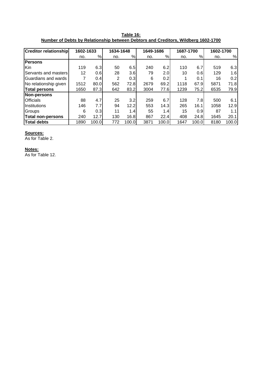**Table 16: Number of Debts by Relationship between Debtors and Creditors, Wildberg 1602-1700**

| <b>Creditor relationship</b> | 1602-1633 |       | 1634-1648      |       | 1649-1686 |       | 1687-1700 |                  | 1602-1700 |       |
|------------------------------|-----------|-------|----------------|-------|-----------|-------|-----------|------------------|-----------|-------|
|                              | no.       | %     | no.            | %     | no.       | %     | no.       | %                | no.       | %     |
| <b>Persons</b>               |           |       |                |       |           |       |           |                  |           |       |
| <b>Kin</b>                   | 119       | 6.3   | 50             | 6.5   | 240       | 6.2   | 110       | 6.7              | 519       | 6.3   |
| <b>Servants and masters</b>  | 12        | 0.6   | 28             | 3.6   | 79        | 2.0   | 10        | 0.6              | 129       | 1.6   |
| <b>IGuardians and wards</b>  |           | 0.4   | $\overline{2}$ | 0.3   | 6         | 0.2   |           | 0.1              | 16        | 0.2   |
| No relationship given        | 1512      | 80.0  | 562            | 72.8  | 2679      | 69.2  | 1118      | 67.9             | 5871      | 71.8  |
| Total persons                | 1650      | 87.3  | 642            | 83.2  | 3004      | 77.6  | 1239      | 75.2             | 6535      | 79.9  |
| Non-persons                  |           |       |                |       |           |       |           |                  |           |       |
| <b>Officials</b>             | 88        | 4.7   | 25             | 3.2   | 259       | 6.7   | 128       | 7.8              | 500       | 6.1   |
| <b>Institutions</b>          | 146       | 7.7   | 94             | 12.2  | 553       | 14.3  | 265       | 16.1             | 1058      | 12.9  |
| Groups                       | 6         | 0.3   | 11             | 1.4   | 55        | 1.4   | 15        | 0.9 <sub>l</sub> | 87        | 1.1   |
| Total non-persons            | 240       | 12.7  | 130            | 16.8  | 867       | 22.4  | 408       | 24.8             | 1645      | 20.1  |
| Total debts                  | 1890      | 100.0 | 772            | 100.0 | 3871      | 100.0 | 1647      | 100.0            | 8180      | 100.0 |

As for Table 2.

# **Notes:**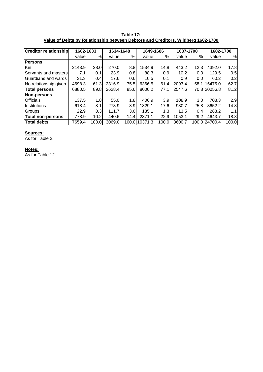| Table 17:                                                                        |  |
|----------------------------------------------------------------------------------|--|
| Value of Debts by Relationship between Debtors and Creditors, Wildberg 1602-1700 |  |

|                             | <b>Creditor relationship</b><br>1602-1633 |       |        |           |               |                  | 1687-1700 |                  | 1602-1700     |       |
|-----------------------------|-------------------------------------------|-------|--------|-----------|---------------|------------------|-----------|------------------|---------------|-------|
|                             |                                           |       |        | 1634-1648 |               | 1649-1686        |           |                  |               |       |
|                             | value                                     | %     | value  | %         | value         | %                | value     | %                | value         | %     |
| <b>Persons</b>              |                                           |       |        |           |               |                  |           |                  |               |       |
| <b>Kin</b>                  | 2143.9                                    | 28.0  | 270.0  | 8.8       | 1534.9        | 14.8             | 443.2     | 12.3             | 4392.0        | 17.8  |
| <b>Servants and masters</b> | 7.1                                       | 0.1   | 23.9   | 0.8       | 88.3          | 0.9 <sub>l</sub> | 10.2      | 0.3              | 129.5         | 0.5   |
| <b>IGuardians and wards</b> | 31.3                                      | 0.4   | 17.6   | 0.6       | 10.5          | 0.1              | 0.9       | 0.0 <sub>l</sub> | 60.2          | 0.2   |
| No relationship given       | 4698.3                                    | 61.3  | 2316.9 | 75.5      | 6366.5        | 61.4             | 2093.4    |                  | 58.1115475.0  | 62.7  |
| <b>Total persons</b>        | 6880.5                                    | 89.8  | 2628.4 | 85.6      | 8000.2        | 77.1             | 2547.6    |                  | 70.8120056.8  | 81.2  |
| Non-persons                 |                                           |       |        |           |               |                  |           |                  |               |       |
| <b>Officials</b>            | 137.5                                     | 1.8   | 55.0   | 1.8       | 406.9         | 3.9 <sub>l</sub> | 108.9     | 3.0 <sub>l</sub> | 708.3         | 2.9   |
| <b>Institutions</b>         | 618.4                                     | 8.1   | 273.9  | 8.9       | 1829.1        | 17.6             | 930.7     | 25.8             | 3652.2        | 14.8  |
| Groups                      | 22.9                                      | 0.3   | 111.7  | 3.6       | 135.1         | 1.3 <sub>l</sub> | 13.5      | 0.4              | 283.2         | 1.1   |
| Total non-persons           | 778.9                                     | 10.2  | 440.6  | 14.4      | 2371.1        | 22.9             | 1053.1    | 29.2             | 4643.7        | 18.8  |
| <b>Total debts</b>          | 7659.4                                    | 100.0 | 3069.0 |           | 100.0110371.3 | 100.0            | 3600.7    |                  | 100.0124700.4 | 100.0 |

As for Table 2.

### **Notes:**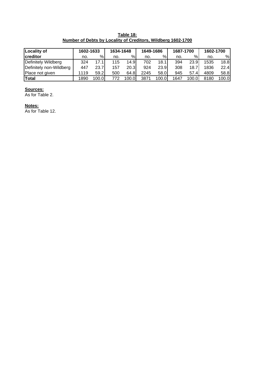**Table 18: Number of Debts by Locality of Creditors, Wildberg 1602-1700**

| <b>Locality of</b>      | 1602-1633 |       |     | 1634-1648 |      | 1649-1686 |      | 1687-1700 |      | 1602-1700 |  |
|-------------------------|-----------|-------|-----|-----------|------|-----------|------|-----------|------|-----------|--|
| creditor                | no.       | ℅     | no. | %         | no.  | %         | no.  | %         | no.  | %         |  |
| Definitely Wildberg     | 324       | 17.1  | 115 | 14.9      | 702  | 18.1      | 394  | 23.9      | 1535 | 18.8      |  |
| Definitely non-Wildberg | 447       | 23.7  | 157 | 20.3      | 924  | 23.9      | 308  | 18.7      | 1836 | 22.4      |  |
| Place not given         | 1119      | 59.2  | 500 | 64.8      | 2245 | 58.0      | 945  | 57.4      | 4809 | 58.8      |  |
| <b>Total</b>            | 1890      | 100.0 | 772 | 100.0     | 3871 | 100.0     | 1647 | 100.0     | 8180 | 100.0     |  |

As for Table 2.

### **Notes:**